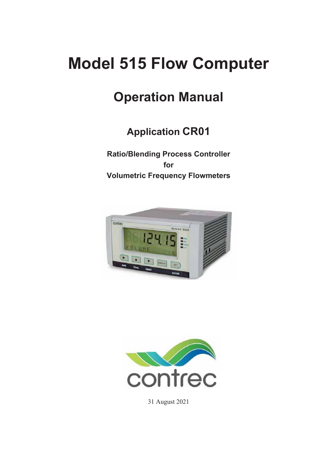# **Model 515 Flow Computer**

# **Operation Manual**

# **Application CR01**

**Ratio/Blending Process Controller for Volumetric Frequency Flowmeters**





31 August 2021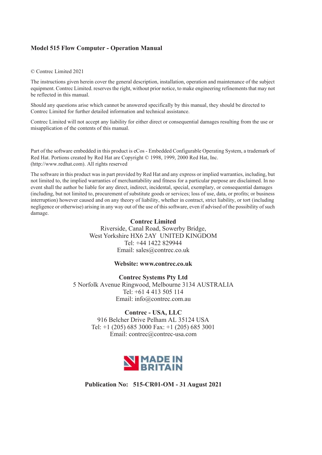#### **Model 515 Flow Computer - Operation Manual**

#### © Contrec Limited 2021

The instructions given herein cover the general description, installation, operation and maintenance of the subject equipment. Contrec Limited. reserves the right, without prior notice, to make engineering refinements that may not be reflected in this manual.

Should any questions arise which cannot be answered specifically by this manual, they should be directed to Contrec Limited for further detailed information and technical assistance.

Contrec Limited will not accept any liability for either direct or consequential damages resulting from the use or misapplication of the contents of this manual.

Part of the software embedded in this product is eCos - Embedded Configurable Operating System, a trademark of Red Hat. Portions created by Red Hat are Copyright © 1998, 1999, 2000 Red Hat, Inc. (http://www.redhat.com). All rights reserved

The software in this product was in part provided by Red Hat and any express or implied warranties, including, but not limited to, the implied warranties of merchantability and fitness for a particular purpose are disclaimed. In no event shall the author be liable for any direct, indirect, incidental, special, exemplary, or consequential damages (including, but not limited to, procurement of substitute goods or services; loss of use, data, or profits; or business interruption) however caused and on any theory of liability, whether in contract, strict liability, or tort (including negligence or otherwise) arising in any way out of the use of this software, even if advised of the possibility of such damage.

#### **Contrec Limited**

Riverside, Canal Road, Sowerby Bridge, West Yorkshire HX6 2AY UNITED KINGDOM Tel: +44 1422 829944 Email: sales@contrec.co.uk

#### **Website: www.contrec.co.uk**

**Contrec Systems Pty Ltd** 5 Norfolk Avenue Ringwood, Melbourne 3134 AUSTRALIA Tel: +61 4 413 505 114 Email: info@contrec.com.au

# **Contrec - USA, LLC**

916 Belcher Drive Pelham AL 35124 USA Tel: +1 (205) 685 3000 Fax: +1 (205) 685 3001 Email: contrec@contrec-usa.com



**Publication No: 515-CR01-OM - 31 August 2021**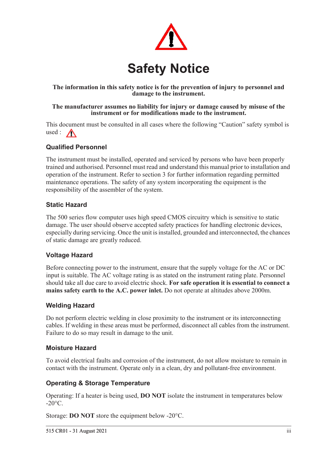

#### **The information in this safety notice is for the prevention of injury to personnel and damage to the instrument.**

#### **The manufacturer assumes no liability for injury or damage caused by misuse of the instrument or for modifications made to the instrument.**

This document must be consulted in all cases where the following "Caution" safety symbol is used :  $\bigwedge$ 

### **Qualified Personnel**

The instrument must be installed, operated and serviced by persons who have been properly trained and authorised. Personnel must read and understand this manual prior to installation and operation of the instrument. Refer to section 3 for further information regarding permitted maintenance operations. The safety of any system incorporating the equipment is the responsibility of the assembler of the system.

### **Static Hazard**

The 500 series flow computer uses high speed CMOS circuitry which is sensitive to static damage. The user should observe accepted safety practices for handling electronic devices, especially during servicing. Once the unit is installed, grounded and interconnected, the chances of static damage are greatly reduced.

### **Voltage Hazard**

Before connecting power to the instrument, ensure that the supply voltage for the AC or DC input is suitable. The AC voltage rating is as stated on the instrument rating plate. Personnel should take all due care to avoid electric shock. **For safe operation it is essential to connect a mains safety earth to the A.C. power inlet.** Do not operate at altitudes above 2000m.

### **Welding Hazard**

Do not perform electric welding in close proximity to the instrument or its interconnecting cables. If welding in these areas must be performed, disconnect all cables from the instrument. Failure to do so may result in damage to the unit.

### **Moisture Hazard**

To avoid electrical faults and corrosion of the instrument, do not allow moisture to remain in contact with the instrument. Operate only in a clean, dry and pollutant-free environment.

### **Operating & Storage Temperature**

Operating: If a heater is being used, **DO NOT** isolate the instrument in temperatures below  $-20^{\circ}$ C.

Storage: **DO NOT** store the equipment below -20°C.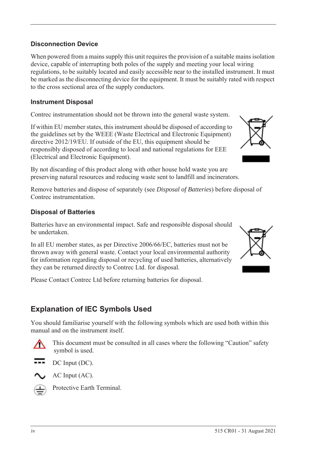### **Disconnection Device**

When powered from a mains supply this unit requires the provision of a suitable mains isolation device, capable of interrupting both poles of the supply and meeting your local wiring regulations, to be suitably located and easily accessible near to the installed instrument. It must be marked as the disconnecting device for the equipment. It must be suitably rated with respect to the cross sectional area of the supply conductors.

### **Instrument Disposal**

Contrec instrumentation should not be thrown into the general waste system.

If within EU member states, this instrument should be disposed of according to the guidelines set by the WEEE (Waste Electrical and Electronic Equipment) directive 2012/19/EU. If outside of the EU, this equipment should be responsibly disposed of according to local and national regulations for EEE (Electrical and Electronic Equipment).

By not discarding of this product along with other house hold waste you are preserving natural resources and reducing waste sent to landfill and incinerators.

Remove batteries and dispose of separately (see *Disposal of Batteries*) before disposal of Contrec instrumentation.

### **Disposal of Batteries**

Batteries have an environmental impact. Safe and responsible disposal should be undertaken.

In all EU member states, as per Directive 2006/66/EC, batteries must not be thrown away with general waste. Contact your local environmental authority for information regarding disposal or recycling of used batteries, alternatively they can be returned directly to Contrec Ltd. for disposal.

Please Contact Contrec Ltd before returning batteries for disposal.

# **Explanation of IEC Symbols Used**

You should familiarise yourself with the following symbols which are used both within this manual and on the instrument itself.



 This document must be consulted in all cases where the following "Caution" safety symbol is used.





AC Input (AC).



Protective Earth Terminal.



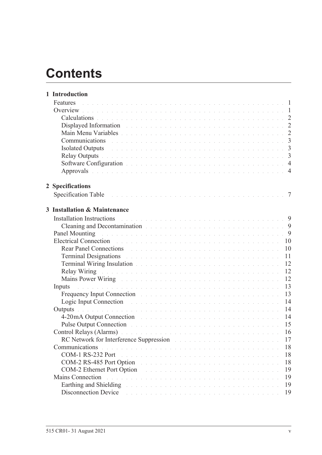# **Contents**

| 1 Introduction                                                                                                                                                                                                                       |  |
|--------------------------------------------------------------------------------------------------------------------------------------------------------------------------------------------------------------------------------------|--|
| Features<br>. The contract of the contract of the contract of the contract of the contract of $\mathcal{A}$                                                                                                                          |  |
|                                                                                                                                                                                                                                      |  |
| Calculations de la commune de la commune de la commune de la commune de la commune de 2                                                                                                                                              |  |
| Displayed Information and a contract of the contract of the contract of the contract of the contract of the contract of the contract of the contract of the contract of the contract of the contract of the contract of the co       |  |
|                                                                                                                                                                                                                                      |  |
| Communications research and containing the contract of the contract of the contract of the 3                                                                                                                                         |  |
| Isolated Outputs and a contract the contract of the contract of the contract of the contract of the 3                                                                                                                                |  |
|                                                                                                                                                                                                                                      |  |
|                                                                                                                                                                                                                                      |  |
| Approvals received a construction of the contract of the construction of 4                                                                                                                                                           |  |
|                                                                                                                                                                                                                                      |  |
| 2 Specifications                                                                                                                                                                                                                     |  |
|                                                                                                                                                                                                                                      |  |
| 3 Installation & Maintenance                                                                                                                                                                                                         |  |
| <b>Installation Instructions</b>                                                                                                                                                                                                     |  |
| Cleaning and Decontamination and the contract of the contract of the contract of the state of the Second Second Second Second Second Second Second Second Second Second Second Second Second Second Second Second Second Secon       |  |
| Panel Mounting received a contract of the contract of the contract of the contract of the P                                                                                                                                          |  |
| Electrical Connection and the set of the set of the set of the set of the set of the set of the set of the set of the set of the set of the set of the set of the set of the set of the set of the set of the set of the set o       |  |
| Rear Panel Connections and a constant of the contract of the contract of the contract of the contract of the contract of the contract of the contract of the contract of the contract of the contract of the contract of the c       |  |
| 11<br>Terminal Designations and a contract the contract of the contract of the contract of the contract of the contract of the contract of the contract of the contract of the contract of the contract of the contract of the contr |  |
| 12<br>Terminal Wiring Insulation and a contract to the contract the contract of the contract of the contract of the contract of the contract of the contract of the contract of the contract of the contract of the contract of the  |  |
| 12<br>Relay Wiring The Late and Late and Late and Late and Late and Late and Late and                                                                                                                                                |  |
| 12<br>Mains Power Wiring Mathews Allen and Allen and Allen and Allen and Allen and Allen and Allen and Allen and Allen                                                                                                               |  |
| 13<br>.<br>In the second complete the second complete the second complete the second complete that the second complete th<br>Inputs                                                                                                  |  |
| 13<br>Frequency Input Connection and a contract the contract of the contract of the contract of the contract of the contract of the contract of the contract of the contract of the contract of the contract of the contract of the  |  |
| 14<br>Logic Input Connection and a construction of the contract of the contract of the contract of the contract of the contract of the contract of the contract of the contract of the contract of the contract of the contract of t |  |
| 14                                                                                                                                                                                                                                   |  |
| 4-20 mA Output Connection and a constant of the contract of the contract of the contract of the contract of the contract of the contract of the contract of the contract of the contract of the contract of the contract of th<br>14 |  |
|                                                                                                                                                                                                                                      |  |
| 16<br>Control Relays (Alarms) and a control of the control of the control of the control of the control of the control of the control of the control of the control of the control of the control of the control of the control of t |  |
| RC Network for Interference Suppression and a substitution of the set of the set of the set of the set of the<br>17                                                                                                                  |  |
| Communications<br>18<br>.<br>In the second complete state of the second complete state of the second complete state of the second complete                                                                                           |  |
| 18<br>COM-1 RS-232 Port                                                                                                                                                                                                              |  |
| COM-2 RS-485 Port Option<br>18<br>.<br>The contract of the contract of the contract of the contract of the contract of the contract of the contract of                                                                               |  |
| 19<br>COM-2 Ethernet Port Option<br>.<br>In de la casa de la casa de la casa de la casa de la casa de la casa de la casa de la casa de la casa de la ca                                                                              |  |
| <b>Mains Connection</b><br>19<br>.<br>In the second complete state of the second complete state of the second complete state of the second complete                                                                                  |  |
| Earthing and Shielding<br>19<br>والمتعاونة والمتعاونة والمتعاونة والمتعاونة والمتعاونة والمتعاونة والمتعاونة والمتعاونة والمتعاونة والمتعاونة                                                                                        |  |
| <b>Disconnection Device</b><br>19                                                                                                                                                                                                    |  |
|                                                                                                                                                                                                                                      |  |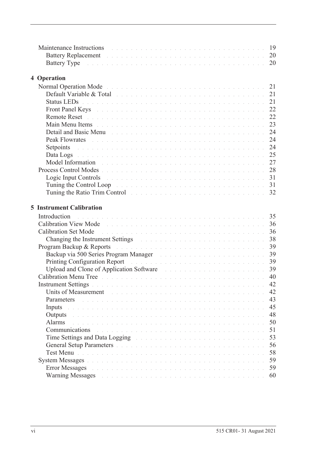| Maintenance Instructions<br>Battery Replacement and the contract of the contract of the contract of the contract of the contract of the contract of the contract of the contract of the contract of the contract of the contract of the contract of the co<br>Battery Type decree in the contract of the contract of the contract of the contract of the contract of the contract of the contract of the contract of the contract of the contract of the contract of the contract of the con                                                                                                                                                                                                                                                                                                                                                                                                                                                                                                                                                                                                                                                                                                                                                                                                                                                                                                                                                                                                                                                                  | 19<br>20                                                 |
|---------------------------------------------------------------------------------------------------------------------------------------------------------------------------------------------------------------------------------------------------------------------------------------------------------------------------------------------------------------------------------------------------------------------------------------------------------------------------------------------------------------------------------------------------------------------------------------------------------------------------------------------------------------------------------------------------------------------------------------------------------------------------------------------------------------------------------------------------------------------------------------------------------------------------------------------------------------------------------------------------------------------------------------------------------------------------------------------------------------------------------------------------------------------------------------------------------------------------------------------------------------------------------------------------------------------------------------------------------------------------------------------------------------------------------------------------------------------------------------------------------------------------------------------------------------|----------------------------------------------------------|
| 4 Operation                                                                                                                                                                                                                                                                                                                                                                                                                                                                                                                                                                                                                                                                                                                                                                                                                                                                                                                                                                                                                                                                                                                                                                                                                                                                                                                                                                                                                                                                                                                                                   |                                                          |
| Normal Operation Mode residence and contract the contract of the contract of the contract of the contract of the contract of the contract of the contract of the contract of the contract of the contract of the contract of t<br>Default Variable & Total enterprise and a series and a series and a series and 21<br>Status LEDs experiences and construction of the construction of the construction of 21<br>Front Panel Keys research and the contract of the contract of the contract of 22                                                                                                                                                                                                                                                                                                                                                                                                                                                                                                                                                                                                                                                                                                                                                                                                                                                                                                                                                                                                                                                             | 21<br>22                                                 |
| Main Menu Items received a conservation of the contract of the contract of the contract of the contract of the<br>Detail and Basic Menu enteritors and contract the contract of the contract of the 24<br>Peak Flowrates and a construction of the construction of the construction of the construction of the construction of the construction of the construction of the construction of the construction of the construction of the c<br>Setpoints and the contract of the contract of the contract of the contract of the contract of the contract of the contract of the contract of the contract of the contract of the contract of the contract of the contract of<br>Data Logs de la característica de la característica de la característica de la 25                                                                                                                                                                                                                                                                                                                                                                                                                                                                                                                                                                                                                                                                                                                                                                                                | 23<br>24                                                 |
| Model Information and the contract of the contract of the contract of the contract of the contract of the contract of the contract of the contract of the contract of the contract of the contract of the contract of the cont<br>Process Control Modes and the control of the control of the control of the control of the control of the control of the control of the control of the control of the control of the control of the control of the control of t<br>Logic Input Controls and a contract the contract of the contract of the contract of the contract of the contract of the contract of the contract of the contract of the contract of the contract of the contract of the contra<br>Tuning the Control Loop <b>Executive Control</b> Loop <b>Fig. 1. <i>Loop</i></b> 2. <i>Loop</i> 2. <i>Loop</i> 2. <i>Loop</i> 2. <i>Loop</i> 2. <i>Loop</i> 2. <i>Loop</i> 2. <i>Loop</i> 2. <i>Loop</i> 2. <i>Loop</i> 2. <i>Loop</i> 2. <i>Loop</i> 2. <i>Loop</i> 2. <i>Loop</i> 2. <i>Loop</i> 2. <i>Loop</i> 2. <i>Lo</i><br>Tuning the Ratio Trim Control and the contract of the contract of the contract of the 32                                                                                                                                                                                                                                                                                                                                                                                                                              | 31<br>31                                                 |
| <b>5</b> Instrument Calibration                                                                                                                                                                                                                                                                                                                                                                                                                                                                                                                                                                                                                                                                                                                                                                                                                                                                                                                                                                                                                                                                                                                                                                                                                                                                                                                                                                                                                                                                                                                               |                                                          |
| Introduction the contract of the contract of the contract of the contract of the contract of the contract of the contract of the contract of the contract of the contract of the contract of the contract of the contract of t<br>Calibration Set Mode<br>Changing the Instrument Settings and a contract of the contract of the contract of the contract of the contract of the contract of the contract of the contract of the contract of the contract of the contract of the contrac<br>Program Backup & Reports and the contract of the contract of the contract of the contract of the contract of the contract of the contract of the contract of the contract of the contract of the contract of the contract of t<br>Backup via 500 Series Program Manager and a construction of the construction of<br>Printing Configuration Report entering the substitution of the state of the state of the state of the 39<br>Upload and Clone of Application Software<br>Calibration Menu Tree Albert and albert and albert and albert and albert and albert and<br>Instrument Settings and a communication of the communication of the communication of the<br>Units of Measurement<br>and the company of the company of the company of the company of the company of the company of the company of the company of the company of the company of the company of the company of the company of the company of the comp<br>Parameters<br><u> 1919 - Johann John Stoff, market fan de Fryske kunstne fan de Fryske kunstne fan de Fryske kunstne fan de Fry</u> | 35<br>36<br>38<br>39<br>39<br>39<br>40<br>42<br>42<br>43 |
| Inputs<br>de la participat de la participat de la participat de la participat de la<br>Outputs<br>de la caractería de la caractería de la caractería de la caractería de la caractería de la caractería<br><b>Alarms</b><br>and the company of the company of the company of the company of the company of the company of the company of the<br>Communications<br>Time Settings and Data Logging The Contract of the Settings and Data Logging<br>General Setup Parameters and a contract of the contract of the contract of the contract of the contract of the<br>Test Menu de la proponezione della provincia di controlle di controlle di controlle di controlle di controlle di<br>System Messages and a construction of the construction of the construction of the construction<br><b>Error Messages</b><br>.<br>In the company of the company of the company of the company of the company of the company of the company of th<br>Warning Messages and a contract the contract of the contract of the contract of the contract of the contract of the contract of the contract of the contract of the contract of the contract of the contract of the contract o                                                                                                                                                                                                                                                                                                                                                                                      | 45<br>48<br>50<br>51<br>53<br>56<br>58<br>59<br>59<br>60 |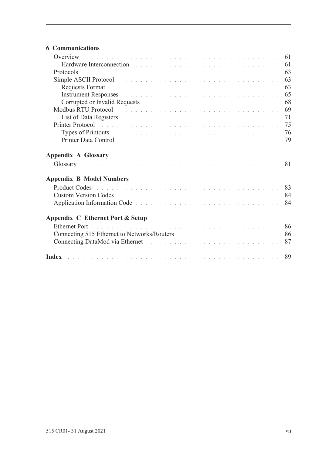### **[6 Communications](#page-70-0)**

| Hardware Interconnection and a construction of the contract of the contract of the contract of the contract of                                                                                                                 | 61 |
|--------------------------------------------------------------------------------------------------------------------------------------------------------------------------------------------------------------------------------|----|
| Protocols and an annual contract of the contract of the contract of the contract of the contract of the contract of the contract of the contract of the contract of the contract of the contract of the contract of the contra | 63 |
| Simple ASCII Protocol and a construction of the construction of the construction of the construction of the construction of the construction of the construction of the construction of the construction of the construction o | 63 |
|                                                                                                                                                                                                                                | 63 |
| Instrument Responses and the contract of the contract of the contract of the contract of the contract of the contract of the contract of the contract of the contract of the contract of the contract of the contract of the c | 65 |
| Corrupted or Invalid Requests and a contract to the contract of the contract of the contract of                                                                                                                                | 68 |
| Modbus RTU Protocol and the substantial contract the second contract of the second                                                                                                                                             | 69 |
| List of Data Registers and a construction of the construction of the construction of                                                                                                                                           | 71 |
| Printer Protocol and a construction of the construction of the construction of the construction of the construction of the construction of the construction of the construction of the construction of the construction of the | 75 |
| Types of Printouts and the contract of the contract of the contract of the contract of the T6                                                                                                                                  |    |
| Printer Data Control 2008 and 2008 and 2008 and 2008 and 2008 and 2008 and 2008 and 2008 and 2008 and 2008 and 2008 and 2008 and 2008 and 2008 and 2008 and 2008 and 2008 and 2008 and 2008 and 2008 and 2008 and 2008 and 200 |    |
| <b>Appendix A Glossary</b>                                                                                                                                                                                                     |    |
| Glossary and a communication of the communication of the communication of the communication of the communication of the communication of the communication of the communication of the communication of the communication of t | 81 |
| <b>Appendix B Model Numbers</b>                                                                                                                                                                                                |    |
|                                                                                                                                                                                                                                |    |
|                                                                                                                                                                                                                                | 84 |
|                                                                                                                                                                                                                                | 84 |
| Appendix C Ethernet Port & Setup                                                                                                                                                                                               |    |
| Ethernet Port and a communication of the communication of the communication of the communication of the communication                                                                                                          | 86 |
|                                                                                                                                                                                                                                | 86 |
| Connecting 515 Ethernet to Networks/Routers and a substantial contract to the contract of                                                                                                                                      | 87 |
| Connecting DataMod via Ethernet Marian and a connection of the Connecting DataMod via Ethernet Maria and a connection of the Connection of the Connection of the Connection of the Connection of the Connection of the Connect |    |
| Index <b>Index International Contract Construction</b> in the construction of the construction of $89$                                                                                                                         |    |
|                                                                                                                                                                                                                                |    |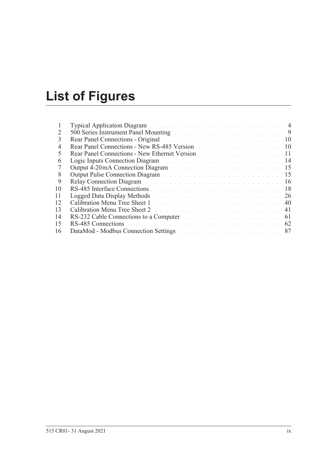# **List of Figures**

| 1  | <b>Typical Application Diagram</b> and the contract of the contract of the state of the state of the state of the state of the state of the state of the state of the state of the state of the state of the state of the state of    |     |
|----|---------------------------------------------------------------------------------------------------------------------------------------------------------------------------------------------------------------------------------------|-----|
| 2  | 500 Series Instrument Panel Mounting and a contract of the series of the series of the 9                                                                                                                                              |     |
| 3  | Rear Panel Connections - Original                                                                                                                                                                                                     |     |
| 4  | Rear Panel Connections - New RS-485 Version 10                                                                                                                                                                                        |     |
| 5  | Rear Panel Connections - New Ethernet Version                                                                                                                                                                                         | -11 |
| 6  | Logic Inputs Connection Diagram and a contract to the contract of the 14                                                                                                                                                              |     |
|    | Output 4-20mA Connection Diagram                                                                                                                                                                                                      |     |
| 8  | -15<br>Output Pulse Connection Diagram and a connection of the Connection of the Connection of the Connection of the Connection of the Connection of the Connection of the Connection of the Connection of the Connection of the Conn |     |
| 9  | Relay Connection Diagram and a construction of the contract of the state of the 16                                                                                                                                                    |     |
| 10 | RS-485 Interface Connections 18                                                                                                                                                                                                       |     |
| 11 | Logged Data Display Methods and the contract of the contract of the contract of the contract of the contract of the contract of the contract of the contract of the contract of the contract of the contract of the contract o        |     |
| 12 | Calibration Menu Tree Sheet 1 40                                                                                                                                                                                                      |     |
| 13 | Calibration Menu Tree Sheet 2                                                                                                                                                                                                         |     |
| 14 | RS-232 Cable Connections to a Computer expression of the state of the state of the SAS Cable Connections to a Computer expression of the state of the SAS Cable Connections of the SAS Cable Connections of the SAS Cable Conn        |     |
| 15 |                                                                                                                                                                                                                                       | 62  |
| 16 | DataMod - Modbus Connection Settings and a connection of the S7                                                                                                                                                                       |     |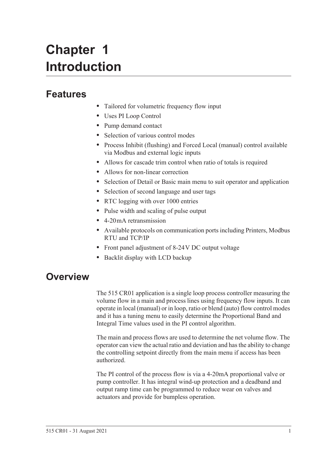# <span id="page-10-0"></span>**Chapter 1 Introduction**

# <span id="page-10-1"></span>**Features**

- **•** Tailored for volumetric frequency flow input
- **•** Uses PI Loop Control
- **•** Pump demand contact
- **•** Selection of various control modes
- **•** Process Inhibit (flushing) and Forced Local (manual) control available via Modbus and external logic inputs
- **•** Allows for cascade trim control when ratio of totals is required
- Allows for non-linear correction
- **•** Selection of Detail or Basic main menu to suit operator and application
- **•** Selection of second language and user tags
- **•** RTC logging with over 1000 entries
- **•** Pulse width and scaling of pulse output
- **•** 4-20 mA retransmission
- **•** Available protocols on communication ports including Printers, Modbus RTU and TCP/IP
- **•** Front panel adjustment of 8-24 V DC output voltage
- **•** Backlit display with LCD backup

# <span id="page-10-2"></span>**Overview**

The 515 CR01 application is a single loop process controller measuring the volume flow in a main and process lines using frequency flow inputs. It can operate in local (manual) or in loop, ratio or blend (auto) flow control modes and it has a tuning menu to easily determine the Proportional Band and Integral Time values used in the PI control algorithm.

The main and process flows are used to determine the net volume flow. The operator can view the actual ratio and deviation and has the ability to change the controlling setpoint directly from the main menu if access has been authorized.

The PI control of the process flow is via a 4-20mA proportional valve or pump controller. It has integral wind-up protection and a deadband and output ramp time can be programmed to reduce wear on valves and actuators and provide for bumpless operation.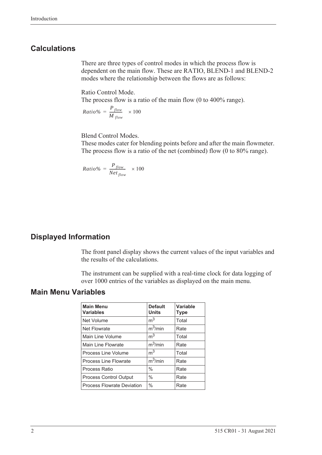### <span id="page-11-0"></span>**Calculations**

There are three types of control modes in which the process flow is dependent on the main flow. These are RATIO, BLEND-1 and BLEND-2 modes where the relationship between the flows are as follows:

Ratio Control Mode.

The process flow is a ratio of the main flow (0 to 400% range).

$$
Ratio\% = \frac{P_{flow}}{M_{flow}} \times 100
$$

Blend Control Modes.

These modes cater for blending points before and after the main flowmeter. The process flow is a ratio of the net (combined) flow (0 to 80% range).

$$
Ratio\% = \frac{P_{flow}}{Net_{flow}} \times 100
$$

### <span id="page-11-1"></span>**Displayed Information**

The front panel display shows the current values of the input variables and the results of the calculations.

The instrument can be supplied with a real-time clock for data logging of over 1000 entries of the variables as displayed on the main menu.

### <span id="page-11-2"></span>**Main Menu Variables**

| <b>Main Menu</b><br><b>Variables</b> | <b>Default</b><br><b>Units</b> | Variable<br><b>Type</b> |
|--------------------------------------|--------------------------------|-------------------------|
| Net Volume                           | m <sup>3</sup>                 | Total                   |
| <b>Net Flowrate</b>                  | $m^3/m$ in                     | Rate                    |
| Main Line Volume                     | m <sup>3</sup>                 | Total                   |
| Main Line Flowrate                   | $m^3/m$ in                     | Rate                    |
| Process Line Volume                  | m <sup>3</sup>                 | Total                   |
| <b>Process Line Flowrate</b>         | $m^3/m$ in                     | Rate                    |
| Process Ratio                        | $\%$                           | Rate                    |
| <b>Process Control Output</b>        | $\frac{0}{0}$                  | Rate                    |
| <b>Process Flowrate Deviation</b>    | $\%$                           | Rate                    |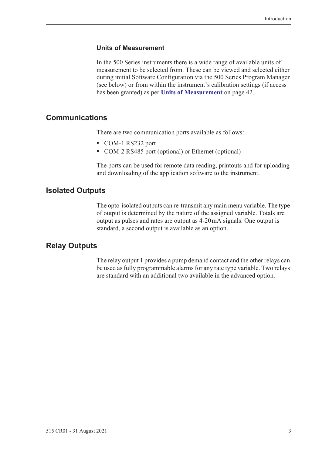#### **Units of Measurement**

In the 500 Series instruments there is a wide range of available units of measurement to be selected from. These can be viewed and selected either during initial Software Configuration via the 500 Series Program Manager (see below) or from within the instrument's calibration settings (if access has been granted) as per **[Units of Measurement](#page-51-2)** on page 42.

### <span id="page-12-0"></span>**Communications**

There are two communication ports available as follows:

- **•** COM-1 RS232 port
- **•** COM-2 RS485 port (optional) or Ethernet (optional)

The ports can be used for remote data reading, printouts and for uploading and downloading of the application software to the instrument.

### <span id="page-12-1"></span>**Isolated Outputs**

The opto-isolated outputs can re-transmit any main menu variable. The type of output is determined by the nature of the assigned variable. Totals are output as pulses and rates are output as 4-20 mA signals. One output is standard, a second output is available as an option.

### <span id="page-12-2"></span>**Relay Outputs**

The relay output 1 provides a pump demand contact and the other relays can be used as fully programmable alarms for any rate type variable. Two relays are standard with an additional two available in the advanced option.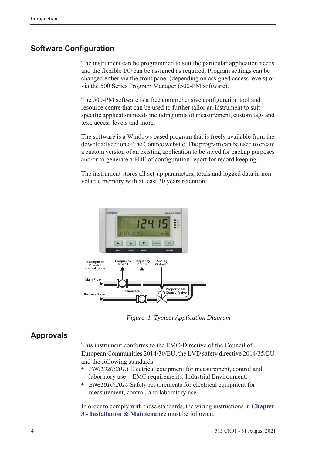### <span id="page-13-0"></span>**Software Configuration**

The instrument can be programmed to suit the particular application needs and the flexible I/O can be assigned as required. Program settings can be changed either via the front panel (depending on assigned access levels) or via the 500 Series Program Manager (500-PM software).

The 500-PM software is a free comprehensive configuration tool and resource centre that can be used to further tailor an instrument to suit specific application needs including units of measurement, custom tags and text, access levels and more.

The software is a Windows based program that is freely available from the download section of the Contrec website. The program can be used to create a custom version of an existing application to be saved for backup purposes and/or to generate a PDF of configuration report for record keeping.

The instrument stores all set-up parameters, totals and logged data in nonvolatile memory with at least 30 years retention.



*Figure 1 Typical Application Diagram*

### <span id="page-13-1"></span>**Approvals**

<span id="page-13-2"></span>This instrument conforms to the EMC-Directive of the Council of European Communities 2014/30/EU, the LVD safety directive 2014/35/EU and the following standards:

- **•** *EN61326:2013* Electrical equipment for measurement, control and laboratory use – EMC requirements: Industrial Environment.
- **•** *EN61010:2010* Safety requirements for electrical equipment for measurement, control, and laboratory use.

In order to comply with these standards, the wiring instructions in **[Chapter](#page-18-5)  [3 - Installation & Maintenance](#page-18-5)** must be followed.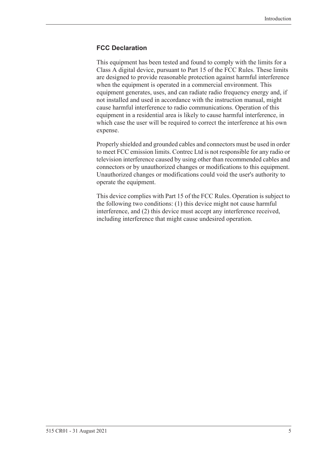### **FCC Declaration**

This equipment has been tested and found to comply with the limits for a Class A digital device, pursuant to Part 15 of the FCC Rules. These limits are designed to provide reasonable protection against harmful interference when the equipment is operated in a commercial environment. This equipment generates, uses, and can radiate radio frequency energy and, if not installed and used in accordance with the instruction manual, might cause harmful interference to radio communications. Operation of this equipment in a residential area is likely to cause harmful interference, in which case the user will be required to correct the interference at his own expense.

Properly shielded and grounded cables and connectors must be used in order to meet FCC emission limits. Contrec Ltd is not responsible for any radio or television interference caused by using other than recommended cables and connectors or by unauthorized changes or modifications to this equipment. Unauthorized changes or modifications could void the user's authority to operate the equipment.

This device complies with Part 15 of the FCC Rules. Operation is subject to the following two conditions: (1) this device might not cause harmful interference, and (2) this device must accept any interference received, including interference that might cause undesired operation.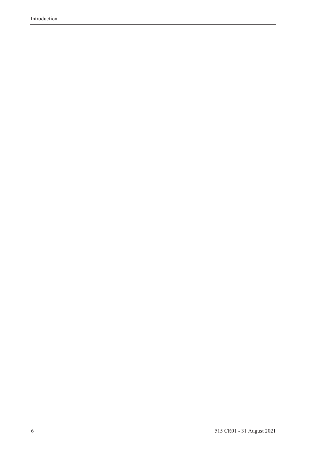Introduction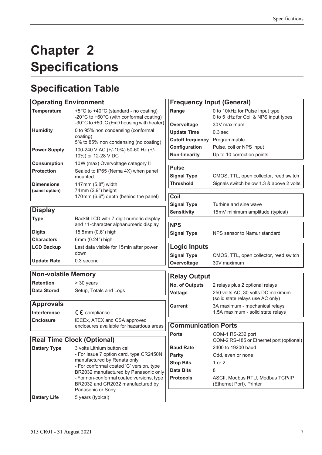# <span id="page-16-0"></span>**Chapter 2 Specifications**

# <span id="page-16-1"></span>**Specification Table**

**Operating Environment**

#### **Temperature**  $+5^{\circ}$ C to  $+40^{\circ}$ C (standard - no coating) -20 °C to +60 °C (with conformal coating) -30 °C to +60 °C (ExD housing with heater) **Humidity** 0 to 95% non condensing (conformal coating) 5% to 85% non condensing (no coating) **Power Supply** 100-240 V AC (+/-10%) 50-60 Hz (+/- 10%) or 12-28 V DC **Consumption** 10W (max) Overvoltage category II **Protection** Sealed to IP65 (Nema 4X) when panel mounted **Dimensions (panel option)** 147 mm (5.8") width 74 mm (2.9") height 170 mm (6.6") depth (behind the panel) **Overvoltage** 30V maximum **Update Time** 0.3 sec **Cutoff frequency** Programmable **Pulse Coil**

# **Display**

| Type              | Backlit LCD with 7-digit numeric display<br>and 11-character alphanumeric display |
|-------------------|-----------------------------------------------------------------------------------|
| <b>Digits</b>     | 15.5mm (0.6") high                                                                |
| <b>Characters</b> | 6 $mm(0.24")$ high                                                                |
| <b>LCD Backup</b> | Last data visible for 15 min after power<br>down                                  |
| Update Rate       | 0.3 second                                                                        |

| יז∩מי                                  |  |
|----------------------------------------|--|
|                                        |  |
| 3 second                               |  |
| วwn                                    |  |
| ast data visible for 15min after power |  |
| nm (0.24") high                        |  |
| 5.5mm (0.6") high                      |  |
| nd 11-character alphanumeric display   |  |
|                                        |  |

# **Non-volatile Memory Retention** > 30 years

**Data Stored** Setup, Totals and Logs

### **Approvals**

| <b>Interference</b> | $C \in \mathbb{C}$ compliance                                            |
|---------------------|--------------------------------------------------------------------------|
| <b>Enclosure</b>    | IECEx, ATEX and CSA approved<br>enclosures available for hazardous areas |

### **Real Time Clock (Optional)**

| <b>Battery Type</b> | 3 volts Lithium button cell<br>- For Issue 7 option card, type CR2450N<br>manufactured by Renata only<br>- For conformal coated 'C' version, type<br>BR2032 manufactured by Panasonic only<br>- For non-conformal coated versions, type<br>BR2032 and CR2032 manufactured by<br>Panasonic or Sony |
|---------------------|---------------------------------------------------------------------------------------------------------------------------------------------------------------------------------------------------------------------------------------------------------------------------------------------------|
| <b>Battery Life</b> | 5 years (typical)                                                                                                                                                                                                                                                                                 |

| <b>Frequency Input (General)</b>     |                                                                          |  |
|--------------------------------------|--------------------------------------------------------------------------|--|
| Range                                | 0 to 10kHz for Pulse input type<br>0 to 5 kHz for Coil & NPS input types |  |
| Overvoltage                          | 30V maximum                                                              |  |
| <b>Update Time</b>                   | $0.3$ sec                                                                |  |
| <b>Cutoff frequency</b> Programmable |                                                                          |  |
| Configuration                        | Pulse, coil or NPS input                                                 |  |
| <b>Non-linearity</b>                 | Up to 10 correction points                                               |  |
|                                      |                                                                          |  |
| <b>Pulse</b>                         |                                                                          |  |
| <b>Signal Type</b>                   | CMOS, TTL, open collector, reed switch                                   |  |
| <b>Threshold</b>                     | Signals switch below 1.3 & above 2 volts                                 |  |
| Coil                                 |                                                                          |  |
|                                      |                                                                          |  |
| <b>Signal Type</b>                   | Turbine and sine wave                                                    |  |
| <b>Sensitivity</b>                   | 15mV minimum amplitude (typical)                                         |  |
| <b>NPS</b>                           |                                                                          |  |
| <b>Signal Type</b>                   | NPS sensor to Namur standard                                             |  |
|                                      |                                                                          |  |
| Logic Inputs                         |                                                                          |  |
| <b>Signal Type</b>                   | CMOS, TTL, open collector, reed switch                                   |  |
| Overvoltage                          | 30V maximum                                                              |  |
|                                      |                                                                          |  |
| <b>Relay Output</b>                  |                                                                          |  |
| <b>No. of Outputs</b>                | 2 relays plus 2 optional relays                                          |  |
| <b>Voltage</b>                       | 250 volts AC, 30 volts DC maximum                                        |  |
|                                      | (solid state relays use AC only)                                         |  |
| <b>Current</b>                       | 3A maximum - mechanical relays                                           |  |
|                                      | 1.5A maximum - solid state relays                                        |  |
| <b>Communication Ports</b>           |                                                                          |  |
| <b>Ports</b>                         | COM-1 RS-232 port                                                        |  |
|                                      | COM-2 RS-485 or Ethernet port (optional)                                 |  |
| <b>Baud Rate</b>                     | 2400 to 19200 baud                                                       |  |

| <b>Parity</b>    | Odd, even or none                                            |
|------------------|--------------------------------------------------------------|
| <b>Stop Bits</b> | 1 or $2$                                                     |
| <b>Data Bits</b> | 8                                                            |
| <b>Protocols</b> | ASCII. Modbus RTU. Modbus TCP/IP<br>(Ethernet Port), Printer |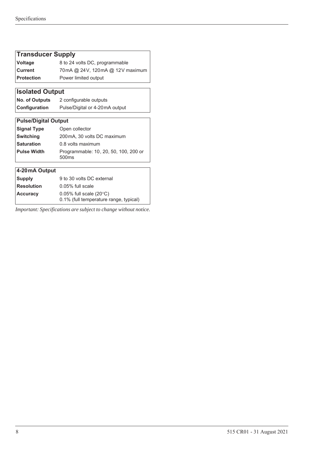| <b>Transducer Supply</b>    |                                                                                |  |
|-----------------------------|--------------------------------------------------------------------------------|--|
| Voltage                     | 8 to 24 volts DC, programmable                                                 |  |
| <b>Current</b>              | 70mA @ 24V, 120mA @ 12V maximum                                                |  |
| <b>Protection</b>           | Power limited output                                                           |  |
|                             |                                                                                |  |
| <b>Isolated Output</b>      |                                                                                |  |
| <b>No. of Outputs</b>       | 2 configurable outputs                                                         |  |
| Configuration               | Pulse/Digital or 4-20 mA output                                                |  |
|                             |                                                                                |  |
| <b>Pulse/Digital Output</b> |                                                                                |  |
| <b>Signal Type</b>          | Open collector                                                                 |  |
| Switching                   | 200 mA. 30 volts DC maximum                                                    |  |
| <b>Saturation</b>           | 0.8 volts maximum                                                              |  |
| <b>Pulse Width</b>          | Programmable: 10, 20, 50, 100, 200 or<br>500ms                                 |  |
| 4-20mA Output               |                                                                                |  |
| Supply                      | 9 to 30 volts DC external                                                      |  |
| <b>Resolution</b>           | $0.05\%$ full scale                                                            |  |
| <b>Accuracy</b>             | $0.05\%$ full scale (20 $\degree$ C)<br>0.1% (full temperature range, typical) |  |

*Important: Specifications are subject to change without notice.*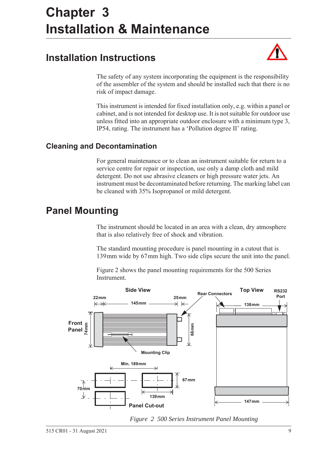# <span id="page-18-5"></span><span id="page-18-0"></span>**Chapter 3 Installation & Maintenance**

# <span id="page-18-1"></span>**Installation Instructions**



The safety of any system incorporating the equipment is the responsibility of the assembler of the system and should be installed such that there is no risk of impact damage.

This instrument is intended for fixed installation only, e.g. within a panel or cabinet, and is not intended for desktop use. It is not suitable for outdoor use unless fitted into an appropriate outdoor enclosure with a minimum type 3, IP54, rating. The instrument has a 'Pollution degree II' rating.

## <span id="page-18-2"></span>**Cleaning and Decontamination**

For general maintenance or to clean an instrument suitable for return to a service centre for repair or inspection, use only a damp cloth and mild detergent. Do not use abrasive cleaners or high pressure water jets. An instrument must be decontaminated before returning. The marking label can be cleaned with 35% Isopropanol or mild detergent.

# <span id="page-18-3"></span>**Panel Mounting**

The instrument should be located in an area with a clean, dry atmosphere that is also relatively free of shock and vibration.

The standard mounting procedure is panel mounting in a cutout that is 139 mm wide by 67 mm high. Two side clips secure the unit into the panel.

[Figure 2](#page-18-4) shows the panel mounting requirements for the 500 Series Instrument.



<span id="page-18-4"></span>*Figure 2 500 Series Instrument Panel Mounting*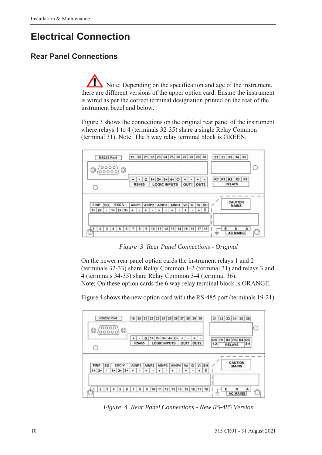# <span id="page-19-0"></span>**Electrical Connection**

# <span id="page-19-1"></span>**Rear Panel Connections**

Note: Depending on the specification and age of the instrument, there are different versions of the upper option card. Ensure the instrument is wired as per the correct terminal designation printed on the rear of the instrument bezel and below.

[Figure 3](#page-19-2) shows the connections on the original rear panel of the instrument where relays 1 to 4 (terminals 32-35) share a single Relay Common (terminal 31). Note: The 5 way relay terminal block is GREEN.



*Figure 3 Rear Panel Connections - Original*

<span id="page-19-2"></span>On the newer rear panel option cards the instrument relays 1 and 2 (terminals 32-33) share Relay Common 1-2 (terminal 31) and relays 3 and 4 (terminals 34-35) share Relay Common 3-4 (terminal 36). Note: On these option cards the 6 way relay terminal block is ORANGE.

[Figure 4](#page-19-3) shows the new option card with the RS-485 port (terminals 19-21).



<span id="page-19-3"></span>*Figure 4 Rear Panel Connections - New RS-485 Version*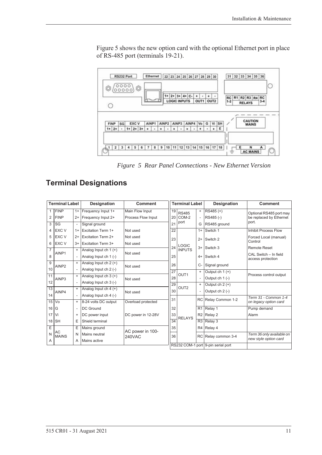[Figure 5](#page-20-1) shows the new option card with the optional Ethernet port in place of RS-485 port (terminals 19-21).



<span id="page-20-1"></span>*Figure 5 Rear Panel Connections - New Ethernet Version*

# <span id="page-20-0"></span>**Terminal Designations**

| <b>Terminal Label</b> |                    |                                                                                                       | <b>Designation</b>        | <b>Comment</b>                    | <b>Terminal Label</b> |                  |                  | <b>Designation</b>                 | <b>Comment</b>                                     |
|-----------------------|--------------------|-------------------------------------------------------------------------------------------------------|---------------------------|-----------------------------------|-----------------------|------------------|------------------|------------------------------------|----------------------------------------------------|
|                       | <b>FINP</b>        | $1+$                                                                                                  | Frequency Input 1+        | Main Flow Input                   | 19                    | <b>RS485</b>     | $+$              | RS485 (+)                          | Optional RS485 port may                            |
| $\overline{2}$        | <b>FINP</b>        | $2+$                                                                                                  | Frequency Input 2+        | Process Flow Input                | 20                    | COM-2            |                  | RS485 (-)                          | be replaced by Ethernet                            |
| 3                     | SG                 | $\overline{\phantom{a}}$                                                                              | Signal ground             |                                   | 21                    | port             | G                | RS485 ground                       | port.                                              |
| 4                     | <b>EXC V</b>       | $1+$                                                                                                  | <b>Excitation Term 1+</b> | Not used                          | 22                    |                  | $1+$             | Switch 1                           | Inhibit Process Flow                               |
| 5                     | EXC V              | $2+$                                                                                                  | <b>Excitation Term 2+</b> | Not used                          | 23                    |                  | $2+$             | Switch 2                           | Forced Local (manual)                              |
| 6                     | EXC V              | $3+$                                                                                                  | Excitation Term 3+        | Not used                          |                       | <b>LOGIC</b>     |                  |                                    | Control                                            |
|                       | AINP1              | $\ddot{}$                                                                                             | Analog Input ch $1 (+)$   | Not used                          | 24                    | <b>INPUTS</b>    | $3+$             | Switch 3                           | <b>Remote Reset</b>                                |
| 8                     |                    | $\overline{\phantom{a}}$                                                                              | Analog Input ch 1 (-)     |                                   | 25                    |                  | $4+$             | Switch 4                           | CAL Switch - In field<br>access protection         |
| 9                     | AINP <sub>2</sub>  | $\ddot{}$                                                                                             | Analog Input ch $2 (+)$   | Not used                          | 26                    |                  | $C-$             | Signal ground                      |                                                    |
| 10                    |                    |                                                                                                       | Analog Input ch 2 (-)     |                                   | 27                    |                  | $\ddot{}$        | Output ch $1 (+)$                  |                                                    |
| 11                    | AINP3              | $\ddot{}$                                                                                             | Analog Input $ch 3 (+)$   | Not used                          | 28                    | OUT <sub>1</sub> |                  | Output ch 1 (-)                    | Process control output                             |
| 12                    |                    |                                                                                                       | Analog Input ch 3 (-)     |                                   | 29                    |                  | $\ddot{}$        | Output ch $2 (+)$                  |                                                    |
| 13                    | AINP4              | Analog Input ch $4 (+)$<br>$\ddot{}$<br>Not used<br>Analog Input ch 4 (-)<br>$\overline{\phantom{a}}$ |                           | 30                                | OUT <sub>2</sub>      |                  | Output ch 2 (-)  |                                    |                                                    |
| 14                    |                    |                                                                                                       |                           |                                   |                       |                  |                  |                                    | Term 31 - Common 1-4                               |
| 15                    | Vo                 | $\ddot{}$                                                                                             | 8-24 volts DC output      | Overload protected                | 31                    | <b>RC</b>        | Relay Common 1-2 | on legacy option card              |                                                    |
| 16                    | G                  | $\overline{\phantom{a}}$                                                                              | DC Ground                 |                                   | 32                    |                  | R1               | Relay 1                            | Pump demand                                        |
| 17                    | Vi                 | $\ddot{}$                                                                                             | DC power input            | DC power in 12-28V                | 33                    | <b>RELAYS</b>    | R2               | Relay 2                            | Alarm                                              |
| 18                    | <b>SH</b>          | E                                                                                                     | Shield terminal           |                                   | $\overline{34}$       |                  | R <sub>3</sub>   | Relay 3                            |                                                    |
| Ε                     |                    | E                                                                                                     | Mains ground              |                                   | 35                    |                  | R <sub>4</sub>   | Relay 4                            |                                                    |
| N                     | AC<br><b>MAINS</b> | N                                                                                                     | Mains neutral             | AC power in 100-<br><b>240VAC</b> | 36                    |                  | RC               | Relay common 3-4                   | Term 36 only available on<br>new style option card |
| A                     |                    | Α                                                                                                     | Mains active              |                                   |                       |                  |                  | RS232 COM-1 port 9-pin serial port |                                                    |
|                       |                    |                                                                                                       |                           |                                   |                       |                  |                  |                                    |                                                    |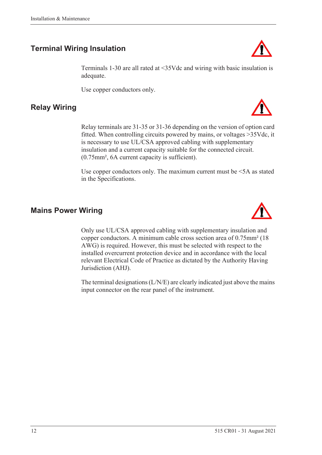Installation & Maintenance

# <span id="page-21-0"></span>**Terminal Wiring Insulation**

Terminals 1-30 are all rated at <35Vdc and wiring with basic insulation is adequate.

Use copper conductors only.

# <span id="page-21-1"></span>**Relay Wiring**

Relay terminals are 31-35 or 31-36 depending on the version of option card fitted. When controlling circuits powered by mains, or voltages >35Vdc, it is necessary to use UL/CSA approved cabling with supplementary insulation and a current capacity suitable for the connected circuit. (0.75mm², 6A current capacity is sufficient).

Use copper conductors only. The maximum current must be  $\leq 5A$  as stated in the Specifications.

# <span id="page-21-2"></span>**Mains Power Wiring**

Only use UL/CSA approved cabling with supplementary insulation and copper conductors. A minimum cable cross section area of 0.75mm² (18 AWG) is required. However, this must be selected with respect to the installed overcurrent protection device and in accordance with the local relevant Electrical Code of Practice as dictated by the Authority Having Jurisdiction (AHJ).

The terminal designations (L/N/E) are clearly indicated just above the mains input connector on the rear panel of the instrument.



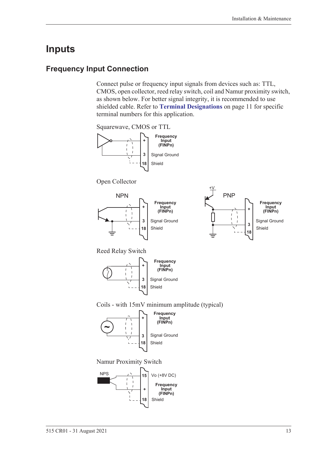# <span id="page-22-0"></span>**Inputs**

### <span id="page-22-1"></span>**Frequency Input Connection**

Connect pulse or frequency input signals from devices such as: TTL, CMOS, open collector, reed relay switch, coil and Namur proximity switch, as shown below. For better signal integrity, it is recommended to use shielded cable. Refer to **[Terminal Designations](#page-20-0)** on page 11 for specific terminal numbers for this application.

Squarewave, CMOS or TTL



Open Collector





Reed Relay Switch







Namur Proximity Switch

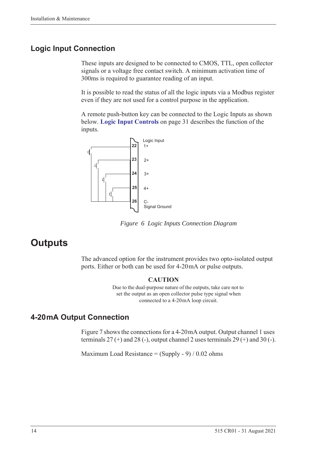### <span id="page-23-0"></span>**Logic Input Connection**

These inputs are designed to be connected to CMOS, TTL, open collector signals or a voltage free contact switch. A minimum activation time of 300ms is required to guarantee reading of an input.

It is possible to read the status of all the logic inputs via a Modbus register even if they are not used for a control purpose in the application.

A remote push-button key can be connected to the Logic Inputs as shown below. **[Logic Input Controls](#page-40-2)** on page 31 describes the function of the inputs.



*Figure 6 Logic Inputs Connection Diagram*

# <span id="page-23-1"></span>**Outputs**

<span id="page-23-3"></span>The advanced option for the instrument provides two opto-isolated output ports. Either or both can be used for 4-20 mA or pulse outputs.

#### **CAUTION**

Due to the dual-purpose nature of the outputs, take care not to set the output as an open collector pulse type signal when connected to a 4-20 mA loop circuit.

### <span id="page-23-2"></span>**4-20 mA Output Connection**

[Figure 7](#page-24-1) shows the connections for a 4-20 mA output. Output channel 1 uses terminals  $27$  (+) and  $28$  (-), output channel 2 uses terminals  $29$  (+) and  $30$  (-).

Maximum Load Resistance =  $(Supply - 9) / 0.02 ohms$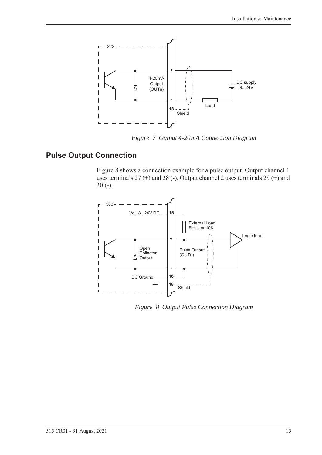

*Figure 7 Output 4-20 mA Connection Diagram*

## <span id="page-24-0"></span>**Pulse Output Connection**

<span id="page-24-1"></span>[Figure 8](#page-24-2) shows a connection example for a pulse output. Output channel 1 uses terminals 27 (+) and 28 (-). Output channel 2 uses terminals 29 (+) and 30 (-).



<span id="page-24-2"></span>*Figure 8 Output Pulse Connection Diagram*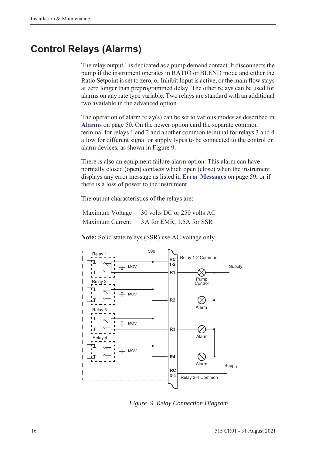# <span id="page-25-0"></span>**Control Relays (Alarms)**

The relay output 1 is dedicated as a pump demand contact. It disconnects the pump if the instrument operates in RATIO or BLEND mode and either the Ratio Setpoint is set to zero, or Inhibit Input is active, or the main flow stays at zero longer than preprogrammed delay. The other relays can be used for alarms on any rate type variable. Two relays are standard with an additional two available in the advanced option.

The operation of alarm relay(s) can be set to various modes as described in **Alarms** [on page 50.](#page-59-1) On the newer option card the separate common terminal for relays 1 and 2 and another common terminal for relays 3 and 4 allow for different signal or supply types to be connected to the control or alarm devices, as shown in [Figure 9.](#page-25-1)

There is also an equipment failure alarm option. This alarm can have normally closed (open) contacts which open (close) when the instrument displays any error message as listed in **[Error Messages](#page-68-2)** on page 59, or if there is a loss of power to the instrument.

The output characteristics of the relays are:

| Maximum Voltage | 30 volts DC or 250 volts AC |
|-----------------|-----------------------------|
| Maximum Current | 3A for EMR, 1.5A for SSR    |

**Note:** Solid state relays (SSR) use AC voltage only.



<span id="page-25-1"></span>*Figure 9 Relay Connection Diagram*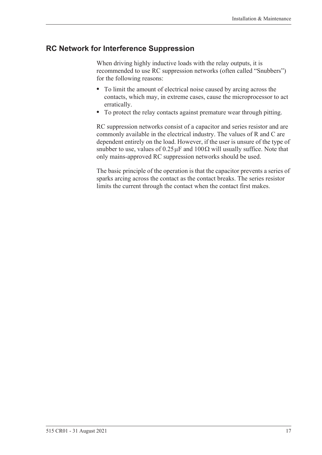### <span id="page-26-0"></span>**RC Network for Interference Suppression**

When driving highly inductive loads with the relay outputs, it is recommended to use RC suppression networks (often called "Snubbers") for the following reasons:

- **•** To limit the amount of electrical noise caused by arcing across the contacts, which may, in extreme cases, cause the microprocessor to act erratically.
- **•** To protect the relay contacts against premature wear through pitting.

RC suppression networks consist of a capacitor and series resistor and are commonly available in the electrical industry. The values of R and C are dependent entirely on the load. However, if the user is unsure of the type of snubber to use, values of  $0.25 \mu$ F and  $100 \Omega$  will usually suffice. Note that only mains-approved RC suppression networks should be used.

The basic principle of the operation is that the capacitor prevents a series of sparks arcing across the contact as the contact breaks. The series resistor limits the current through the contact when the contact first makes.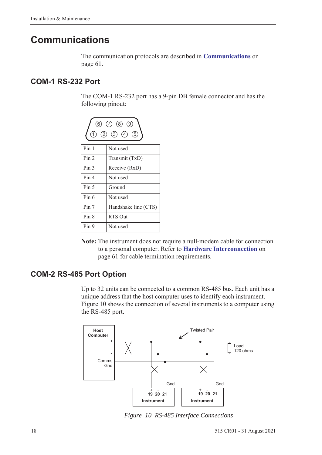# <span id="page-27-0"></span>**Communications**

The communication protocols are described in **[Communications](#page-70-4)** on [page 61.](#page-70-4)

### <span id="page-27-1"></span>**COM-1 RS-232 Port**

The COM-1 RS-232 port has a 9-pin DB female connector and has the following pinout:



**Note:** The instrument does not require a null-modem cable for connection to a personal computer. Refer to **[Hardware Interconnection](#page-70-5)** on [page 61](#page-70-5) for cable termination requirements.

### <span id="page-27-2"></span>**COM-2 RS-485 Port Option**

Up to 32 units can be connected to a common RS-485 bus. Each unit has a unique address that the host computer uses to identify each instrument. [Figure 10](#page-27-3) shows the connection of several instruments to a computer using the RS-485 port.



<span id="page-27-3"></span>*Figure 10 RS-485 Interface Connections*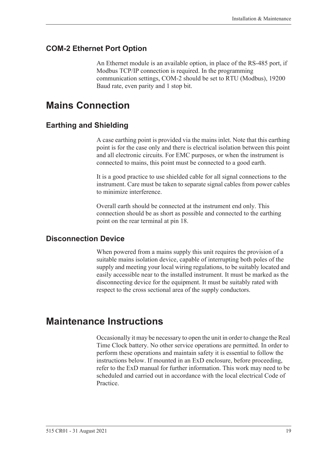### <span id="page-28-0"></span>**COM-2 Ethernet Port Option**

An Ethernet module is an available option, in place of the RS-485 port, if Modbus TCP/IP connection is required. In the programming communication settings, COM-2 should be set to RTU (Modbus), 19200 Baud rate, even parity and 1 stop bit.

# <span id="page-28-1"></span>**Mains Connection**

## <span id="page-28-2"></span>**Earthing and Shielding**

A case earthing point is provided via the mains inlet. Note that this earthing point is for the case only and there is electrical isolation between this point and all electronic circuits. For EMC purposes, or when the instrument is connected to mains, this point must be connected to a good earth.

It is a good practice to use shielded cable for all signal connections to the instrument. Care must be taken to separate signal cables from power cables to minimize interference.

Overall earth should be connected at the instrument end only. This connection should be as short as possible and connected to the earthing point on the rear terminal at pin 18.

#### <span id="page-28-3"></span>**Disconnection Device**

When powered from a mains supply this unit requires the provision of a suitable mains isolation device, capable of interrupting both poles of the supply and meeting your local wiring regulations, to be suitably located and easily accessible near to the installed instrument. It must be marked as the disconnecting device for the equipment. It must be suitably rated with respect to the cross sectional area of the supply conductors.

# <span id="page-28-4"></span>**Maintenance Instructions**

Occasionally it may be necessary to open the unit in order to change the Real Time Clock battery. No other service operations are permitted. In order to perform these operations and maintain safety it is essential to follow the instructions below. If mounted in an ExD enclosure, before proceeding, refer to the ExD manual for further information. This work may need to be scheduled and carried out in accordance with the local electrical Code of Practice.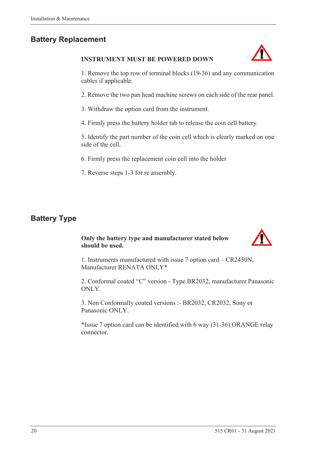# <span id="page-29-0"></span>**Battery Replacement**

#### **INSTRUMENT MUST BE POWERED DOWN**



1. Remove the top row of terminal blocks (19-36) and any communication cables if applicable.

2. Remove the two pan head machine screws on each side of the rear panel.

3. Withdraw the option card from the instrument.

4. Firmly press the battery holder tab to release the coin cell battery.

5. Identify the part number of the coin cell which is clearly marked on one side of the cell.

6. Firmly press the replacement coin cell into the holder

7. Reverse steps 1-3 for re assembly.

### <span id="page-29-1"></span>**Battery Type**

#### **Only the battery type and manufacturer stated below should be used.**



1. Instruments manufactured with issue 7 option card – CR2450N, Manufacturer RENATA ONLY\*

2. Conformal coated "C" version - Type BR2032, manufacturer Panasonic ONLY.

3. Non Conformally coated versions :- BR2032, CR2032, Sony or Panasonic ONLY.

\*Issue 7 option card can be identified with 6 way (31-36) ORANGE relay connector.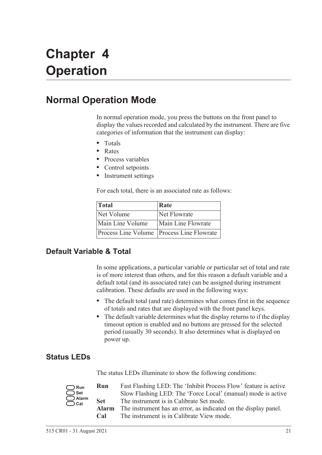# <span id="page-30-0"></span>**Chapter 4 Operation**

# <span id="page-30-1"></span>**Normal Operation Mode**

In normal operation mode, you press the buttons on the front panel to display the values recorded and calculated by the instrument. There are five categories of information that the instrument can display:

- **•** Totals
- **•** Rates
- **•** Process variables
- **•** Control setpoints
- **•** Instrument settings

For each total, there is an associated rate as follows:

| <b>Total</b>     | Rate                                             |
|------------------|--------------------------------------------------|
| Net Volume       | Net Flowrate                                     |
| Main Line Volume | Main Line Flowrate                               |
|                  | <b>Process Line Volume Process Line Flowrate</b> |

## <span id="page-30-2"></span>**Default Variable & Total**

In some applications, a particular variable or particular set of total and rate is of more interest than others, and for this reason a default variable and a default total (and its associated rate) can be assigned during instrument calibration. These defaults are used in the following ways:

- **•** The default total (and rate) determines what comes first in the sequence of totals and rates that are displayed with the front panel keys.
- **•** The default variable determines what the display returns to if the display timeout option is enabled and no buttons are pressed for the selected period (usually 30 seconds). It also determines what is displayed on power up.

### <span id="page-30-3"></span>**Status LEDs**

The status LEDs illuminate to show the following conditions:

| $\bigcap$ Run                            | Run             | Fast Flashing LED: The 'Inhibit Process Flow' feature is active |
|------------------------------------------|-----------------|-----------------------------------------------------------------|
| $\bigcap$ Set                            |                 | Slow Flashing LED: The 'Force Local' (manual) mode is active    |
| $\bigcirc$ Alarm<br>$\bar{\bigcirc}$ Cal | <b>Set</b>      | The instrument is in Calibrate Set mode.                        |
|                                          | <b>Alarm</b>    | The instrument has an error, as indicated on the display panel. |
|                                          | $\mathbf{C}$ al | The instrument is in Calibrate View mode.                       |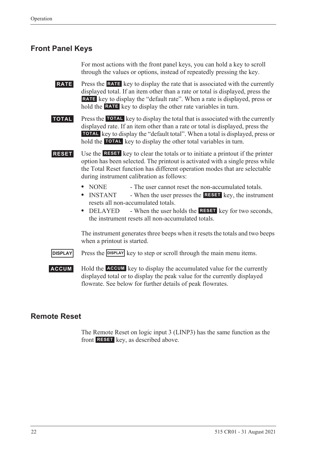### <span id="page-31-0"></span>**Front Panel Keys**

For most actions with the front panel keys, you can hold a key to scroll through the values or options, instead of repeatedly pressing the key.

**RATE** Press the **RATE** key to display the rate that is associated with the currently displayed total. If an item other than a rate or total is displayed, press the RATE key to display the "default rate". When a rate is displayed, press or hold the **RATE** key to display the other rate variables in turn.

**TOTAL** Press the TOTAL key to display the total that is associated with the currently displayed rate. If an item other than a rate or total is displayed, press the **TOTAL** key to display the "default total". When a total is displayed, press or hold the **TOTAL** key to display the other total variables in turn.

**RESET** Use the **RESET** key to clear the totals or to initiate a printout if the printer option has been selected. The printout is activated with a single press while the Total Reset function has different operation modes that are selectable during instrument calibration as follows:

- NONE The user cannot reset the non-accumulated totals.
- INSTANT When the user presses the **RESET** key, the instrument resets all non-accumulated totals.
- DELAYED When the user holds the **RESET** key for two seconds, the instrument resets all non-accumulated totals.

The instrument generates three beeps when it resets the totals and two beeps when a printout is started.

**DISPLAY** Press the **DISPLAY** key to step or scroll through the main menu items.

**ACCUM** Hold the **ACCUM** key to display the accumulated value for the currently displayed total or to display the peak value for the currently displayed flowrate. See below for further details of peak flowrates.

### <span id="page-31-1"></span>**Remote Reset**

The Remote Reset on logic input 3 (LINP3) has the same function as the front **RESET** key, as described above.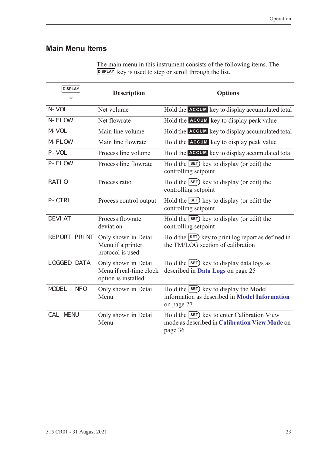## <span id="page-32-0"></span>**Main Menu Items**

| <b>DISPLAY</b>    | <b>Description</b>                                                     | <b>Options</b>                                                                                                  |
|-------------------|------------------------------------------------------------------------|-----------------------------------------------------------------------------------------------------------------|
| $N-VOL$           | Net volume                                                             | Hold the ACCUM key to display accumulated total                                                                 |
| N-FLOW            | Net flowrate                                                           | Hold the <b>ACCUM</b> key to display peak value                                                                 |
| M-VOL             | Main line volume                                                       | Hold the ACCUM key to display accumulated total                                                                 |
| M-FLOW            | Main line flowrate                                                     | Hold the ACCUM key to display peak value                                                                        |
| $P-VOL$           | Process line volume                                                    | Hold the ACCUM key to display accumulated total                                                                 |
| P-FLOW            | Process line flowrate                                                  | Hold the SET) key to display (or edit) the<br>controlling setpoint                                              |
| RATI <sub>0</sub> | Process ratio                                                          | Hold the SET) key to display (or edit) the<br>controlling setpoint                                              |
| P-CTRL            | Process control output                                                 | Hold the SET) key to display (or edit) the<br>controlling setpoint                                              |
| <b>DEVIAT</b>     | Process flowrate<br>deviation                                          | Hold the SET) key to display (or edit) the<br>controlling setpoint                                              |
| REPORT PRINT      | Only shown in Detail<br>Menu if a printer<br>protocol is used          | Hold the $\overline{\text{SET}}$ key to print log report as defined in<br>the TM/LOG section of calibration     |
| LOGGED DATA       | Only shown in Detail<br>Menu if real-time clock<br>option is installed | Hold the <b>SET</b> key to display data logs as<br>described in Data Logs on page 25                            |
| MODEL INFO        | Only shown in Detail<br>Menu                                           | Hold the SET) key to display the Model<br>information as described in Model Information<br>on page 27           |
| CAL MENU          | Only shown in Detail<br>Menu                                           | Hold the <b>SET</b> ) key to enter Calibration View<br>mode as described in Calibration View Mode on<br>page 36 |

The main menu in this instrument consists of the following items. The **DISPLAY** key is used to step or scroll through the list.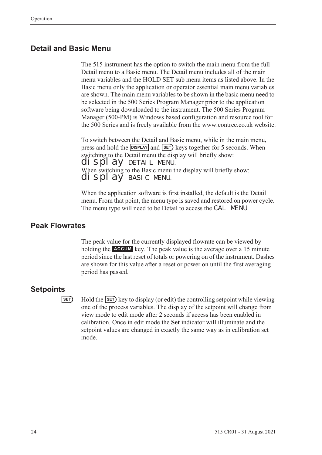## <span id="page-33-0"></span>**Detail and Basic Menu**

The 515 instrument has the option to switch the main menu from the full Detail menu to a Basic menu. The Detail menu includes all of the main menu variables and the HOLD SET sub menu items as listed above. In the Basic menu only the application or operator essential main menu variables are shown. The main menu variables to be shown in the basic menu need to be selected in the 500 Series Program Manager prior to the application software being downloaded to the instrument. The 500 Series Program Manager (500-PM) is Windows based configuration and resource tool for the 500 Series and is freely available from the www.contrec.co.uk website.

To switch between the Detail and Basic menu, while in the main menu, press and hold the **DISPLAY** and **SET**) keys together for 5 seconds. When switching to the Detail menu the display will briefly show: display DETAIL MENU. When switching to the Basic menu the display will briefly show: display BASIC MENU.

When the application software is first installed, the default is the Detail menu. From that point, the menu type is saved and restored on power cycle. The menu type will need to be Detail to access the CAL MENU

### <span id="page-33-1"></span>**Peak Flowrates**

The peak value for the currently displayed flowrate can be viewed by holding the **ACCUM** key. The peak value is the average over a 15 minute period since the last reset of totals or powering on of the instrument. Dashes are shown for this value after a reset or power on until the first averaging period has passed.

# <span id="page-33-2"></span>**Setpoints**

**EXET** Hold the **SET** key to display (or edit) the controlling setpoint while viewing one of the process variables. The display of the setpoint will change from view mode to edit mode after 2 seconds if access has been enabled in calibration. Once in edit mode the **Set** indicator will illuminate and the setpoint values are changed in exactly the same way as in calibration set mode.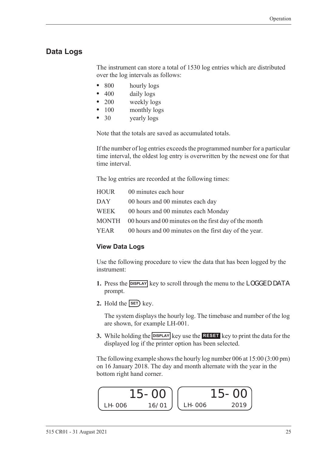### <span id="page-34-0"></span>**Data Logs**

The instrument can store a total of 1530 log entries which are distributed over the log intervals as follows:

- 800 hourly logs
- 400 daily logs
- **•** 200 weekly logs
- **•** 100 monthly logs
- 30 yearly logs

Note that the totals are saved as accumulated totals.

If the number of log entries exceeds the programmed number for a particular time interval, the oldest log entry is overwritten by the newest one for that time interval.

The log entries are recorded at the following times:

| HOUR | 00 minutes each hour                                        |
|------|-------------------------------------------------------------|
| DAY  | 00 hours and 00 minutes each day                            |
| WEEK | 00 hours and 00 minutes each Monday                         |
|      | MONTH 00 hours and 00 minutes on the first day of the month |
| YEAR | 00 hours and 00 minutes on the first day of the year.       |

#### **View Data Logs**

Use the following procedure to view the data that has been logged by the instrument:

- **1.** Press the **DISPLAY** key to scroll through the menu to the LOGGED DATA prompt.
- **2.** Hold the  $\overline{\text{SET}}$  key.

The system displays the hourly log. The timebase and number of the log are shown, for example LH-001.

**3.** While holding the **DISPLAY** key use the **RESET** key to print the data for the displayed log if the printer option has been selected.

The following example shows the hourly log number 006 at 15:00 (3:00 pm) on 16 January 2018. The day and month alternate with the year in the bottom right hand corner.

$$
\begin{array}{|c|c|c|}\n\hline\n15-00 \\
\hline\n16/01\n\end{array}\n\quad\n\begin{array}{|c|c|}\n\hline\n15-00 \\
\hline\n2019\n\end{array}
$$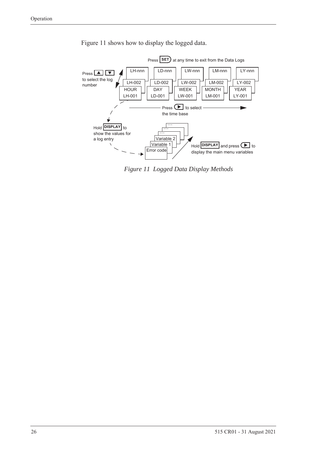

[Figure 11](#page-35-0) shows how to display the logged data.

<span id="page-35-0"></span>*Figure 11 Logged Data Display Methods*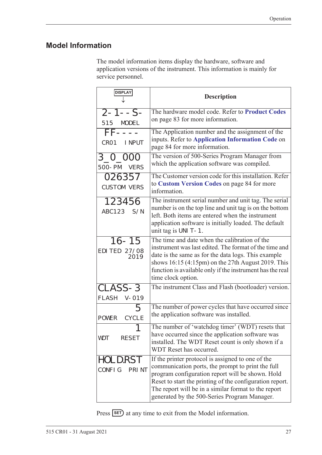### <span id="page-36-0"></span>**Model Information**

The model information items display the hardware, software and application versions of the instrument. This information is mainly for service personnel.

| <b>DISPLAY</b>                            | <b>Description</b>                                                                                                                                                                                                                                                                                                             |
|-------------------------------------------|--------------------------------------------------------------------------------------------------------------------------------------------------------------------------------------------------------------------------------------------------------------------------------------------------------------------------------|
| $2 - 1 - -5 -$<br>515 MODEL               | The hardware model code. Refer to Product Codes<br>on page 83 for more information.                                                                                                                                                                                                                                            |
| $FF---$<br>CRO1 INPUT                     | The Application number and the assignment of the<br>inputs. Refer to Application Information Code on<br>page 84 for more information.                                                                                                                                                                                          |
| 3 0 000<br>500-PM<br><b>VERS</b>          | The version of 500-Series Program Manager from<br>which the application software was compiled.                                                                                                                                                                                                                                 |
| 026357<br><b>CUSTOM VERS</b>              | The Customer version code for this installation. Refer<br>to Custom Version Codes on page 84 for more<br>information.                                                                                                                                                                                                          |
| 123456<br>ABC123 S/N                      | The instrument serial number and unit tag. The serial<br>number is on the top line and unit tag is on the bottom<br>left. Both items are entered when the instrument<br>application software is initially loaded. The default<br>unit tag is UNI T-1.                                                                          |
| $16 - 15$<br>EDI TED 27/08<br>2019        | The time and date when the calibration of the<br>instrument was last edited. The format of the time and<br>date is the same as for the data logs. This example<br>shows $16:15$ (4:15pm) on the 27th August 2019. This<br>function is available only if the instrument has the real<br>time clock option.                      |
| CLASS-3<br>FLASH V-019                    | The instrument Class and Flash (bootloader) version.                                                                                                                                                                                                                                                                           |
| <b>CYCLE</b><br>POWER                     | The number of power cycles that have occurred since<br>the application software was installed.                                                                                                                                                                                                                                 |
| <b>RESET</b><br>WDT                       | The number of 'watchdog timer' (WDT) resets that<br>have occurred since the application software was<br>installed. The WDT Reset count is only shown if a<br>WDT Reset has occurred.                                                                                                                                           |
| HOLD.RST<br><b>CONFIG</b><br><b>PRINT</b> | If the printer protocol is assigned to one of the<br>communication ports, the prompt to print the full<br>program configuration report will be shown. Hold<br>Reset to start the printing of the configuration report.<br>The report will be in a similar format to the report<br>generated by the 500-Series Program Manager. |

Press **SET**) at any time to exit from the Model information.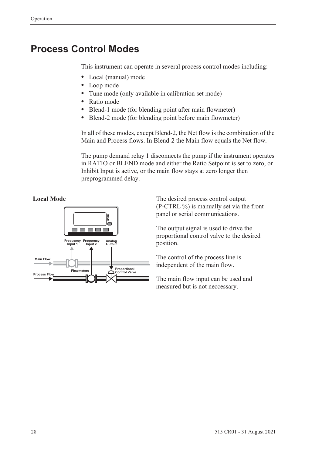## <span id="page-37-0"></span>**Process Control Modes**

This instrument can operate in several process control modes including:

- **•** Local (manual) mode
- **•** Loop mode
- **•** Tune mode (only available in calibration set mode)
- **•** Ratio mode
- **•** Blend-1 mode (for blending point after main flowmeter)
- **•** Blend-2 mode (for blending point before main flowmeter)

In all of these modes, except Blend-2, the Net flow is the combination of the Main and Process flows. In Blend-2 the Main flow equals the Net flow.

The pump demand relay 1 disconnects the pump if the instrument operates in RATIO or BLEND mode and either the Ratio Setpoint is set to zero, or Inhibit Input is active, or the main flow stays at zero longer then preprogrammed delay.



**Local Mode** The desired process control output (P-CTRL %) is manually set via the front panel or serial communications.

> The output signal is used to drive the proportional control valve to the desired position.

The control of the process line is independent of the main flow.

The main flow input can be used and measured but is not neccessary.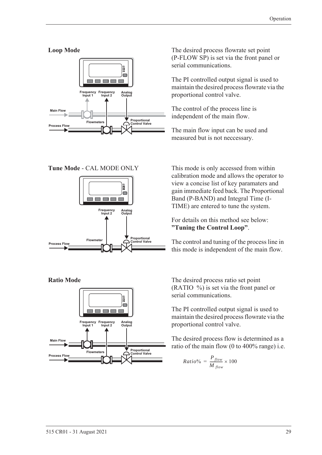





**Loop Mode** The desired process flowrate set point (P-FLOW SP) is set via the front panel or serial communications.

> The PI controlled output signal is used to maintain the desired process flowrate via the proportional control valve.

The control of the process line is independent of the main flow.

The main flow input can be used and measured but is not neccessary.

**Tune Mode** - CAL MODE ONLY This mode is only accessed from within calibration mode and allows the operator to view a concise list of key paramaters and gain immediate feed back. The Proportional Band (P-BAND) and Integral Time (I-TIME) are entered to tune the system.

> For details on this method see below: **"Tuning the Control Loop"**.

The control and tuning of the process line in this mode is independent of the main flow.

**Ratio Mode** The desired process ratio set point (RATIO %) is set via the front panel or serial communications.

> The PI controlled output signal is used to maintain the desired process flowrate via the proportional control valve.

> The desired process flow is determined as a ratio of the main flow (0 to 400% range) i.e.

$$
Ratio\% = \frac{P_{flow}}{M_{flow}} \times 100
$$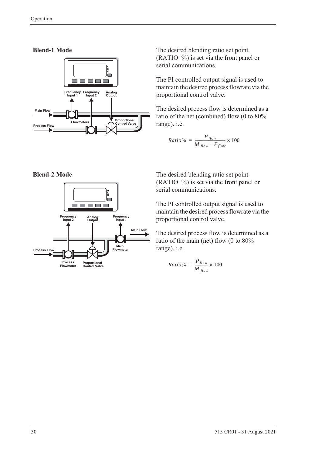

**Blend-1 Mode** The desired blending ratio set point (RATIO %) is set via the front panel or serial communications.

> The PI controlled output signal is used to maintain the desired process flowrate via the proportional control valve.

> The desired process flow is determined as a ratio of the net (combined) flow (0 to 80% range). i.e.

$$
Ratio\% = \frac{P_{flow}}{M_{flow} + P_{flow}} \times 100
$$

**Blend-2 Mode** The desired blending ratio set point (RATIO %) is set via the front panel or serial communications.

> The PI controlled output signal is used to maintain the desired process flowrate via the proportional control valve.

> The desired process flow is determined as a ratio of the main (net) flow (0 to 80% range). i.e.

$$
Ratio\% = \frac{P_{flow}}{M_{flow}} \times 100
$$

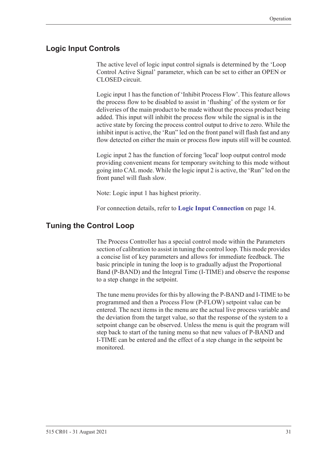#### **Logic Input Controls**

The active level of logic input control signals is determined by the 'Loop Control Active Signal' parameter, which can be set to either an OPEN or CLOSED circuit.

Logic input 1 has the function of 'Inhibit Process Flow'. This feature allows the process flow to be disabled to assist in 'flushing' of the system or for deliveries of the main product to be made without the process product being added. This input will inhibit the process flow while the signal is in the active state by forcing the process control output to drive to zero. While the inhibit input is active, the 'Run" led on the front panel will flash fast and any flow detected on either the main or process flow inputs still will be counted.

Logic input 2 has the function of forcing 'local' loop output control mode providing convenient means for temporary switching to this mode without going into CAL mode. While the logic input 2 is active, the 'Run" led on the front panel will flash slow.

Note: Logic input 1 has highest priority.

For connection details, refer to **[Logic Input Connection](#page-23-0)** on page 14.

#### <span id="page-40-0"></span>**Tuning the Control Loop**

The Process Controller has a special control mode within the Parameters section of calibration to assist in tuning the control loop. This mode provides a concise list of key parameters and allows for immediate feedback. The basic principle in tuning the loop is to gradually adjust the Proportional Band (P-BAND) and the Integral Time (I-TIME) and observe the response to a step change in the setpoint.

The tune menu provides for this by allowing the P-BAND and I-TIME to be programmed and then a Process Flow (P-FLOW) setpoint value can be entered. The next items in the menu are the actual live process variable and the deviation from the target value, so that the response of the system to a setpoint change can be observed. Unless the menu is quit the program will step back to start of the tuning menu so that new values of P-BAND and I-TIME can be entered and the effect of a step change in the setpoint be monitored.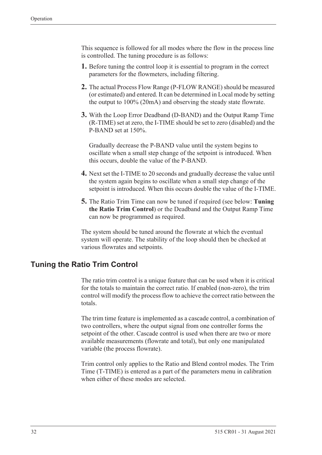This sequence is followed for all modes where the flow in the process line is controlled. The tuning procedure is as follows:

- **1.** Before tuning the control loop it is essential to program in the correct parameters for the flowmeters, including filtering.
- **2.** The actual Process Flow Range (P-FLOW RANGE) should be measured (or estimated) and entered. It can be determined in Local mode by setting the output to 100% (20mA) and observing the steady state flowrate.
- **3.** With the Loop Error Deadband (D-BAND) and the Output Ramp Time (R-TIME) set at zero, the I-TIME should be set to zero (disabled) and the P-BAND set at 150%.

Gradually decrease the P-BAND value until the system begins to oscillate when a small step change of the setpoint is introduced. When this occurs, double the value of the P-BAND.

- **4.** Next set the I-TIME to 20 seconds and gradually decrease the value until the system again begins to oscillate when a small step change of the setpoint is introduced. When this occurs double the value of the I-TIME.
- **5.** The Ratio Trim Time can now be tuned if required (see below: **Tuning the Ratio Trim Control**) or the Deadband and the Output Ramp Time can now be programmed as required.

The system should be tuned around the flowrate at which the eventual system will operate. The stability of the loop should then be checked at various flowrates and setpoints.

#### <span id="page-41-0"></span>**Tuning the Ratio Trim Control**

The ratio trim control is a unique feature that can be used when it is critical for the totals to maintain the correct ratio. If enabled (non-zero), the trim control will modify the process flow to achieve the correct ratio between the totals.

The trim time feature is implemented as a cascade control, a combination of two controllers, where the output signal from one controller forms the setpoint of the other. Cascade control is used when there are two or more available measurements (flowrate and total), but only one manipulated variable (the process flowrate).

Trim control only applies to the Ratio and Blend control modes. The Trim Time (T-TIME) is entered as a part of the parameters menu in calibration when either of these modes are selected.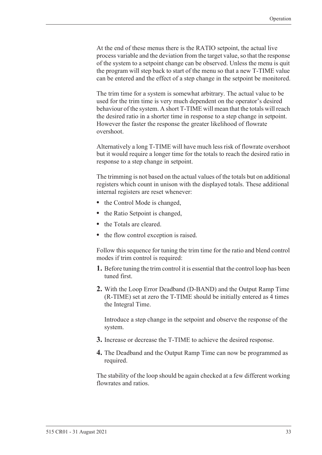At the end of these menus there is the RATIO setpoint, the actual live process variable and the deviation from the target value, so that the response of the system to a setpoint change can be observed. Unless the menu is quit the program will step back to start of the menu so that a new T-TIME value can be entered and the effect of a step change in the setpoint be monitored.

The trim time for a system is somewhat arbitrary. The actual value to be used for the trim time is very much dependent on the operator's desired behaviour of the system. A short T-TIME will mean that the totals will reach the desired ratio in a shorter time in response to a step change in setpoint. However the faster the response the greater likelihood of flowrate overshoot.

Alternatively a long T-TIME will have much less risk of flowrate overshoot but it would require a longer time for the totals to reach the desired ratio in response to a step change in setpoint.

The trimming is not based on the actual values of the totals but on additional registers which count in unison with the displayed totals. These additional internal registers are reset whenever:

- **•** the Control Mode is changed,
- **•** the Ratio Setpoint is changed,
- **•** the Totals are cleared.
- **•** the flow control exception is raised.

Follow this sequence for tuning the trim time for the ratio and blend control modes if trim control is required:

- **1.** Before tuning the trim control it is essential that the control loop has been tuned first.
- **2.** With the Loop Error Deadband (D-BAND) and the Output Ramp Time (R-TIME) set at zero the T-TIME should be initially entered as 4 times the Integral Time.

Introduce a step change in the setpoint and observe the response of the system.

- **3.** Increase or decrease the T-TIME to achieve the desired response.
- **4.** The Deadband and the Output Ramp Time can now be programmed as required.

The stability of the loop should be again checked at a few different working flowrates and ratios.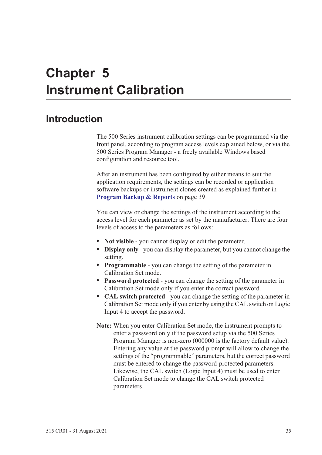# **Chapter 5 Instrument Calibration**

## **Introduction**

The 500 Series instrument calibration settings can be programmed via the front panel, according to program access levels explained below, or via the 500 Series Program Manager - a freely available Windows based configuration and resource tool.

After an instrument has been configured by either means to suit the application requirements, the settings can be recorded or application software backups or instrument clones created as explained further in **[Program Backup & Reports](#page-48-0)** on page 39

You can view or change the settings of the instrument according to the access level for each parameter as set by the manufacturer. There are four levels of access to the parameters as follows:

- **• Not visible** you cannot display or edit the parameter.
- **• Display only** you can display the parameter, but you cannot change the setting.
- **• Programmable** you can change the setting of the parameter in Calibration Set mode.
- **• Password protected** you can change the setting of the parameter in Calibration Set mode only if you enter the correct password.
- **• CAL switch protected**  you can change the setting of the parameter in Calibration Set mode only if you enter by using the CAL switch on Logic Input 4 to accept the password.
- **Note:** When you enter Calibration Set mode, the instrument prompts to enter a password only if the password setup via the 500 Series Program Manager is non-zero (000000 is the factory default value). Entering any value at the password prompt will allow to change the settings of the "programmable" parameters, but the correct password must be entered to change the password-protected parameters. Likewise, the CAL switch (Logic Input 4) must be used to enter Calibration Set mode to change the CAL switch protected parameters.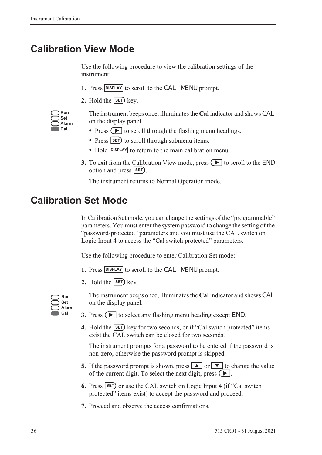## **Calibration View Mode**

Use the following procedure to view the calibration settings of the instrument:

- 1. Press **DISPLAY** to scroll to the CAL MENU prompt.
- **2.** Hold the  $\overline{\text{SET}}$  key.



The instrument beeps once, illuminates the **Cal** indicator and shows CAL on the display panel.

- Press  $\left( \blacktriangleright \right)$  to scroll through the flashing menu headings.
- Press **SET**) to scroll through submenu items.
- Hold **DISPLAY** to return to the main calibration menu.
- **3.** To exit from the Calibration View mode, press  $\Box$  to scroll to the END option and press **SET**).

The instrument returns to Normal Operation mode.

## **Calibration Set Mode**

In Calibration Set mode, you can change the settings of the "programmable" parameters. You must enter the system password to change the setting of the "password-protected" parameters and you must use the CAL switch on Logic Input 4 to access the "Cal switch protected" parameters.

Use the following procedure to enter Calibration Set mode:

- **1.** Press **DISPLAY** to scroll to the CAL MENU prompt.
- **2.** Hold the  $\overline{\text{SET}}$  key.



The instrument beeps once, illuminates the **Cal** indicator and shows CAL on the display panel.

- **3.** Press  $\left( \blacktriangleright \right)$  to select any flashing menu heading except END.
- **4.** Hold the **SET** key for two seconds, or if "Cal switch protected" items exist the CAL switch can be closed for two seconds.

The instrument prompts for a password to be entered if the password is non-zero, otherwise the password prompt is skipped.

- **5.** If the password prompt is shown, press  $\boxed{\blacktriangle}$  or  $\boxed{\blacktriangledown}$  to change the value of the current digit. To select the next digit, press  $\Box$ .
- **6.** Press **SET** or use the CAL switch on Logic Input 4 (if "Cal switch protected" items exist) to accept the password and proceed.
- **7.** Proceed and observe the access confirmations.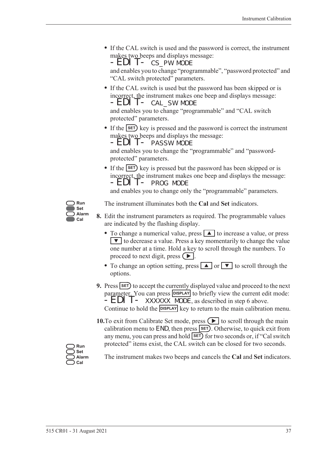**•** If the CAL switch is used and the password is correct, the instrument makes two beeps and displays message:  $-$ FDIT-CS PW MODE

and enables you to change "programmable", "password protected" and "CAL switch protected" parameters.

• If the CAL switch is used but the password has been skipped or is incorrect, the instrument makes one beep and displays message:  $-EDI$  - CAL\_SW MODE

and enables you to change "programmable" and "CAL switch protected" parameters.

- If the **SET**) key is pressed and the password is correct the instrument makes two beeps and displays the message:
	- $-EDI$   $-$  Passw mode

and enables you to change the "programmable" and "passwordprotected" parameters.

• If the **SET**) key is pressed but the password has been skipped or is incorrect, the instrument makes one beep and displays the message:  $\Box$   $\Box$   $-$  PROG MODE

and enables you to change only the "programmable" parameters.



The instrument illuminates both the **Cal** and **Set** indicators.

- **8.** Edit the instrument parameters as required. The programmable values are indicated by the flashing display.
	- To change a numerical value, press **A** to increase a value, or press  $\triangledown$  to decrease a value. Press a key momentarily to change the value one number at a time. Hold a key to scroll through the numbers. To proceed to next digit, press  $(\blacktriangleright)$ .
	- To change an option setting, press  $\Box$  or  $\nabla$  to scroll through the options.
- **9.** Press **SET** to accept the currently displayed value and proceed to the next parameter. You can press **DISPLAY** to briefly view the current edit mode: parameter. You can press  $\frac{\text{DISPLAY}}{\text{LO}}$  to briefly view the current ed:<br>-  $\text{EDI}$  T - XXXXXX MODE, as described in step 6 above. Continue to hold the **DISPLAY** key to return to the main calibration menu.
- **10.**To exit from Calibrate Set mode, press  $\Box$  to scroll through the main calibration menu to END, then press **SET**). Otherwise, to quick exit from any menu, you can press and hold **SET** for two seconds or, if "Cal switch protected" items exist, the CAL switch can be closed for two seconds.

**Run Set Alarm Cal**

The instrument makes two beeps and cancels the **Cal** and **Set** indicators.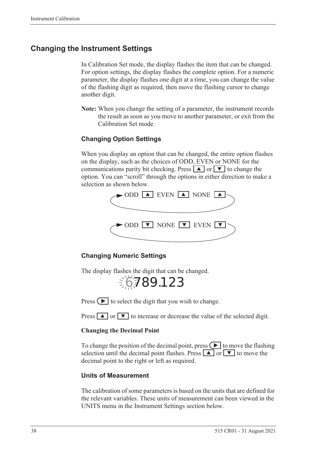#### **Changing the Instrument Settings**

In Calibration Set mode, the display flashes the item that can be changed. For option settings, the display flashes the complete option. For a numeric parameter, the display flashes one digit at a time, you can change the value of the flashing digit as required, then move the flashing cursor to change another digit.

**Note:** When you change the setting of a parameter, the instrument records the result as soon as you move to another parameter, or exit from the Calibration Set mode.

#### **Changing Option Settings**

When you display an option that can be changed, the entire option flashes on the display, such as the choices of ODD, EVEN or NONE for the communications parity bit checking. Press  $\boxed{\blacktriangle}$  or  $\boxed{\blacktriangledown}$  to change the option. You can "scroll" through the options in either direction to make a selection as shown below.



#### **Changing Numeric Settings**

The display flashes the digit that can be changed.



Press  $\left( \blacktriangleright \right)$  to select the digit that you wish to change.

Press  $\boxed{\blacktriangle}$  or  $\boxed{\blacktriangledown}$  to increase or decrease the value of the selected digit.

#### **Changing the Decimal Point**

To change the position of the decimal point, press  $\Box$  to move the flashing selection until the decimal point flashes. Press  $\boxed{\blacktriangle}$  or  $\boxed{\blacktriangledown}$  to move the decimal point to the right or left as required.

#### **Units of Measurement**

The calibration of some parameters is based on the units that are defined for the relevant variables. These units of measurement can been viewed in the UNITS menu in the Instrument Settings section below.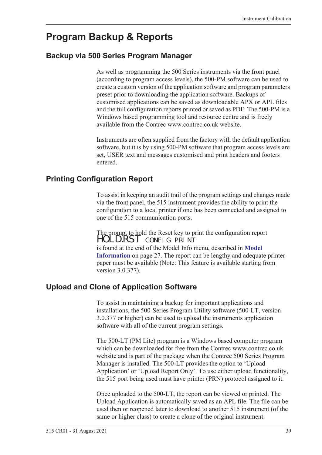## <span id="page-48-0"></span>**Program Backup & Reports**

#### **Backup via 500 Series Program Manager**

As well as programming the 500 Series instruments via the front panel (according to program access levels), the 500-PM software can be used to create a custom version of the application software and program parameters preset prior to downloading the application software. Backups of customised applications can be saved as downloadable APX or APL files and the full configuration reports printed or saved as PDF. The 500-PM is a Windows based programming tool and resource centre and is freely available from the Contrec www.contrec.co.uk website.

Instruments are often supplied from the factory with the default application software, but it is by using 500-PM software that program access levels are set, USER text and messages customised and print headers and footers entered.

#### **Printing Configuration Report**

To assist in keeping an audit trail of the program settings and changes made via the front panel, the 515 instrument provides the ability to print the configuration to a local printer if one has been connected and assigned to one of the 515 communication ports.

The prompt to hold the Reset key to print the configuration report HOLD.RST CONFIG PRINT is found at the end of the Model Info menu, described in **[Model](#page-36-0)  [Information](#page-36-0)** on page 27. The report can be lengthy and adequate printer paper must be available (Note: This feature is available starting from version 3.0.377).

#### **Upload and Clone of Application Software**

To assist in maintaining a backup for important applications and installations, the 500-Series Program Utility software (500-LT, version 3.0.377 or higher) can be used to upload the instruments application software with all of the current program settings.

The 500-LT (PM Lite) program is a Windows based computer program which can be downloaded for free from the Contrec www.contrec.co.uk website and is part of the package when the Contrec 500 Series Program Manager is installed. The 500-LT provides the option to 'Upload Application' or 'Upload Report Only'. To use either upload functionality, the 515 port being used must have printer (PRN) protocol assigned to it.

Once uploaded to the 500-LT, the report can be viewed or printed. The Upload Application is automatically saved as an APL file. The file can be used then or reopened later to download to another 515 instrument (of the same or higher class) to create a clone of the original instrument.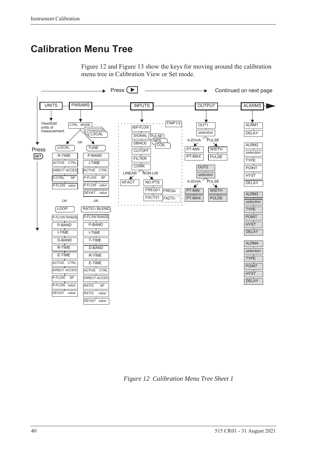## **Calibration Menu Tree**



[Figure 12](#page-49-0) and [Figure 13](#page-50-0) show the keys for moving around the calibration menu tree in Calibration View or Set mode.

<span id="page-49-0"></span>*Figure 12 Calibration Menu Tree Sheet 1*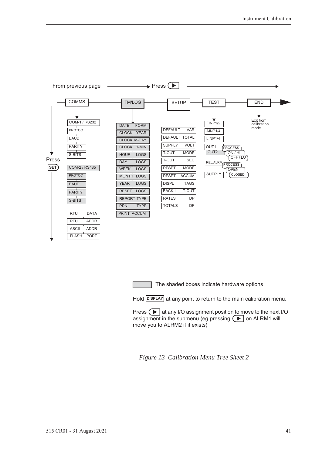

The shaded boxes indicate hardware options

Hold **DISPLAY** at any point to return to the main calibration menu.

Press  $\Box$  at any I/O assignment position to move to the next I/O assignment in the submenu (eg pressing  $\left( \blacktriangleright \right)$  on ALRM1 will move you to ALRM2 if it exists)

<span id="page-50-0"></span>*Figure 13 Calibration Menu Tree Sheet 2*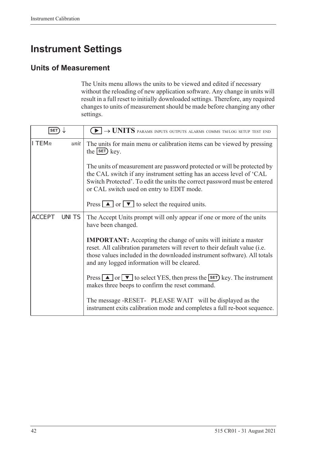## **Instrument Settings**

#### **Units of Measurement**

The Units menu allows the units to be viewed and edited if necessary without the reloading of new application software. Any change in units will result in a full reset to initially downloaded settings. Therefore, any required changes to units of measurement should be made before changing any other settings.

| <b>SET</b>                    | $\blacktriangleright$ $\rightarrow$ UNITS params inputs outputs alarms comms tm/log setup test end                                                                                                                                                                              |  |
|-------------------------------|---------------------------------------------------------------------------------------------------------------------------------------------------------------------------------------------------------------------------------------------------------------------------------|--|
| $I$ TEM $n$<br>unit           | The units for main menu or calibration items can be viewed by pressing<br>the $\left  \text{set} \right $ key.                                                                                                                                                                  |  |
|                               | The units of measurement are password protected or will be protected by<br>the CAL switch if any instrument setting has an access level of 'CAL<br>Switch Protected'. To edit the units the correct password must be entered<br>or CAL switch used on entry to EDIT mode.       |  |
|                               | Press $\boxed{\blacktriangle}$ or $\boxed{\blacktriangledown}$ to select the required units.                                                                                                                                                                                    |  |
| <b>ACCEPT</b><br><b>UNITS</b> | The Accept Units prompt will only appear if one or more of the units<br>have been changed.                                                                                                                                                                                      |  |
|                               | <b>IMPORTANT:</b> Accepting the change of units will initiate a master<br>reset. All calibration parameters will revert to their default value (i.e.<br>those values included in the downloaded instrument software). All totals<br>and any logged information will be cleared. |  |
|                               | Press $\boxed{\blacktriangle}$ or $\boxed{\blacktriangledown}$ to select YES, then press the SET key. The instrument<br>makes three beeps to confirm the reset command.                                                                                                         |  |
|                               | The message -RESET- PLEASE WAIT will be displayed as the<br>instrument exits calibration mode and completes a full re-boot sequence.                                                                                                                                            |  |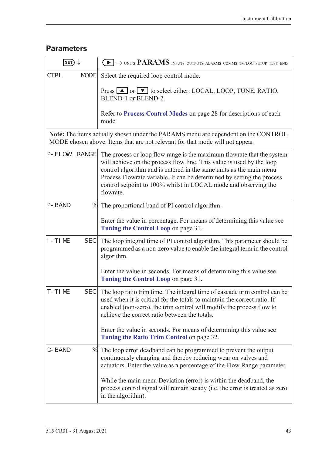### **Parameters**

| SET)                       | $\blacktriangleright$ $\rightarrow$ units PARAMS inputs outputs alarms comms tm/log setup test end                                                                                                                                                                                                                                                                               |
|----------------------------|----------------------------------------------------------------------------------------------------------------------------------------------------------------------------------------------------------------------------------------------------------------------------------------------------------------------------------------------------------------------------------|
| <b>CTRL</b><br><b>MODE</b> | Select the required loop control mode.                                                                                                                                                                                                                                                                                                                                           |
|                            | Press <u>A</u> or <b>V</b> to select either: LOCAL, LOOP, TUNE, RATIO,<br>BLEND-1 or BLEND-2.                                                                                                                                                                                                                                                                                    |
|                            | Refer to Process Control Modes on page 28 for descriptions of each<br>mode.                                                                                                                                                                                                                                                                                                      |
|                            | Note: The items actually shown under the PARAMS menu are dependent on the CONTROL<br>MODE chosen above. Items that are not relevant for that mode will not appear.                                                                                                                                                                                                               |
| P-FLOW<br>RANGE            | The process or loop flow range is the maximum flowrate that the system<br>will achieve on the process flow line. This value is used by the loop<br>control algorithm and is entered in the same units as the main menu<br>Process Flowrate variable. It can be determined by setting the process<br>control setpoint to 100% whilst in LOCAL mode and observing the<br>flowrate. |
| P-BAND<br>%                | The proportional band of PI control algorithm.                                                                                                                                                                                                                                                                                                                                   |
|                            | Enter the value in percentage. For means of determining this value see<br>Tuning the Control Loop on page 31.                                                                                                                                                                                                                                                                    |
| $I - T I ME$<br><b>SEC</b> | The loop integral time of PI control algorithm. This parameter should be<br>programmed as a non-zero value to enable the integral term in the control<br>algorithm.                                                                                                                                                                                                              |
|                            | Enter the value in seconds. For means of determining this value see<br>Tuning the Control Loop on page 31.                                                                                                                                                                                                                                                                       |
| T-TIME<br><b>SEC</b>       | The loop ratio trim time. The integral time of cascade trim control can be<br>used when it is critical for the totals to maintain the correct ratio. If<br>enabled (non-zero), the trim control will modify the process flow to<br>achieve the correct ratio between the totals.                                                                                                 |
|                            | Enter the value in seconds. For means of determining this value see<br>Tuning the Ratio Trim Control on page 32.                                                                                                                                                                                                                                                                 |
| D-BAND<br>%                | The loop error deadband can be programmed to prevent the output<br>continuously changing and thereby reducing wear on valves and<br>actuators. Enter the value as a percentage of the Flow Range parameter.                                                                                                                                                                      |
|                            | While the main menu Deviation (error) is within the deadband, the<br>process control signal will remain steady (i.e. the error is treated as zero<br>in the algorithm).                                                                                                                                                                                                          |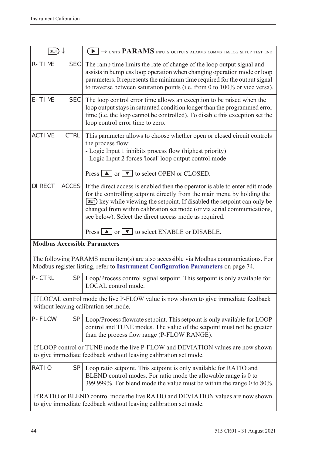| SET)                                                                                                                                                 | $\blacktriangleright$ $\rightarrow$ units PARAMS inputs outputs alarms comms tm/log setup test end                                                                                                                                                                                                                                                                                                                                                                       |  |  |
|------------------------------------------------------------------------------------------------------------------------------------------------------|--------------------------------------------------------------------------------------------------------------------------------------------------------------------------------------------------------------------------------------------------------------------------------------------------------------------------------------------------------------------------------------------------------------------------------------------------------------------------|--|--|
| R-TIME<br><b>SEC</b>                                                                                                                                 | The ramp time limits the rate of change of the loop output signal and<br>assists in bumpless loop operation when changing operation mode or loop<br>parameters. It represents the minimum time required for the output signal<br>to traverse between saturation points (i.e. from 0 to 100% or vice versa).                                                                                                                                                              |  |  |
| E-TIME<br><b>SEC</b>                                                                                                                                 | The loop control error time allows an exception to be raised when the<br>loop output stays in saturated condition longer than the programmed error<br>time (i.e. the loop cannot be controlled). To disable this exception set the<br>loop control error time to zero.                                                                                                                                                                                                   |  |  |
| <b>ACTI VE</b><br><b>CTRL</b>                                                                                                                        | This parameter allows to choose whether open or closed circuit controls<br>the process flow:<br>- Logic Input 1 inhibits process flow (highest priority)<br>- Logic Input 2 forces 'local' loop output control mode<br>Press $\boxed{\blacktriangle}$ or $\boxed{\blacktriangledown}$ to select OPEN or CLOSED.                                                                                                                                                          |  |  |
| DI RECT<br><b>ACCES</b>                                                                                                                              | If the direct access is enabled then the operator is able to enter edit mode<br>for the controlling setpoint directly from the main menu by holding the<br>SET) key while viewing the setpoint. If disabled the setpoint can only be<br>changed from within calibration set mode (or via serial communications,<br>see below). Select the direct access mode as required.<br>Press $\boxed{\blacktriangle}$ or $\boxed{\blacktriangledown}$ to select ENABLE or DISABLE. |  |  |
| <b>Modbus Accessible Parameters</b>                                                                                                                  |                                                                                                                                                                                                                                                                                                                                                                                                                                                                          |  |  |
|                                                                                                                                                      | The following PARAMS menu item(s) are also accessible via Modbus communications. For<br>Modbus register listing, refer to Instrument Configuration Parameters on page 74.                                                                                                                                                                                                                                                                                                |  |  |
| P-CTRL<br><b>SPI</b>                                                                                                                                 | Loop/Process control signal setpoint. This setpoint is only available for<br>LOCAL control mode.                                                                                                                                                                                                                                                                                                                                                                         |  |  |
| without leaving calibration set mode.                                                                                                                | If LOCAL control mode the live P-FLOW value is now shown to give immediate feedback                                                                                                                                                                                                                                                                                                                                                                                      |  |  |
| P-FLOW<br><b>SP</b>                                                                                                                                  | Loop/Process flowrate setpoint. This setpoint is only available for LOOP<br>control and TUNE modes. The value of the setpoint must not be greater<br>than the process flow range (P-FLOW RANGE).                                                                                                                                                                                                                                                                         |  |  |
| If LOOP control or TUNE mode the live P-FLOW and DEVIATION values are now shown<br>to give immediate feedback without leaving calibration set mode.  |                                                                                                                                                                                                                                                                                                                                                                                                                                                                          |  |  |
| RATI <sub>0</sub><br><b>SP</b>                                                                                                                       | Loop ratio setpoint. This setpoint is only available for RATIO and<br>BLEND control modes. For ratio mode the allowable range is 0 to<br>399.999%. For blend mode the value must be within the range 0 to 80%.                                                                                                                                                                                                                                                           |  |  |
| If RATIO or BLEND control mode the live RATIO and DEVIATION values are now shown<br>to give immediate feedback without leaving calibration set mode. |                                                                                                                                                                                                                                                                                                                                                                                                                                                                          |  |  |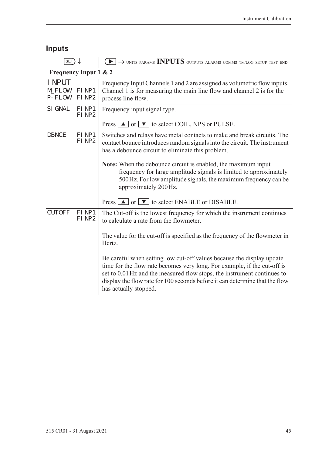## **Inputs**

| <b>SET</b>                 | $\rightarrow$ units params INPUTS outputs alarms comms tm/log setup test end |                                                                                                                                                                                                                                                                                                                                                                                                                                                                                                                                                    |  |  |
|----------------------------|------------------------------------------------------------------------------|----------------------------------------------------------------------------------------------------------------------------------------------------------------------------------------------------------------------------------------------------------------------------------------------------------------------------------------------------------------------------------------------------------------------------------------------------------------------------------------------------------------------------------------------------|--|--|
|                            | Frequency Input 1 & 2                                                        |                                                                                                                                                                                                                                                                                                                                                                                                                                                                                                                                                    |  |  |
| I NPUT<br>M_FLOW<br>P-FLOW | FINP1<br>FINP <sub>2</sub>                                                   | Frequency Input Channels 1 and 2 are assigned as volumetric flow inputs.<br>Channel 1 is for measuring the main line flow and channel 2 is for the<br>process line flow.                                                                                                                                                                                                                                                                                                                                                                           |  |  |
| SI GNAL                    | FINP1<br>FINP <sub>2</sub>                                                   | Frequency input signal type.<br>Press $\Box$ or $\Box$ to select COIL, NPS or PULSE.                                                                                                                                                                                                                                                                                                                                                                                                                                                               |  |  |
| <b>DBNCE</b>               | FINP1<br>FI <sub>NP2</sub>                                                   | Switches and relays have metal contacts to make and break circuits. The<br>contact bounce introduces random signals into the circuit. The instrument<br>has a debounce circuit to eliminate this problem.<br>Note: When the debounce circuit is enabled, the maximum input<br>frequency for large amplitude signals is limited to approximately<br>500 Hz. For low amplitude signals, the maximum frequency can be<br>approximately 200Hz.<br>Press $\boxed{\blacktriangle}$ or $\boxed{\blacktriangledown}$ to select ENABLE or DISABLE.          |  |  |
| <b>CUTOFF</b>              | FINP1<br>FI <sub>NP2</sub>                                                   | The Cut-off is the lowest frequency for which the instrument continues<br>to calculate a rate from the flowmeter.<br>The value for the cut-off is specified as the frequency of the flowmeter in<br>Hertz.<br>Be careful when setting low cut-off values because the display update<br>time for the flow rate becomes very long. For example, if the cut-off is<br>set to 0.01 Hz and the measured flow stops, the instrument continues to<br>display the flow rate for 100 seconds before it can determine that the flow<br>has actually stopped. |  |  |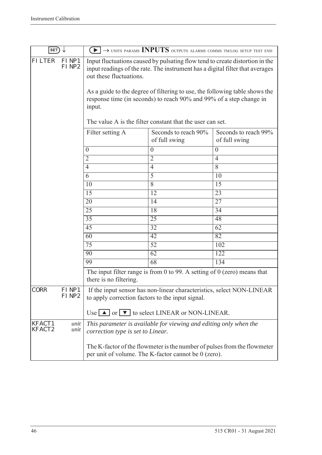| SET)             |                            |                                                                                                                                                                                                                                                                                                                                                                                                                       | $\rightarrow$ UNITS PARAMS INPUTS OUTPUTS ALARMS COMMS TM/LOG SETUP TEST END                                                     |                                       |
|------------------|----------------------------|-----------------------------------------------------------------------------------------------------------------------------------------------------------------------------------------------------------------------------------------------------------------------------------------------------------------------------------------------------------------------------------------------------------------------|----------------------------------------------------------------------------------------------------------------------------------|---------------------------------------|
| <b>FILTER</b>    | FINP1<br>FINP <sub>2</sub> | Input fluctuations caused by pulsating flow tend to create distortion in the<br>input readings of the rate. The instrument has a digital filter that averages<br>out these fluctuations.<br>As a guide to the degree of filtering to use, the following table shows the<br>response time (in seconds) to reach 90% and 99% of a step change in<br>input.<br>The value A is the filter constant that the user can set. |                                                                                                                                  |                                       |
|                  |                            | Filter setting A                                                                                                                                                                                                                                                                                                                                                                                                      | Seconds to reach 90%<br>of full swing                                                                                            | Seconds to reach 99%<br>of full swing |
|                  |                            | $\overline{0}$                                                                                                                                                                                                                                                                                                                                                                                                        | $\overline{0}$                                                                                                                   | $\boldsymbol{0}$                      |
|                  |                            | $\overline{2}$                                                                                                                                                                                                                                                                                                                                                                                                        | $\overline{2}$                                                                                                                   | $\overline{4}$                        |
|                  |                            | $\overline{4}$                                                                                                                                                                                                                                                                                                                                                                                                        | $\overline{4}$                                                                                                                   | $\overline{8}$                        |
|                  |                            | 6                                                                                                                                                                                                                                                                                                                                                                                                                     | $\overline{5}$                                                                                                                   | 10                                    |
|                  |                            | 10                                                                                                                                                                                                                                                                                                                                                                                                                    | 8                                                                                                                                | 15                                    |
|                  |                            | 15                                                                                                                                                                                                                                                                                                                                                                                                                    | $\overline{12}$                                                                                                                  | 23                                    |
|                  |                            | 20                                                                                                                                                                                                                                                                                                                                                                                                                    | 14                                                                                                                               | 27                                    |
|                  |                            | 25                                                                                                                                                                                                                                                                                                                                                                                                                    | 18                                                                                                                               | 34                                    |
|                  |                            | $\overline{35}$                                                                                                                                                                                                                                                                                                                                                                                                       | $\overline{25}$                                                                                                                  | 48                                    |
|                  |                            | $\overline{45}$                                                                                                                                                                                                                                                                                                                                                                                                       | $\overline{32}$                                                                                                                  | 62                                    |
|                  |                            | 60                                                                                                                                                                                                                                                                                                                                                                                                                    | 42                                                                                                                               | 82                                    |
|                  |                            | $\overline{75}$                                                                                                                                                                                                                                                                                                                                                                                                       | $\overline{52}$                                                                                                                  | 102                                   |
|                  |                            | 90                                                                                                                                                                                                                                                                                                                                                                                                                    | $\overline{62}$                                                                                                                  | 122                                   |
|                  |                            | $9\overline{9}$                                                                                                                                                                                                                                                                                                                                                                                                       | 68                                                                                                                               | 134                                   |
|                  |                            | there is no filtering.                                                                                                                                                                                                                                                                                                                                                                                                | The input filter range is from 0 to 99. A setting of $0$ (zero) means that                                                       |                                       |
| <b>CORR</b>      | FINP1<br>FI <sub>NP2</sub> | If the input sensor has non-linear characteristics, select NON-LINEAR<br>to apply correction factors to the input signal.<br>Use $\Box$ or $\Box$ to select LINEAR or NON-LINEAR.                                                                                                                                                                                                                                     |                                                                                                                                  |                                       |
| KFACT1<br>KFACT2 | unit<br>unit               | This parameter is available for viewing and editing only when the<br>correction type is set to Linear.                                                                                                                                                                                                                                                                                                                |                                                                                                                                  |                                       |
|                  |                            |                                                                                                                                                                                                                                                                                                                                                                                                                       | The K-factor of the flowmeter is the number of pulses from the flowmeter<br>per unit of volume. The K-factor cannot be 0 (zero). |                                       |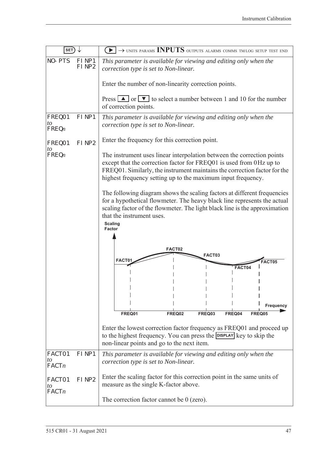| SET)                         |                            | $\rightarrow$ UNITS PARAMS INPUTS OUTPUTS ALARMS COMMS TM/LOG SETUP TEST END                                                                                                                                                                                                                                                                                                                                                                                                                                                                                                                                                   |  |  |
|------------------------------|----------------------------|--------------------------------------------------------------------------------------------------------------------------------------------------------------------------------------------------------------------------------------------------------------------------------------------------------------------------------------------------------------------------------------------------------------------------------------------------------------------------------------------------------------------------------------------------------------------------------------------------------------------------------|--|--|
| NO-PTS                       | FINP1<br>FI <sub>NP2</sub> | This parameter is available for viewing and editing only when the<br>correction type is set to Non-linear.                                                                                                                                                                                                                                                                                                                                                                                                                                                                                                                     |  |  |
|                              |                            | Enter the number of non-linearity correction points.                                                                                                                                                                                                                                                                                                                                                                                                                                                                                                                                                                           |  |  |
|                              |                            | Press $\Box$ or $\nabla$ to select a number between 1 and 10 for the number<br>of correction points.                                                                                                                                                                                                                                                                                                                                                                                                                                                                                                                           |  |  |
| <b>FREQ01</b><br>to<br>FREDn | FI <sub>NP1</sub>          | This parameter is available for viewing and editing only when the<br>correction type is set to Non-linear.                                                                                                                                                                                                                                                                                                                                                                                                                                                                                                                     |  |  |
| <b>FREQ01</b>                | FI <sub>NP2</sub>          | Enter the frequency for this correction point.                                                                                                                                                                                                                                                                                                                                                                                                                                                                                                                                                                                 |  |  |
| to<br>FREDn                  |                            | The instrument uses linear interpolation between the correction points<br>except that the correction factor for FREQ01 is used from 0Hz up to<br>FREQ01. Similarly, the instrument maintains the correction factor for the<br>highest frequency setting up to the maximum input frequency.<br>The following diagram shows the scaling factors at different frequencies<br>for a hypothetical flowmeter. The heavy black line represents the actual<br>scaling factor of the flowmeter. The light black line is the approximation<br>that the instrument uses.<br><b>Scaling</b><br><b>Factor</b><br>FACT02<br>FACT03<br>FACT01 |  |  |
|                              |                            | FACT05<br>FACT04                                                                                                                                                                                                                                                                                                                                                                                                                                                                                                                                                                                                               |  |  |
|                              |                            | <b>Frequency</b>                                                                                                                                                                                                                                                                                                                                                                                                                                                                                                                                                                                                               |  |  |
|                              |                            | FREQ02<br>FREQ01<br>FREQ03<br>FREQ04<br>FREQ05                                                                                                                                                                                                                                                                                                                                                                                                                                                                                                                                                                                 |  |  |
|                              |                            | Enter the lowest correction factor frequency as FREQ01 and proceed up<br>to the highest frequency. You can press the <b>DISPLAY</b> key to skip the<br>non-linear points and go to the next item.                                                                                                                                                                                                                                                                                                                                                                                                                              |  |  |
| FACT01<br>to<br>FACTn        | FI <sub>NP1</sub>          | This parameter is available for viewing and editing only when the<br>correction type is set to Non-linear.                                                                                                                                                                                                                                                                                                                                                                                                                                                                                                                     |  |  |
| FACT01<br>to<br>FACTn        | FI <sub>NP2</sub>          | Enter the scaling factor for this correction point in the same units of<br>measure as the single K-factor above.                                                                                                                                                                                                                                                                                                                                                                                                                                                                                                               |  |  |
|                              |                            | The correction factor cannot be $0$ (zero).                                                                                                                                                                                                                                                                                                                                                                                                                                                                                                                                                                                    |  |  |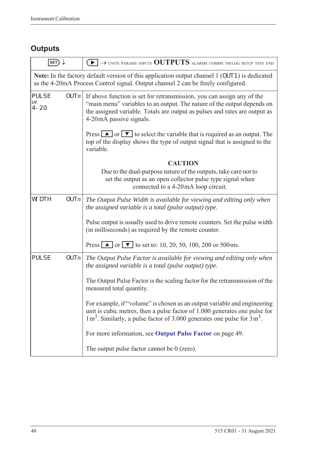## **Outputs**

| $\textcolor{blue}{\blacktriangleright} \rightarrow$ units params inputs $\textcolor{blue}{\text{OUTPUTS}}$ alarms comms tmlog setup test end<br>SET) |                                                                                                                                                                                                                                                             |  |  |
|------------------------------------------------------------------------------------------------------------------------------------------------------|-------------------------------------------------------------------------------------------------------------------------------------------------------------------------------------------------------------------------------------------------------------|--|--|
|                                                                                                                                                      | Note: In the factory default version of this application output channel 1 (OUT1) is dedicated<br>as the 4-20mA Process Control signal. Output channel 2 can be freely configured.                                                                           |  |  |
| OUT <sub>n</sub><br><b>PULSE</b><br><sub>or</sub><br>$4 - 20$                                                                                        | If above function is set for retransmission, you can assign any of the<br>"main menu" variables to an output. The nature of the output depends on<br>the assigned variable. Totals are output as pulses and rates are output as<br>4-20 mA passive signals. |  |  |
|                                                                                                                                                      | Press $\Box$ or $\nabla$ to select the variable that is required as an output. The<br>top of the display shows the type of output signal that is assigned to the<br>variable.                                                                               |  |  |
|                                                                                                                                                      | <b>CAUTION</b>                                                                                                                                                                                                                                              |  |  |
|                                                                                                                                                      | Due to the dual-purpose nature of the outputs, take care not to<br>set the output as an open collector pulse type signal when<br>connected to a 4-20mA loop circuit.                                                                                        |  |  |
| <b>WI DTH</b><br>OUT <sub>n</sub>                                                                                                                    | The Output Pulse Width is available for viewing and editing only when<br>the assigned variable is a total (pulse output) type.                                                                                                                              |  |  |
|                                                                                                                                                      | Pulse output is usually used to drive remote counters. Set the pulse width<br>(in milliseconds) as required by the remote counter.                                                                                                                          |  |  |
|                                                                                                                                                      | Press $\boxed{\blacktriangle}$ or $\boxed{\blacktriangledown}$ to set to: 10, 20, 50, 100, 200 or 500 ms.                                                                                                                                                   |  |  |
| <b>PULSE</b><br>OUTn                                                                                                                                 | The Output Pulse Factor is available for viewing and editing only when<br>the assigned variable is a total (pulse output) type.                                                                                                                             |  |  |
|                                                                                                                                                      | The Output Pulse Factor is the scaling factor for the retransmission of the<br>measured total quantity.                                                                                                                                                     |  |  |
|                                                                                                                                                      | For example, if "volume" is chosen as an output variable and engineering<br>unit is cubic metres, then a pulse factor of 1.000 generates one pulse for<br>$1 \text{ m}^3$ . Similarly, a pulse factor of 3.000 generates one pulse for $3 \text{ m}^3$ .    |  |  |
|                                                                                                                                                      | For more information, see Output Pulse Factor on page 49.                                                                                                                                                                                                   |  |  |
|                                                                                                                                                      | The output pulse factor cannot be $0$ (zero).                                                                                                                                                                                                               |  |  |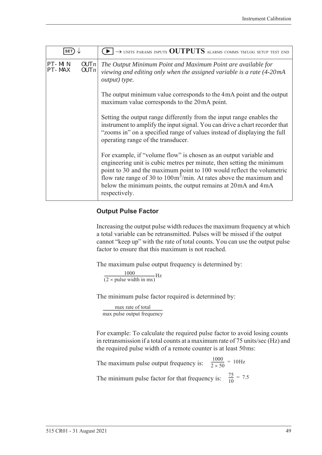| <b>SET</b>                                   | $\rightarrow$ units params inputs OUTPUTS alarms comms tm/log setup test end                                                                                                                                                                                                                                                                                                                  |
|----------------------------------------------|-----------------------------------------------------------------------------------------------------------------------------------------------------------------------------------------------------------------------------------------------------------------------------------------------------------------------------------------------------------------------------------------------|
| PT-MIN<br>OUT <sub>n</sub><br>PT-MAX<br>OUTn | The Output Minimum Point and Maximum Point are available for<br>viewing and editing only when the assigned variable is a rate (4-20mA<br>output) type.                                                                                                                                                                                                                                        |
|                                              | The output minimum value corresponds to the 4mA point and the output<br>maximum value corresponds to the 20mA point.                                                                                                                                                                                                                                                                          |
|                                              | Setting the output range differently from the input range enables the<br>instrument to amplify the input signal. You can drive a chart recorder that<br>"zooms in" on a specified range of values instead of displaying the full<br>operating range of the transducer.                                                                                                                        |
|                                              | For example, if "volume flow" is chosen as an output variable and<br>engineering unit is cubic metres per minute, then setting the minimum<br>point to 30 and the maximum point to 100 would reflect the volumetric<br>flow rate range of 30 to $100 \text{m}^3/\text{min}$ . At rates above the maximum and<br>below the minimum points, the output remains at 20mA and 4mA<br>respectively. |

#### <span id="page-58-0"></span>**Output Pulse Factor**

Increasing the output pulse width reduces the maximum frequency at which a total variable can be retransmitted. Pulses will be missed if the output cannot "keep up" with the rate of total counts. You can use the output pulse factor to ensure that this maximum is not reached.

The maximum pulse output frequency is determined by:

 $\frac{1000}{(2 \times \text{pulse width in ms)}}$ Hz

The minimum pulse factor required is determined by:

max rate of total max pulse output frequency ------------------------------------------------------------------

For example: To calculate the required pulse factor to avoid losing counts in retransmission if a total counts at a maximum rate of 75 units/sec (Hz) and the required pulse width of a remote counter is at least 50 ms:

The maximum pulse output frequency is:  $\frac{1000}{2 \times 50}$  = 10Hz The minimum pulse factor for that frequency is:  $\frac{75}{10}$  $\frac{75}{10}$  = 7.5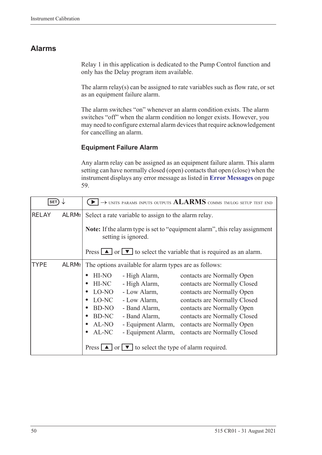#### **Alarms**

Relay 1 in this application is dedicated to the Pump Control function and only has the Delay program item available.

The alarm relay(s) can be assigned to rate variables such as flow rate, or set as an equipment failure alarm.

The alarm switches "on" whenever an alarm condition exists. The alarm switches "off" when the alarm condition no longer exists. However, you may need to configure external alarm devices that require acknowledgement for cancelling an alarm.

#### **Equipment Failure Alarm**

Any alarm relay can be assigned as an equipment failure alarm. This alarm setting can have normally closed (open) contacts that open (close) when the instrument displays any error message as listed in **[Error Messages](#page-68-0)** on page [59](#page-68-0).

| <b>SET</b>   |       | $\rightarrow$ units params inputs outputs $ALARMS$ comms tm/log setup test end |                                                              |                                                                                                                     |
|--------------|-------|--------------------------------------------------------------------------------|--------------------------------------------------------------|---------------------------------------------------------------------------------------------------------------------|
| <b>RELAY</b> | ALRMn | Select a rate variable to assign to the alarm relay.                           |                                                              |                                                                                                                     |
|              |       |                                                                                | setting is ignored.                                          | <b>Note:</b> If the alarm type is set to "equipment alarm", this relay assignment                                   |
|              |       |                                                                                |                                                              | Press $\boxed{\blacktriangle}$ or $\boxed{\blacktriangledown}$ to select the variable that is required as an alarm. |
| <b>TYPE</b>  | ALRMn |                                                                                | The options available for alarm types are as follows:        |                                                                                                                     |
|              |       | HI-NO                                                                          | - High Alarm,                                                | contacts are Normally Open                                                                                          |
|              |       | HI-NC                                                                          | - High Alarm,                                                | contacts are Normally Closed                                                                                        |
|              |       | LO-NO                                                                          | - Low Alarm,                                                 | contacts are Normally Open                                                                                          |
|              |       | LO-NC                                                                          | - Low Alarm,                                                 | contacts are Normally Closed                                                                                        |
|              |       | BD-NO                                                                          | - Band Alarm,                                                | contacts are Normally Open                                                                                          |
|              |       | BD-NC                                                                          | - Band Alarm,                                                | contacts are Normally Closed                                                                                        |
|              |       | AL-NO                                                                          | - Equipment Alarm,                                           | contacts are Normally Open                                                                                          |
|              |       | AL-NC                                                                          | - Equipment Alarm,                                           | contacts are Normally Closed                                                                                        |
|              |       |                                                                                | Press $\Box$ or $\Box$ to select the type of alarm required. |                                                                                                                     |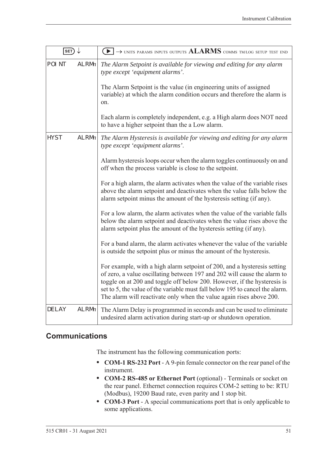| SET)         |              | $\blacktriangleright$ $\rightarrow$ units params inputs outputs $ALARMS$ comms tm/log setup test end                                                                                                                                                                                                                                                                                     |
|--------------|--------------|------------------------------------------------------------------------------------------------------------------------------------------------------------------------------------------------------------------------------------------------------------------------------------------------------------------------------------------------------------------------------------------|
| POI NT       | ALRMn        | The Alarm Setpoint is available for viewing and editing for any alarm<br>type except 'equipment alarms'.                                                                                                                                                                                                                                                                                 |
|              |              | The Alarm Setpoint is the value (in engineering units of assigned<br>variable) at which the alarm condition occurs and therefore the alarm is<br>on.                                                                                                                                                                                                                                     |
|              |              | Each alarm is completely independent, e.g. a High alarm does NOT need<br>to have a higher setpoint than the a Low alarm.                                                                                                                                                                                                                                                                 |
| <b>HYST</b>  | ALRMn        | The Alarm Hysteresis is available for viewing and editing for any alarm<br>type except 'equipment alarms'.                                                                                                                                                                                                                                                                               |
|              |              | Alarm hysteresis loops occur when the alarm toggles continuously on and<br>off when the process variable is close to the setpoint.                                                                                                                                                                                                                                                       |
|              |              | For a high alarm, the alarm activates when the value of the variable rises<br>above the alarm setpoint and deactivates when the value falls below the<br>alarm setpoint minus the amount of the hysteresis setting (if any).                                                                                                                                                             |
|              |              | For a low alarm, the alarm activates when the value of the variable falls<br>below the alarm setpoint and deactivates when the value rises above the<br>alarm setpoint plus the amount of the hysteresis setting (if any).                                                                                                                                                               |
|              |              | For a band alarm, the alarm activates whenever the value of the variable<br>is outside the setpoint plus or minus the amount of the hysteresis.                                                                                                                                                                                                                                          |
|              |              | For example, with a high alarm setpoint of 200, and a hysteresis setting<br>of zero, a value oscillating between 197 and 202 will cause the alarm to<br>toggle on at 200 and toggle off below 200. However, if the hysteresis is<br>set to 5, the value of the variable must fall below 195 to cancel the alarm.<br>The alarm will reactivate only when the value again rises above 200. |
| <b>DELAY</b> | <b>ALRMn</b> | The Alarm Delay is programmed in seconds and can be used to eliminate<br>undesired alarm activation during start-up or shutdown operation.                                                                                                                                                                                                                                               |

#### **Communications**

The instrument has the following communication ports:

- **• COM-1 RS-232 Port** A 9-pin female connector on the rear panel of the instrument.
- **• COM-2 RS-485 or Ethernet Port** (optional) Terminals or socket on the rear panel. Ethernet connection requires COM-2 setting to be: RTU (Modbus), 19200 Baud rate, even parity and 1 stop bit.
- **• COM-3 Port** A special communications port that is only applicable to some applications.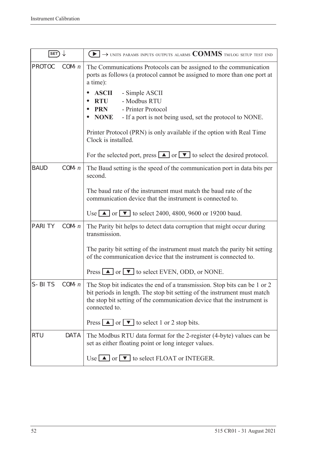| SET)          |             | $\rightarrow$ units params inputs outputs alarms $COMMS$ tm/log setup test end                                                                                                                                                                    |  |  |
|---------------|-------------|---------------------------------------------------------------------------------------------------------------------------------------------------------------------------------------------------------------------------------------------------|--|--|
| <b>PROTOC</b> | $COM - n$   | The Communications Protocols can be assigned to the communication<br>ports as follows (a protocol cannot be assigned to more than one port at<br>a time):                                                                                         |  |  |
|               |             | <b>ASCII</b><br>- Simple ASCII                                                                                                                                                                                                                    |  |  |
|               |             | - Modbus RTU<br><b>RTU</b>                                                                                                                                                                                                                        |  |  |
|               |             | <b>PRN</b><br>- Printer Protocol                                                                                                                                                                                                                  |  |  |
|               |             | - If a port is not being used, set the protocol to NONE.<br><b>NONE</b>                                                                                                                                                                           |  |  |
|               |             | Printer Protocol (PRN) is only available if the option with Real Time<br>Clock is installed.                                                                                                                                                      |  |  |
|               |             | For the selected port, press $\boxed{\triangle}$ or $\boxed{\triangledown}$ to select the desired protocol.                                                                                                                                       |  |  |
| <b>BAUD</b>   | $COM - n$   | The Baud setting is the speed of the communication port in data bits per<br>second.                                                                                                                                                               |  |  |
|               |             | The baud rate of the instrument must match the baud rate of the<br>communication device that the instrument is connected to.                                                                                                                      |  |  |
|               |             | Use $\boxed{\blacktriangle}$ or $\boxed{\blacktriangledown}$ to select 2400, 4800, 9600 or 19200 baud.                                                                                                                                            |  |  |
| PARI TY       | $COM - n$   | The Parity bit helps to detect data corruption that might occur during<br>transmission.                                                                                                                                                           |  |  |
|               |             | The parity bit setting of the instrument must match the parity bit setting<br>of the communication device that the instrument is connected to.                                                                                                    |  |  |
|               |             | Press $\Box$ or $\nabla$ to select EVEN, ODD, or NONE.                                                                                                                                                                                            |  |  |
| S-BITS        | $COM - n$   | The Stop bit indicates the end of a transmission. Stop bits can be 1 or 2<br>bit periods in length. The stop bit setting of the instrument must match<br>the stop bit setting of the communication device that the instrument is<br>connected to. |  |  |
|               |             | Press $\boxed{\blacktriangle}$ or $\boxed{\blacktriangledown}$ to select 1 or 2 stop bits.                                                                                                                                                        |  |  |
| <b>RTU</b>    | <b>DATA</b> | The Modbus RTU data format for the 2-register (4-byte) values can be<br>set as either floating point or long integer values.                                                                                                                      |  |  |
|               |             | Use $\blacksquare$ or $\blacksquare$ to select FLOAT or INTEGER.                                                                                                                                                                                  |  |  |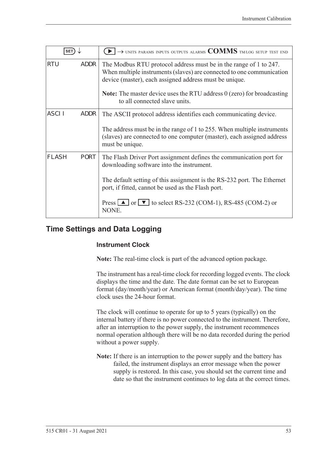| <b>SET</b>        |             | $\rightarrow$ units params inputs outputs alarms $COMMS$ tm/log setup test end                                                                                                                                                                                                                                                              |
|-------------------|-------------|---------------------------------------------------------------------------------------------------------------------------------------------------------------------------------------------------------------------------------------------------------------------------------------------------------------------------------------------|
| <b>RTU</b>        | <b>ADDR</b> | The Modbus RTU protocol address must be in the range of 1 to 247.<br>When multiple instruments (slaves) are connected to one communication<br>device (master), each assigned address must be unique.<br><b>Note:</b> The master device uses the RTU address $0$ (zero) for broadcasting<br>to all connected slave units.                    |
|                   |             |                                                                                                                                                                                                                                                                                                                                             |
| ASCI <sub>I</sub> | <b>ADDR</b> | The ASCII protocol address identifies each communicating device.<br>The address must be in the range of 1 to 255. When multiple instruments<br>(slaves) are connected to one computer (master), each assigned address<br>must be unique.                                                                                                    |
| <b>FLASH</b>      | <b>PORT</b> | The Flash Driver Port assignment defines the communication port for<br>downloading software into the instrument.<br>The default setting of this assignment is the RS-232 port. The Ethernet<br>port, if fitted, cannot be used as the Flash port.<br>Press $\Delta$ or $\triangledown$ to select RS-232 (COM-1), RS-485 (COM-2) or<br>NONE. |

### **Time Settings and Data Logging**

#### **Instrument Clock**

**Note:** The real-time clock is part of the advanced option package.

The instrument has a real-time clock for recording logged events. The clock displays the time and the date. The date format can be set to European format (day/month/year) or American format (month/day/year). The time clock uses the 24-hour format.

The clock will continue to operate for up to 5 years (typically) on the internal battery if there is no power connected to the instrument. Therefore, after an interruption to the power supply, the instrument recommences normal operation although there will be no data recorded during the period without a power supply.

**Note:** If there is an interruption to the power supply and the battery has failed, the instrument displays an error message when the power supply is restored. In this case, you should set the current time and date so that the instrument continues to log data at the correct times.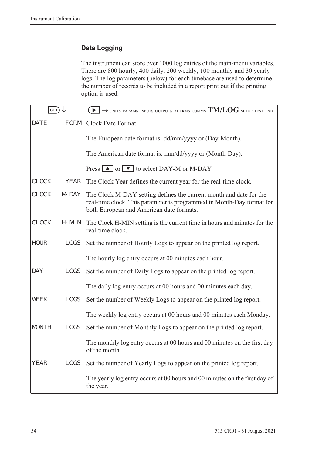#### **Data Logging**

The instrument can store over 1000 log entries of the main-menu variables. There are 800 hourly, 400 daily, 200 weekly, 100 monthly and 30 yearly logs. The log parameters (below) for each timebase are used to determine the number of records to be included in a report print out if the printing option is used.

| SET)         |             | $\left\{ \blacktriangleright\right\}$ $\rightarrow$ units params inputs outputs alarms comms $\Gamma \mathrm{M}/\mathrm{LOG}$ setup test end                                            |
|--------------|-------------|-----------------------------------------------------------------------------------------------------------------------------------------------------------------------------------------|
| <b>DATE</b>  | <b>FORM</b> | <b>Clock Date Format</b>                                                                                                                                                                |
|              |             | The European date format is: dd/mm/yyyy or (Day-Month).                                                                                                                                 |
|              |             | The American date format is: mm/dd/yyyy or (Month-Day).                                                                                                                                 |
|              |             | Press $\boxed{\blacktriangle}$ or $\boxed{\blacktriangledown}$ to select DAY-M or M-DAY                                                                                                 |
| <b>CLOCK</b> | <b>YEAR</b> | The Clock Year defines the current year for the real-time clock.                                                                                                                        |
| <b>CLOCK</b> | M-DAY       | The Clock M-DAY setting defines the current month and date for the<br>real-time clock. This parameter is programmed in Month-Day format for<br>both European and American date formats. |
| <b>CLOCK</b> | $H-MIN$     | The Clock H-MIN setting is the current time in hours and minutes for the<br>real-time clock.                                                                                            |
| <b>HOUR</b>  | <b>LOGS</b> | Set the number of Hourly Logs to appear on the printed log report.                                                                                                                      |
|              |             | The hourly log entry occurs at 00 minutes each hour.                                                                                                                                    |
| <b>DAY</b>   | <b>LOGS</b> | Set the number of Daily Logs to appear on the printed log report.                                                                                                                       |
|              |             | The daily log entry occurs at 00 hours and 00 minutes each day.                                                                                                                         |
| <b>WEEK</b>  | <b>LOGS</b> | Set the number of Weekly Logs to appear on the printed log report.                                                                                                                      |
|              |             | The weekly log entry occurs at 00 hours and 00 minutes each Monday.                                                                                                                     |
| <b>MONTH</b> | <b>LOGS</b> | Set the number of Monthly Logs to appear on the printed log report.                                                                                                                     |
|              |             | The monthly log entry occurs at 00 hours and 00 minutes on the first day<br>of the month.                                                                                               |
| <b>YEAR</b>  | <b>LOGS</b> | Set the number of Yearly Logs to appear on the printed log report.                                                                                                                      |
|              |             | The yearly log entry occurs at 00 hours and 00 minutes on the first day of<br>the year.                                                                                                 |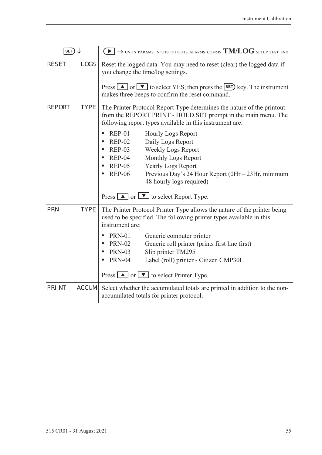| SET)                         | $\left\{ \blacktriangleright\right\} \rightarrow$ units params inputs outputs alarms comms $\Gamma\mathrm{M}/\mathrm{LOG}$ setup test end                                                                                                                                                                                                                                                                                                                                                                                                                              |
|------------------------------|------------------------------------------------------------------------------------------------------------------------------------------------------------------------------------------------------------------------------------------------------------------------------------------------------------------------------------------------------------------------------------------------------------------------------------------------------------------------------------------------------------------------------------------------------------------------|
| <b>LOGS</b><br><b>RESET</b>  | Reset the logged data. You may need to reset (clear) the logged data if<br>you change the time/log settings.<br>Press $\Box$ or $\nabla$ to select YES, then press the <b>SET</b> ) key. The instrument<br>makes three beeps to confirm the reset command.                                                                                                                                                                                                                                                                                                             |
| <b>REPORT</b><br><b>TYPE</b> | The Printer Protocol Report Type determines the nature of the printout<br>from the REPORT PRINT - HOLD.SET prompt in the main menu. The<br>following report types available in this instrument are:<br><b>REP-01</b><br><b>Hourly Logs Report</b><br><b>REP-02</b><br>Daily Logs Report<br>$REP-03$<br><b>Weekly Logs Report</b><br>$REP-04$<br>Monthly Logs Report<br><b>REP-05</b><br><b>Yearly Logs Report</b><br><b>REP-06</b><br>Previous Day's 24 Hour Report (0Hr - 23Hr, minimum<br>48 hourly logs required)                                                   |
| <b>PRN</b><br><b>TYPE</b>    | Press $\boxed{\blacktriangle}$ or $\boxed{\blacktriangledown}$ to select Report Type.<br>The Printer Protocol Printer Type allows the nature of the printer being<br>used to be specified. The following printer types available in this<br>instrument are:<br><b>PRN-01</b><br>Generic computer printer<br><b>PRN-02</b><br>Generic roll printer (prints first line first)<br>Slip printer TM295<br><b>PRN-03</b><br><b>PRN-04</b><br>Label (roll) printer - Citizen CMP30L<br>Press $\boxed{\blacktriangle}$ or $\boxed{\blacktriangledown}$ to select Printer Type. |
| PRI NT<br><b>ACCUM</b>       | Select whether the accumulated totals are printed in addition to the non-<br>accumulated totals for printer protocol.                                                                                                                                                                                                                                                                                                                                                                                                                                                  |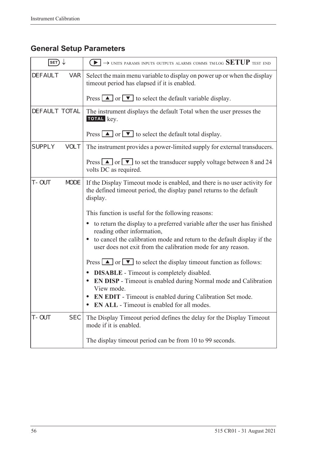## <span id="page-65-0"></span>**General Setup Parameters**

| SET)                 | $\rightarrow$ units params inputs outputs alarms comms tm/log SETUP test end                                                                                  |
|----------------------|---------------------------------------------------------------------------------------------------------------------------------------------------------------|
| <b>DEFAULT</b>       | <b>VAR</b><br>Select the main menu variable to display on power up or when the display<br>timeout period has elapsed if it is enabled.                        |
|                      | Press $\Box$ or $\Box$ to select the default variable display.                                                                                                |
| DEFAULT TOTAL        | The instrument displays the default Total when the user presses the<br>TOTAL key.                                                                             |
|                      | Press $\Box$ or $\nabla$ to select the default total display.                                                                                                 |
| <b>SUPPLY</b>        | <b>VOLT</b><br>The instrument provides a power-limited supply for external transducers.                                                                       |
|                      | Press $\boxed{\blacktriangle}$ or $\boxed{\blacktriangledown}$ to set the transducer supply voltage between 8 and 24<br>volts DC as required.                 |
| T-OUT<br><b>MODE</b> | If the Display Timeout mode is enabled, and there is no user activity for<br>the defined timeout period, the display panel returns to the default<br>display. |
|                      | This function is useful for the following reasons:                                                                                                            |
|                      | • to return the display to a preferred variable after the user has finished<br>reading other information,                                                     |
|                      | to cancel the calibration mode and return to the default display if the<br>$\bullet$<br>user does not exit from the calibration mode for any reason.          |
|                      | Press $\boxed{\blacktriangle}$ or $\boxed{\blacktriangledown}$ to select the display timeout function as follows:                                             |
|                      | <b>DISABLE</b> - Timeout is completely disabled.<br>$\bullet$<br>EN DISP - Timeout is enabled during Normal mode and Calibration<br>$\bullet$<br>View mode.   |
|                      | <b>EN EDIT</b> - Timeout is enabled during Calibration Set mode.<br><b>EN ALL</b> - Timeout is enabled for all modes.                                         |
| T-OUT                | <b>SEC</b><br>The Display Timeout period defines the delay for the Display Timeout<br>mode if it is enabled.                                                  |
|                      | The display timeout period can be from 10 to 99 seconds.                                                                                                      |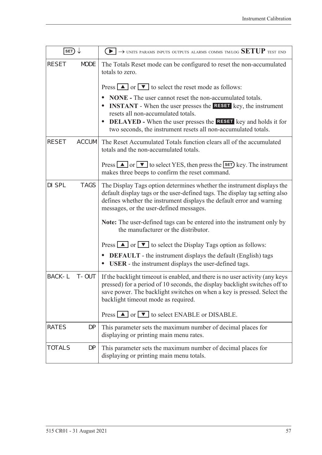| SET)          |              | $\blacktriangleright$ $\rightarrow$ units params inputs outputs alarms comms tm/log $\operatorname{SETUP}$ test end                                                                                                                                                                                                                                                           |
|---------------|--------------|-------------------------------------------------------------------------------------------------------------------------------------------------------------------------------------------------------------------------------------------------------------------------------------------------------------------------------------------------------------------------------|
| <b>RESET</b>  | <b>MODE</b>  | The Totals Reset mode can be configured to reset the non-accumulated<br>totals to zero.                                                                                                                                                                                                                                                                                       |
|               |              | Press $\boxed{\blacktriangle}$ or $\boxed{\blacktriangledown}$ to select the reset mode as follows:                                                                                                                                                                                                                                                                           |
|               |              | <b>NONE</b> - The user cannot reset the non-accumulated totals.<br>$\bullet$<br><b>INSTANT</b> - When the user presses the <b>RESET</b> key, the instrument<br>$\bullet$<br>resets all non-accumulated totals.<br><b>DELAYED</b> - When the user presses the <b>RESET</b> key and holds it for<br>$\bullet$<br>two seconds, the instrument resets all non-accumulated totals. |
| <b>RESET</b>  | <b>ACCUM</b> | The Reset Accumulated Totals function clears all of the accumulated<br>totals and the non-accumulated totals.                                                                                                                                                                                                                                                                 |
|               |              | Press $\Box$ or $\nabla$ to select YES, then press the <b>SET</b> ) key. The instrument<br>makes three beeps to confirm the reset command.                                                                                                                                                                                                                                    |
| DI SPL        | <b>TAGS</b>  | The Display Tags option determines whether the instrument displays the<br>default display tags or the user-defined tags. The display tag setting also<br>defines whether the instrument displays the default error and warning<br>messages, or the user-defined messages.                                                                                                     |
|               |              | <b>Note:</b> The user-defined tags can be entered into the instrument only by<br>the manufacturer or the distributor.                                                                                                                                                                                                                                                         |
|               |              | Press $\Box$ or $\nabla$ to select the Display Tags option as follows:                                                                                                                                                                                                                                                                                                        |
|               |              | <b>DEFAULT</b> - the instrument displays the default (English) tags<br>$\bullet$<br>USER - the instrument displays the user-defined tags.                                                                                                                                                                                                                                     |
| BACK-L        | T-OUT        | If the backlight timeout is enabled, and there is no user activity (any keys<br>pressed) for a period of 10 seconds, the display backlight switches off to<br>save power. The backlight switches on when a key is pressed. Select the<br>backlight timeout mode as required.                                                                                                  |
|               |              | Press $\boxed{\blacktriangle}$ or $\boxed{\blacktriangledown}$ to select ENABLE or DISABLE.                                                                                                                                                                                                                                                                                   |
| <b>RATES</b>  | DP           | This parameter sets the maximum number of decimal places for<br>displaying or printing main menu rates.                                                                                                                                                                                                                                                                       |
| <b>TOTALS</b> | DP           | This parameter sets the maximum number of decimal places for<br>displaying or printing main menu totals.                                                                                                                                                                                                                                                                      |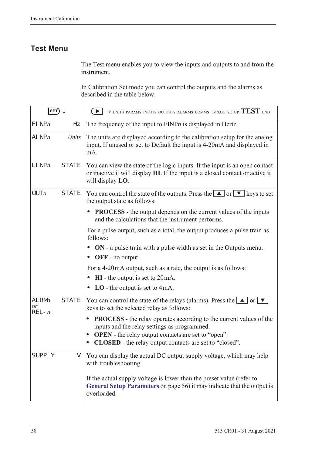### **Test Menu**

The Test menu enables you to view the inputs and outputs to and from the instrument.

In Calibration Set mode you can control the outputs and the alarms as described in the table below.

| SET)                            |              | $\rightarrow$ units params inputs outputs alarms comms tm/log setup $\mathrm{TEST}$ end                                                                                                                                                                                      |  |
|---------------------------------|--------------|------------------------------------------------------------------------------------------------------------------------------------------------------------------------------------------------------------------------------------------------------------------------------|--|
| F1 NPn                          | Hz           | The frequency of the input to $FINPn$ is displayed in Hertz.                                                                                                                                                                                                                 |  |
| AI $NPn$                        | Units        | The units are displayed according to the calibration setup for the analog<br>input. If unused or set to Default the input is 4-20mA and displayed in<br>mA.                                                                                                                  |  |
| LI NPn                          | <b>STATE</b> | You can view the state of the logic inputs. If the input is an open contact<br>or inactive it will display HI. If the input is a closed contact or active it<br>will display LO.                                                                                             |  |
| OUT <sub>n</sub>                | <b>STATE</b> | You can control the state of the outputs. Press the $\Box$ or $\nabla$ keys to set<br>the output state as follows:                                                                                                                                                           |  |
|                                 |              | <b>PROCESS</b> - the output depends on the current values of the inputs<br>and the calculations that the instrument performs.                                                                                                                                                |  |
|                                 |              | For a pulse output, such as a total, the output produces a pulse train as<br>follows:                                                                                                                                                                                        |  |
|                                 |              | ON - a pulse train with a pulse width as set in the Outputs menu.<br>OFF - no output.                                                                                                                                                                                        |  |
|                                 |              | For a 4-20 mA output, such as a rate, the output is as follows:                                                                                                                                                                                                              |  |
|                                 |              | $HI$ - the output is set to $20mA$ .                                                                                                                                                                                                                                         |  |
|                                 |              | $LO$ - the output is set to 4mA.                                                                                                                                                                                                                                             |  |
| <b>ALRMn</b><br>or<br>$REL - n$ | <b>STATE</b> | You can control the state of the relays (alarms). Press the $\Box$ or $\neg$<br>keys to set the selected relay as follows:                                                                                                                                                   |  |
|                                 |              | <b>PROCESS</b> - the relay operates according to the current values of the<br>$\bullet$<br>inputs and the relay settings as programmed.<br><b>OPEN</b> - the relay output contacts are set to "open".<br><b>CLOSED</b> - the relay output contacts are set to "closed".<br>٠ |  |
| <b>SUPPLY</b>                   | V            | You can display the actual DC output supply voltage, which may help<br>with troubleshooting.                                                                                                                                                                                 |  |
|                                 |              | If the actual supply voltage is lower than the preset value (refer to<br>General Setup Parameters on page 56) it may indicate that the output is<br>overloaded.                                                                                                              |  |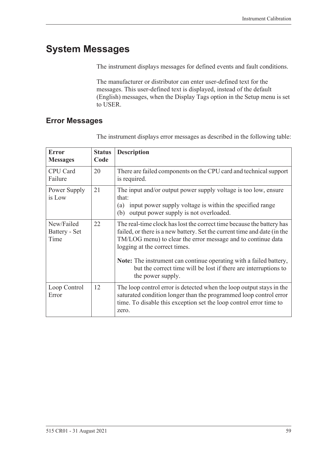## **System Messages**

The instrument displays messages for defined events and fault conditions.

The manufacturer or distributor can enter user-defined text for the messages. This user-defined text is displayed, instead of the default (English) messages, when the Display Tags option in the Setup menu is set to USER.

#### <span id="page-68-0"></span>**Error Messages**

| <b>Error</b><br><b>Messages</b>     | <b>Status</b><br>Code | <b>Description</b>                                                                                                                                                                                                                                 |
|-------------------------------------|-----------------------|----------------------------------------------------------------------------------------------------------------------------------------------------------------------------------------------------------------------------------------------------|
| CPU Card<br>Failure                 | 20                    | There are failed components on the CPU card and technical support<br>is required.                                                                                                                                                                  |
| Power Supply<br>is Low              | 21                    | The input and/or output power supply voltage is too low, ensure<br>that:<br>input power supply voltage is within the specified range<br>(a)<br>output power supply is not overloaded.<br>(b)                                                       |
| New/Failed<br>Battery - Set<br>Time | 22                    | The real-time clock has lost the correct time because the battery has<br>failed, or there is a new battery. Set the current time and date (in the<br>TM/LOG menu) to clear the error message and to continue data<br>logging at the correct times. |
|                                     |                       | Note: The instrument can continue operating with a failed battery,<br>but the correct time will be lost if there are interruptions to<br>the power supply.                                                                                         |
| Loop Control<br>Error               | 12                    | The loop control error is detected when the loop output stays in the<br>saturated condition longer than the programmed loop control error<br>time. To disable this exception set the loop control error time to<br>zero.                           |

The instrument displays error messages as described in the following table: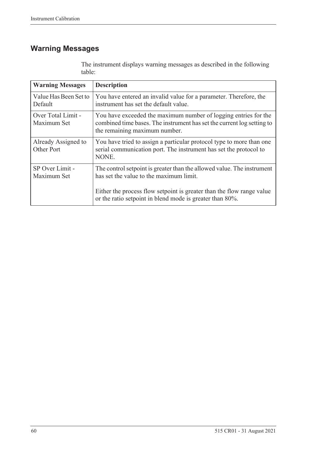## **Warning Messages**

The instrument displays warning messages as described in the following table:

| <b>Warning Messages</b>           | <b>Description</b>                                                                                                                                                         |
|-----------------------------------|----------------------------------------------------------------------------------------------------------------------------------------------------------------------------|
| Value Has Been Set to<br>Default  | You have entered an invalid value for a parameter. Therefore, the<br>instrument has set the default value.                                                                 |
| Over Total Limit -<br>Maximum Set | You have exceeded the maximum number of logging entries for the<br>combined time bases. The instrument has set the current log setting to<br>the remaining maximum number. |
| Already Assigned to<br>Other Port | You have tried to assign a particular protocol type to more than one<br>serial communication port. The instrument has set the protocol to<br>NONE.                         |
| SP Over Limit -<br>Maximum Set    | The control setpoint is greater than the allowed value. The instrument<br>has set the value to the maximum limit.                                                          |
|                                   | Either the process flow setpoint is greater than the flow range value<br>or the ratio setpoint in blend mode is greater than 80%.                                          |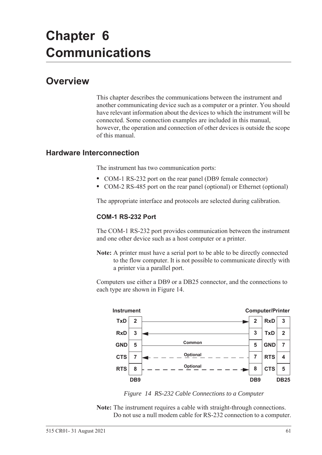# **Chapter 6 Communications**

## **Overview**

This chapter describes the communications between the instrument and another communicating device such as a computer or a printer. You should have relevant information about the devices to which the instrument will be connected. Some connection examples are included in this manual, however, the operation and connection of other devices is outside the scope of this manual.

#### **Hardware Interconnection**

The instrument has two communication ports:

- **•** COM-1 RS-232 port on the rear panel (DB9 female connector)
- **•** COM-2 RS-485 port on the rear panel (optional) or Ethernet (optional)

The appropriate interface and protocols are selected during calibration.

#### **COM-1 RS-232 Port**

The COM-1 RS-232 port provides communication between the instrument and one other device such as a host computer or a printer.

**Note:** A printer must have a serial port to be able to be directly connected to the flow computer. It is not possible to communicate directly with a printer via a parallel port.

Computers use either a DB9 or a DB25 connector, and the connections to each type are shown in [Figure 14.](#page-70-0)



*Figure 14 RS-232 Cable Connections to a Computer*

<span id="page-70-0"></span>**Note:** The instrument requires a cable with straight-through connections. Do not use a null modem cable for RS-232 connection to a computer.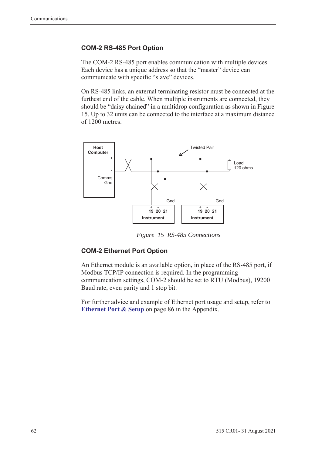#### **COM-2 RS-485 Port Option**

The COM-2 RS-485 port enables communication with multiple devices. Each device has a unique address so that the "master" device can communicate with specific "slave" devices.

On RS-485 links, an external terminating resistor must be connected at the furthest end of the cable. When multiple instruments are connected, they should be "daisy chained" in a multidrop configuration as shown in [Figure](#page-71-0)  [15](#page-71-0). Up to 32 units can be connected to the interface at a maximum distance of 1200 metres.



*Figure 15 RS-485 Connections*

#### <span id="page-71-0"></span>**COM-2 Ethernet Port Option**

An Ethernet module is an available option, in place of the RS-485 port, if Modbus TCP/IP connection is required. In the programming communication settings, COM-2 should be set to RTU (Modbus), 19200 Baud rate, even parity and 1 stop bit.

For further advice and example of Ethernet port usage and setup, refer to **[Ethernet Port & Setup](#page-95-0)** on page 86 in the Appendix.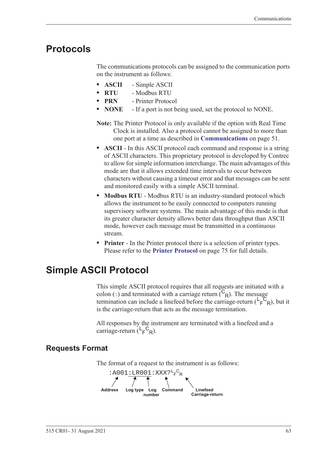# **Protocols**

<span id="page-72-1"></span>The communications protocols can be assigned to the communication ports on the instrument as follows:

- **• ASCII** Simple ASCII
- **• RTU** Modbus RTU
- **• PRN** Printer Protocol
- **• NONE** If a port is not being used, set the protocol to NONE.
- **Note:** The Printer Protocol is only available if the option with Real Time Clock is installed. Also a protocol cannot be assigned to more than one port at a time as described in **[Communications](#page-60-0)** on page 51.
- **• ASCII** In this ASCII protocol each command and response is a string of ASCII characters. This proprietary protocol is developed by Contrec to allow for simple information interchange. The main advantages of this mode are that it allows extended time intervals to occur between characters without causing a timeout error and that messages can be sent and monitored easily with a simple ASCII terminal.
- **• Modbus RTU** Modbus RTU is an industry-standard protocol which allows the instrument to be easily connected to computers running supervisory software systems. The main advantage of this mode is that its greater character density allows better data throughput than ASCII mode, however each message must be transmitted in a continuous stream.
- <span id="page-72-0"></span>**• Printer** - In the Printer protocol there is a selection of printer types. Please refer to the **[Printer Protocol](#page-84-0)** on page 75 for full details.

# **Simple ASCII Protocol**

This simple ASCII protocol requires that all requests are initiated with a colon (:) and terminated with a carriage return  $\binom{C_R}{R}$ . The message termination can include a linefeed before the carriage-return  $(\mathsf{L}_\mathsf{F}^\mathsf{C}_{\mathsf{R}})$ , but it is the carriage-return that acts as the message termination.

<span id="page-72-2"></span>All responses by the instrument are terminated with a linefeed and a carriage-return  $(L_F^C_R)$ .

## **Requests Format**

The format of a request to the instrument is as follows:

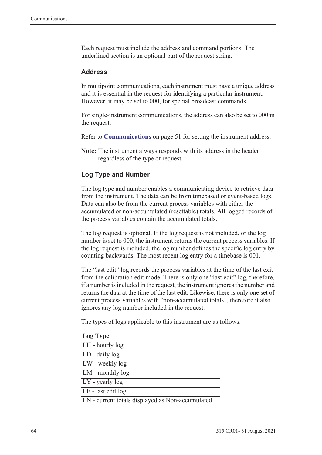Each request must include the address and command portions. The underlined section is an optional part of the request string.

#### <span id="page-73-0"></span>**Address**

In multipoint communications, each instrument must have a unique address and it is essential in the request for identifying a particular instrument. However, it may be set to 000, for special broadcast commands.

For single-instrument communications, the address can also be set to 000 in the request.

Refer to **[Communications](#page-60-0)** on page 51 for setting the instrument address.

**Note:** The instrument always responds with its address in the header regardless of the type of request.

#### **Log Type and Number**

The log type and number enables a communicating device to retrieve data from the instrument. The data can be from timebased or event-based logs. Data can also be from the current process variables with either the accumulated or non-accumulated (resettable) totals. All logged records of the process variables contain the accumulated totals.

The log request is optional. If the log request is not included, or the log number is set to 000, the instrument returns the current process variables. If the log request is included, the log number defines the specific log entry by counting backwards. The most recent log entry for a timebase is 001.

The "last edit" log records the process variables at the time of the last exit from the calibration edit mode. There is only one "last edit" log, therefore, if a number is included in the request, the instrument ignores the number and returns the data at the time of the last edit. Likewise, there is only one set of current process variables with "non-accumulated totals", therefore it also ignores any log number included in the request.

The types of logs applicable to this instrument are as follows:

| Log Type                                         |
|--------------------------------------------------|
| $LH$ - hourly $log$                              |
| LD - daily log                                   |
| LW - weekly log                                  |
| LM - monthly log                                 |
| $LY$ - yearly log                                |
| LE - last edit log                               |
| LN - current totals displayed as Non-accumulated |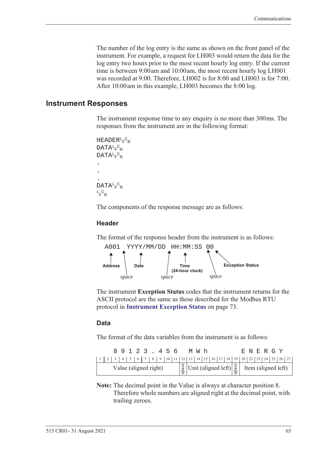The number of the log entry is the same as shown on the front panel of the instrument. For example, a request for LH003 would return the data for the log entry two hours prior to the most recent hourly log entry. If the current time is between 9:00 am and 10:00 am, the most recent hourly log LH001 was recorded at 9:00. Therefore, LH002 is for 8:00 and LH003 is for 7:00. After 10:00 am in this example, LH003 becomes the 8:00 log.

#### **Instrument Responses**

<span id="page-74-1"></span>The instrument response time to any enquiry is no more than 300 ms. The responses from the instrument are in the following format:

HEADER<sup>L</sup>F<sup>C</sup>R DATA<sup>L</sup>F<sup>C</sup>R DATA<sup>L</sup>F<sup>C</sup>R . . . DATA<sup>L</sup>F<sup>C</sup>R  $L_F^C$ <sub>R</sub>

The components of the response message are as follows:

#### **Header**

The format of the response header from the instrument is as follows:



<span id="page-74-0"></span>The instrument **Exception Status** codes that the instrument returns for the ASCII protocol are the same as those described for the Modbus RTU protocol in **[Instrument Exception Status](#page-82-0)** on page 73.

#### **Data**

The format of the data variables from the instrument is as follows:

|                       |  |  |  |  | 89123.456 |  |  |  |                                                                                                                                                               | M W h |  |  |  |  | E N E R G Y |  |  |
|-----------------------|--|--|--|--|-----------|--|--|--|---------------------------------------------------------------------------------------------------------------------------------------------------------------|-------|--|--|--|--|-------------|--|--|
|                       |  |  |  |  |           |  |  |  |                                                                                                                                                               |       |  |  |  |  |             |  |  |
| Value (aligned right) |  |  |  |  |           |  |  |  | $\begin{bmatrix} \frac{8}{9} \\ \frac{8}{9} \end{bmatrix}$ Unit (aligned left) $\begin{bmatrix} \frac{8}{9} \\ \frac{8}{9} \end{bmatrix}$ Item (aligned left) |       |  |  |  |  |             |  |  |

**Note:** The decimal point in the Value is always at character position 8. Therefore whole numbers are aligned right at the decimal point, with trailing zeroes.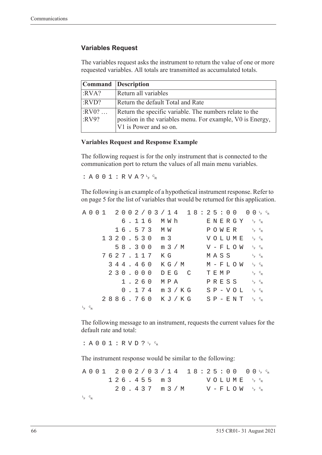#### **Variables Request**

The variables request asks the instrument to return the value of one or more requested variables. All totals are transmitted as accumulated totals.

|                   | <b>Command</b> Description                                                                                                                      |
|-------------------|-------------------------------------------------------------------------------------------------------------------------------------------------|
| :RVA?             | Return all variables                                                                                                                            |
| :RVD?             | Return the default Total and Rate                                                                                                               |
| : $RV0?$<br>:RV9? | Return the specific variable. The numbers relate to the<br>position in the variables menu. For example, V0 is Energy,<br>V1 is Power and so on. |

#### **Variables Request and Response Example**

The following request is for the only instrument that is connected to the communication port to return the values of all main menu variables.

:  $A 0 0 1 : R V A ? \frac{c}{r} c_R$ 

The following is an example of a hypothetical instrument response. Refer to on page 5 for the list of variables that would be returned for this application.

|                 |  |  |  |          |  |                  |  |       | A 0 0 1 2 0 0 2 / 0 3 / 1 4 1 8 : 2 5 : 0 0 0 0 0 ⊦ ° R |  |      |  |                          |  |                                   |  |  |
|-----------------|--|--|--|----------|--|------------------|--|-------|---------------------------------------------------------|--|------|--|--------------------------|--|-----------------------------------|--|--|
|                 |  |  |  |          |  | 6.116 MWh        |  |       |                                                         |  |      |  | ENERGY 'F <sup>c</sup> r |  |                                   |  |  |
|                 |  |  |  |          |  | 16.573 MW        |  |       |                                                         |  |      |  | POWER                    |  | $L_{F}$ $C_{R}$                   |  |  |
|                 |  |  |  |          |  | 1320.530 m 3     |  |       |                                                         |  |      |  | VOLUME                   |  | $L$ <sub>F</sub> $C$ <sub>R</sub> |  |  |
|                 |  |  |  |          |  |                  |  |       | 58.300 m 3/M                                            |  |      |  | $V - F L O W$ $F c_R$    |  |                                   |  |  |
|                 |  |  |  | 7627.117 |  | КG               |  |       |                                                         |  |      |  | MASS                     |  | $L_F$ $C_R$                       |  |  |
|                 |  |  |  | 344.460  |  |                  |  |       | K G / M                                                 |  |      |  | M – F L O W              |  | $L_{F}$ $C_{R}$                   |  |  |
|                 |  |  |  | 230.000  |  |                  |  | DEG C |                                                         |  | TEMP |  |                          |  | $L_F$ $C_R$                       |  |  |
|                 |  |  |  | 1.260    |  | МРА              |  |       |                                                         |  |      |  | PRESS                    |  | $L_{F}$ $C_{R}$                   |  |  |
|                 |  |  |  |          |  | $0.174$ m $3/KG$ |  |       |                                                         |  |      |  | $S P - V O L$            |  | $L_{F}$ $C_{R}$                   |  |  |
|                 |  |  |  |          |  |                  |  |       | 2886.760 KJ/KG SP-ENT                                   |  |      |  |                          |  | $L$ <sub>F</sub> $C$ <sub>R</sub> |  |  |
| $L_{F}$ $C_{R}$ |  |  |  |          |  |                  |  |       |                                                         |  |      |  |                          |  |                                   |  |  |

The following message to an instrument, requests the current values for the default rate and total:

: A 0 0 1 : R V D ?  $L_F$   $C_R$ 

The instrument response would be similar to the following:

A001 2002/03/14 18:25:00  $F$   $\circ$ <sub>R</sub>  $126.455 m3$ <sup>F</sup> <sup>C</sup> R  $20.437$  m  $3/M$  $F$   $\circ$ <sub>R</sub> L <sup>F</sup> <sup>C</sup> R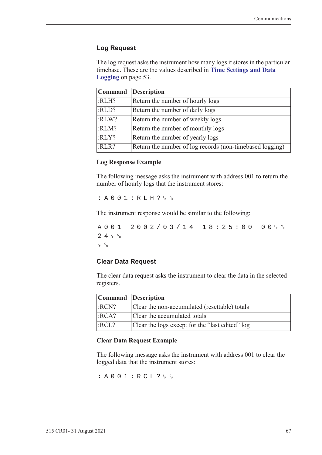#### **Log Request**

The log request asks the instrument how many logs it stores in the particular timebase. These are the values described in **[Time Settings and Data](#page-62-0)  Logging** [on page 53](#page-62-0).

|       | Command Description                                      |
|-------|----------------------------------------------------------|
| :RLH? | Return the number of hourly logs                         |
| :RLD? | Return the number of daily logs                          |
| :RLW? | Return the number of weekly logs                         |
| :RLM? | Return the number of monthly logs                        |
| :RLY? | Return the number of yearly logs                         |
| :RLR? | Return the number of log records (non-timebased logging) |

#### **Log Response Example**

The following message asks the instrument with address 001 to return the number of hourly logs that the instrument stores:

 $: A 0 0 1 : R L H ? \Leftrightarrow c_R$ 

The instrument response would be similar to the following:

A001 2002/03/14 18:25:00  $F$   $\circ$ R  $24r$ <sub>F</sub>  $c_R$ L <sup>F</sup> <sup>C</sup> R

#### **Clear Data Request**

The clear data request asks the instrument to clear the data in the selected registers.

| Command Description |                                                 |
|---------------------|-------------------------------------------------|
| :RCN?               | Clear the non-accumulated (resettable) totals   |
| :RCA?               | Clear the accumulated totals                    |
| :RCL?               | Clear the logs except for the "last edited" log |

#### **Clear Data Request Example**

The following message asks the instrument with address 001 to clear the logged data that the instrument stores:

: A 0 0 1 : R C L ?  $L_F$   $c_R$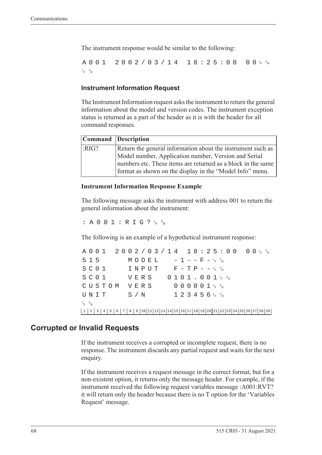The instrument response would be similar to the following:

A001 2002/03/14 18:25:00  $F$   $\circ$ <sub>R</sub> L <sup>F</sup> <sup>C</sup> R

#### <span id="page-77-0"></span>**Instrument Information Request**

The Instrument Information request asks the instrument to return the general information about the model and version codes. The instrument exception status is returned as a part of the header as it is with the header for all command responses.

|      | Command Description                                                                                                      |
|------|--------------------------------------------------------------------------------------------------------------------------|
| RIG? | Return the general information about the instrument such as                                                              |
|      | Model number, Application number, Version and Serial                                                                     |
|      | numbers etc. These items are returned as a block in the same<br>format as shown on the display in the "Model Info" menu. |

#### **Instrument Information Response Example**

The following message asks the instrument with address 001 to return the general information about the instrument:

: A 0 0 1 : R I G ?  $L_F$   $C_R$ 

The following is an example of a hypothetical instrument response:

A001 2002/03/14 18:25:00 <sup>F</sup> <sup>C</sup> R  $515$   $MODEL$   $-1--F-$ <sup>L</sup>F<sup>C</sup>R  $S$  C O  $1$  I N P U T F - T P - - <sup>L</sup><sub>F</sub> <sup>C</sup>R  $S$  C O  $1$  V E R S O  $1$  O  $1$  J  $1$  , O  $0$   $1$   $1$   $1$   $6$   $8$ CUSTOM VERS 000001<sup>t</sup>F<sup>c</sup>r  $\texttt{UNIT}$  S/N 123456<sup>L</sup><sub>F</sub>  $\texttt{C}_{\texttt{R}}$ L <sup>F</sup> <sup>C</sup> R 1 2 3 4 5 6 7 8 9 10 11 12 13 14 15 16 17 18 19 20 21 22 23 24 25 26 27 28 29

#### **Corrupted or Invalid Requests**

If the instrument receives a corrupted or incomplete request, there is no response. The instrument discards any partial request and waits for the next enquiry.

If the instrument receives a request message in the correct format, but for a non-existent option, it returns only the message header. For example, if the instrument received the following request variables message :A001:RVT? it will return only the header because there is no T option for the 'Variables Request' message.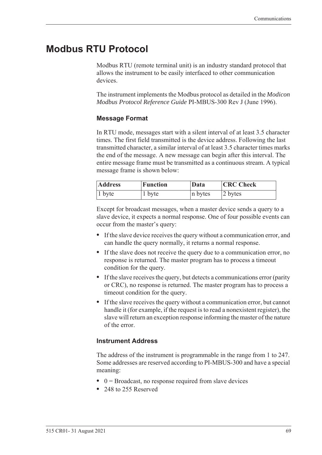# **Modbus RTU Protocol**

<span id="page-78-0"></span>Modbus RTU (remote terminal unit) is an industry standard protocol that allows the instrument to be easily interfaced to other communication devices.

The instrument implements the Modbus protocol as detailed in the *Modicon Modbus Protocol Reference Guide* PI-MBUS-300 Rev J (June 1996).

#### **Message Format**

In RTU mode, messages start with a silent interval of at least 3.5 character times. The first field transmitted is the device address. Following the last transmitted character, a similar interval of at least 3.5 character times marks the end of the message. A new message can begin after this interval. The entire message frame must be transmitted as a continuous stream. A typical message frame is shown below:

| <b>Address</b> | Function | Data    | <b>CRC</b> Check |  |  |  |  |
|----------------|----------|---------|------------------|--|--|--|--|
| $ 1$ byte      | 1 byte   | n bytes | 2 bytes          |  |  |  |  |

Except for broadcast messages, when a master device sends a query to a slave device, it expects a normal response. One of four possible events can occur from the master's query:

- **•** If the slave device receives the query without a communication error, and can handle the query normally, it returns a normal response.
- **•** If the slave does not receive the query due to a communication error, no response is returned. The master program has to process a timeout condition for the query.
- **•** If the slave receives the query, but detects a communications error (parity or CRC), no response is returned. The master program has to process a timeout condition for the query.
- **•** If the slave receives the query without a communication error, but cannot handle it (for example, if the request is to read a nonexistent register), the slave will return an exception response informing the master of the nature of the error.

#### **Instrument Address**

The address of the instrument is programmable in the range from 1 to 247. Some addresses are reserved according to PI-MBUS-300 and have a special meaning:

- 0 = Broadcast, no response required from slave devices
- **•** 248 to 255 Reserved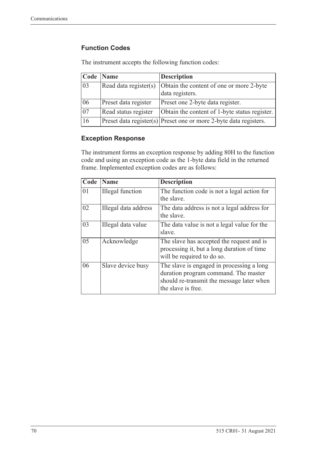### **Function Codes**

| Code            | <b>Name</b>           | <b>Description</b>                                                    |
|-----------------|-----------------------|-----------------------------------------------------------------------|
| 03              | Read data register(s) | Obtain the content of one or more 2-byte<br>data registers.           |
| 06              | Preset data register  | Preset one 2-byte data register.                                      |
| $\overline{07}$ | Read status register  | Obtain the content of 1-byte status register.                         |
| 16              |                       | $ $ Preset data register(s) Preset one or more 2-byte data registers. |

The instrument accepts the following function codes:

#### **Exception Response**

The instrument forms an exception response by adding 80H to the function code and using an exception code as the 1-byte data field in the returned frame. Implemented exception codes are as follows:

| Code | <b>Name</b>             | <b>Description</b>                                                                                                                                   |
|------|-------------------------|------------------------------------------------------------------------------------------------------------------------------------------------------|
| 01   | <b>Illegal</b> function | The function code is not a legal action for<br>the slave.                                                                                            |
| 02   | Illegal data address    | The data address is not a legal address for<br>the slave.                                                                                            |
| 03   | Illegal data value      | The data value is not a legal value for the<br>slave.                                                                                                |
| 05   | Acknowledge             | The slave has accepted the request and is<br>processing it, but a long duration of time<br>will be required to do so.                                |
| 06   | Slave device busy       | The slave is engaged in processing a long<br>duration program command. The master<br>should re-transmit the message later when<br>the slave is free. |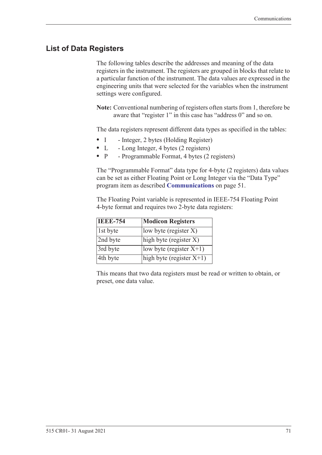## **List of Data Registers**

The following tables describe the addresses and meaning of the data registers in the instrument. The registers are grouped in blocks that relate to a particular function of the instrument. The data values are expressed in the engineering units that were selected for the variables when the instrument settings were configured.

**Note:** Conventional numbering of registers often starts from 1, therefore be aware that "register 1" in this case has "address 0" and so on.

The data registers represent different data types as specified in the tables:

- I Integer, 2 bytes (Holding Register)
- L Long Integer, 4 bytes (2 registers)
- P Programmable Format, 4 bytes (2 registers)

The "Programmable Format" data type for 4-byte (2 registers) data values can be set as either Floating Point or Long Integer via the "Data Type" program item as described **[Communications](#page-60-0)** on page 51.

The Floating Point variable is represented in IEEE-754 Floating Point 4-byte format and requires two 2-byte data registers:

| <b>IEEE-754</b> | <b>Modicon Registers</b>                       |  |  |  |  |  |
|-----------------|------------------------------------------------|--|--|--|--|--|
| 1st byte        | low byte (register $X$ )                       |  |  |  |  |  |
| 2nd byte        | $\left  \text{high byte (register X)} \right $ |  |  |  |  |  |
| 3rd byte        | low byte (register $X+1$ )                     |  |  |  |  |  |
| 4th byte        | high byte (register $X+1$ )                    |  |  |  |  |  |

This means that two data registers must be read or written to obtain, or preset, one data value.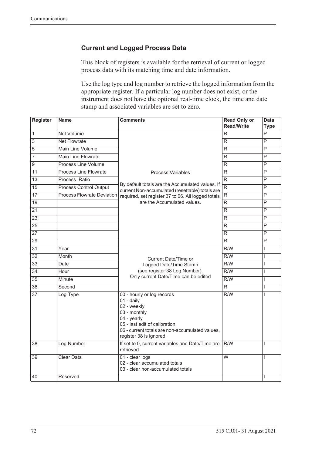### **Current and Logged Process Data**

This block of registers is available for the retrieval of current or logged process data with its matching time and date information.

Use the log type and log number to retrieve the logged information from the appropriate register. If a particular log number does not exist, or the instrument does not have the optional real-time clock, the time and date stamp and associated variables are set to zero.

| <b>Register</b> | <b>Name</b>                       | <b>Comments</b>                                                                                                                                                                                       | <b>Read Only or</b><br><b>Read/Write</b> | <b>Data</b><br><b>Type</b> |
|-----------------|-----------------------------------|-------------------------------------------------------------------------------------------------------------------------------------------------------------------------------------------------------|------------------------------------------|----------------------------|
| $\overline{1}$  | <b>Net Volume</b>                 |                                                                                                                                                                                                       | R                                        | $\overline{P}$             |
| $\overline{3}$  | Net Flowrate                      |                                                                                                                                                                                                       | R                                        | P                          |
| $\overline{5}$  | Main Line Volume                  |                                                                                                                                                                                                       | R                                        | $\overline{\mathsf{P}}$    |
| 7               | Main Line Flowrate                |                                                                                                                                                                                                       | R                                        | P                          |
| $\overline{9}$  | Process Line Volume               |                                                                                                                                                                                                       | R                                        | P                          |
| $\overline{11}$ | <b>Process Line Flowrate</b>      | <b>Process Variables</b>                                                                                                                                                                              | R                                        | P                          |
| $\overline{13}$ | Process Ratio                     |                                                                                                                                                                                                       | $\overline{\mathsf{R}}$                  | $\overline{\mathsf{P}}$    |
| 15              | Process Control Output            | By default totals are the Accumulated values. If<br>current Non-accumulated (resettable) totals are                                                                                                   | $\overline{\mathsf{R}}$                  | P                          |
| $\overline{17}$ | <b>Process Flowrate Deviation</b> | required, set register 37 to 06. All logged totals                                                                                                                                                    | R                                        | $\overline{\mathsf{P}}$    |
| $\overline{19}$ |                                   | are the Accumulated values.                                                                                                                                                                           | R.                                       | P                          |
| $\overline{21}$ |                                   |                                                                                                                                                                                                       | $\overline{\mathsf{R}}$                  | P                          |
| $\overline{23}$ |                                   |                                                                                                                                                                                                       | R                                        | $\overline{\mathsf{P}}$    |
| $\overline{25}$ |                                   |                                                                                                                                                                                                       | R                                        | P                          |
| $\overline{27}$ |                                   |                                                                                                                                                                                                       | $\overline{\mathsf{R}}$                  | P                          |
| $\overline{29}$ |                                   |                                                                                                                                                                                                       | R.                                       | $\mathsf{P}$               |
| $\overline{31}$ | Year                              |                                                                                                                                                                                                       | R/W                                      | T                          |
| $\overline{32}$ | Month                             | Current Date/Time or                                                                                                                                                                                  | $\overline{R/W}$                         | $\overline{\phantom{a}}$   |
| $\overline{33}$ | Date                              | Logged Date/Time Stamp                                                                                                                                                                                | R/W                                      | I                          |
| $\overline{34}$ | Hour                              | (see register 38 Log Number).                                                                                                                                                                         | R/W                                      | $\overline{1}$             |
| $\overline{35}$ | Minute                            | Only current Date/Time can be edited                                                                                                                                                                  | $\overline{R/W}$                         | I                          |
| $\overline{36}$ | Second                            |                                                                                                                                                                                                       | R                                        | $\overline{\phantom{a}}$   |
| $\overline{37}$ | Log Type                          | 00 - hourly or log records<br>01 - daily<br>02 - weekly<br>03 - monthly<br>04 - yearly<br>05 - last edit of calibration<br>06 - current totals are non-accumulated values,<br>register 38 is ignored. | $\overline{R/W}$                         | I                          |
| 38              | Log Number                        | If set to 0, current variables and Date/Time are<br>retrieved                                                                                                                                         | R/W                                      |                            |
| 39              | <b>Clear Data</b>                 | 01 - clear logs<br>02 - clear accumulated totals<br>03 - clear non-accumulated totals                                                                                                                 | $\overline{W}$                           | ı                          |
| 40              | Reserved                          |                                                                                                                                                                                                       |                                          | ı                          |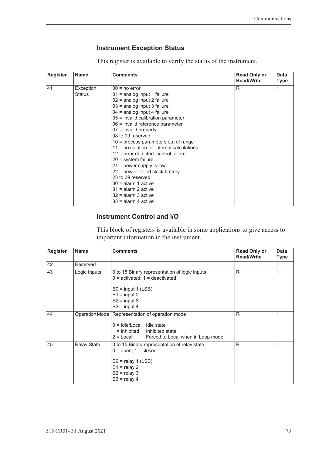### <span id="page-82-1"></span><span id="page-82-0"></span>**Instrument Exception Status**

This register is available to verify the status of the instrument.

| <b>Register</b> | <b>Name</b> | <b>Comments</b>                              | <b>Read Only or</b><br><b>Read/Write</b> | <b>Data</b><br><b>Type</b> |
|-----------------|-------------|----------------------------------------------|------------------------------------------|----------------------------|
| 41              | Exception   | $00 = no error$                              | R                                        |                            |
|                 | Status      | $01$ = analog input 1 failure                |                                          |                            |
|                 |             | 02 = analog input 2 failure                  |                                          |                            |
|                 |             | 03 = analog input 3 failure                  |                                          |                            |
|                 |             | 04 = analog input 4 failure                  |                                          |                            |
|                 |             | 05 = invalid calibration parameter           |                                          |                            |
|                 |             | 06 = invalid reference parameter             |                                          |                            |
|                 |             | $07$ = invalid property                      |                                          |                            |
|                 |             | 08 to 09 reserved                            |                                          |                            |
|                 |             | $10$ = process parameters out of range       |                                          |                            |
|                 |             | $11$ = no solution for internal calculations |                                          |                            |
|                 |             | 12 = error detected: control failure         |                                          |                            |
|                 |             | $20 =$ system failure                        |                                          |                            |
|                 |             | $21$ = power supply is low                   |                                          |                            |
|                 |             | $22$ = new or failed clock battery           |                                          |                            |
|                 |             | 23 to 29 reserved                            |                                          |                            |
|                 |             | $30$ = alarm 1 active                        |                                          |                            |
|                 |             | $31$ = alarm 2 active                        |                                          |                            |
|                 |             | $32$ = alarm 3 active                        |                                          |                            |
|                 |             | $33$ = alarm 4 active                        |                                          |                            |

#### **Instrument Control and I/O**

This block of registers is available in some applications to give access to important information in the instrument.

| <b>Register</b> | <b>Name</b>        | <b>Comments</b>                                                                                                                                                    | <b>Read Only or</b><br><b>Read/Write</b> | <b>Data</b><br><b>Type</b> |
|-----------------|--------------------|--------------------------------------------------------------------------------------------------------------------------------------------------------------------|------------------------------------------|----------------------------|
| 42              | Reserved           |                                                                                                                                                                    |                                          |                            |
| 43              | Logic Inputs       | 0 to 15 Binary representation of logic inputs<br>$0 =$ activated; $1 =$ deactivated<br>$B0 = input 1 (LSB)$<br>$B1 = input 2$<br>$B2 = input 3$<br>$B3 = input 4$  | R                                        |                            |
| 44              |                    | Operation Mode   Representation of operation mode<br>$0 =$ Idle/Local Idle state<br>1 = Inhibited Inhibited state<br>$2 =$ Local Forced to Local when in Loop mode | R                                        |                            |
| 45              | <b>Relay State</b> | 0 to 15 Binary representation of relay state<br>$0 =$ open; $1 =$ closed<br>$B0 =$ relay 1 (LSB)<br>$B1 =$ relay 2<br>$B2 =$ relay 3<br>$B3 =$ relay 4             | R                                        |                            |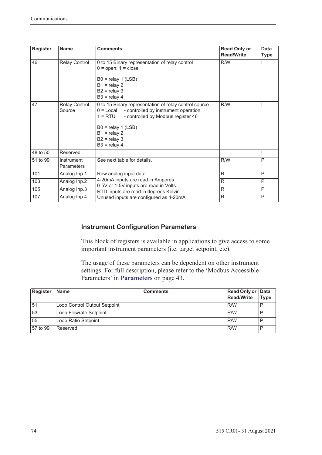| <b>Register</b> | <b>Name</b>              | <b>Comments</b>                                                                                                                                                                                                                                                 | <b>Read Only or</b><br><b>Read/Write</b> | <b>Data</b><br><b>Type</b> |
|-----------------|--------------------------|-----------------------------------------------------------------------------------------------------------------------------------------------------------------------------------------------------------------------------------------------------------------|------------------------------------------|----------------------------|
| 46              | <b>Relay Control</b>     | 0 to 15 Binary representation of relay control<br>$0 =$ open; $1 =$ close<br>$B0 =$ relay 1 (LSB)<br>$B1 =$ relay 2<br>$B2 =$ relay 3                                                                                                                           | R/W                                      |                            |
| 47              | Relay Control<br>Source  | $B3 =$ relay 4<br>0 to 15 Binary representation of relay control source<br>$0 = Local$<br>- controlled by instrument operation<br>- controlled by Modbus register 46<br>$1 = RTU$<br>$B0 =$ relay 1 (LSB)<br>$B1 =$ relay 2<br>$B2 =$ relay 3<br>$B3 =$ relay 4 | R/W                                      |                            |
| 48 to 50        | Reserved                 |                                                                                                                                                                                                                                                                 |                                          |                            |
| 51 to 99        | Instrument<br>Parameters | See next table for details.                                                                                                                                                                                                                                     | R/W                                      | P                          |
| 101             | Analog Inp.1             | Raw analog input data                                                                                                                                                                                                                                           | R.                                       | P                          |
| 103             | Analog Inp.2             | 4-20mA inputs are read in Amperes                                                                                                                                                                                                                               | R                                        | P                          |
| 105             | Analog Inp.3             | 0-5V or 1-5V inputs are read in Volts<br>RTD inputs are read in degrees Kelvin                                                                                                                                                                                  | R.                                       | P                          |
| 107             | Analog Inp.4             | Unused inputs are configured as 4-20mA                                                                                                                                                                                                                          | R                                        | P                          |

#### **Instrument Configuration Parameters**

This block of registers is available in applications to give access to some important instrument parameters (i.e. target setpoint, etc).

The usage of these parameters can be dependent on other instrument settings. For full description, please refer to the 'Modbus Accessible Parameters' in **[Parameters](#page-52-0)** on page 43.

| <b>Register</b> | <b>Name</b>                  | <b>Comments</b> | Read Only or Data<br><b>Read/Write</b> | <b>Type</b> |
|-----------------|------------------------------|-----------------|----------------------------------------|-------------|
| 51              | Loop Control Output Setpoint |                 | IR/W                                   |             |
| 53              | Loop Flowrate Setpoint       |                 | IR/W                                   | D           |
| 55              | Loop Ratio Setpoint          |                 | l R/W                                  |             |
| 57 to 99        | l Reserved                   |                 | IR/W                                   | ▫           |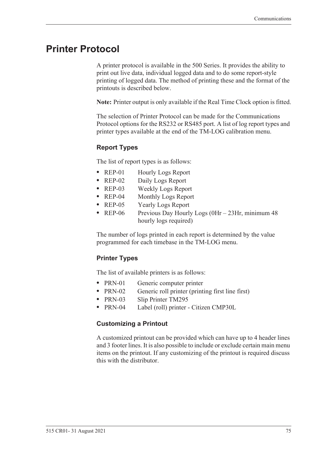# <span id="page-84-0"></span>**Printer Protocol**

<span id="page-84-2"></span>A printer protocol is available in the 500 Series. It provides the ability to print out live data, individual logged data and to do some report-style printing of logged data. The method of printing these and the format of the printouts is described below.

**Note:** Printer output is only available if the Real Time Clock option is fitted.

The selection of Printer Protocol can be made for the Communications Protocol options for the RS232 or RS485 port. A list of log report types and printer types available at the end of the TM-LOG calibration menu.

#### <span id="page-84-3"></span>**Report Types**

The list of report types is as follows:

- REP-01 Hourly Logs Report
- **•** REP-02 Daily Logs Report
- **•** REP-03 Weekly Logs Report
- **•** REP-04 Monthly Logs Report
- **•** REP-05 Yearly Logs Report
- REP-06 Previous Day Hourly Logs (0Hr 23Hr, minimum 48 hourly logs required)

The number of logs printed in each report is determined by the value programmed for each timebase in the TM-LOG menu.

#### <span id="page-84-4"></span>**Printer Types**

The list of available printers is as follows:

- PRN-01 Generic computer printer
- **•** PRN-02 Generic roll printer (printing first line first)
- **•** PRN-03 Slip Printer TM295
- **•** PRN-04 Label (roll) printer Citizen CMP30L

#### <span id="page-84-1"></span>**Customizing a Printout**

A customized printout can be provided which can have up to 4 header lines and 3 footer lines. It is also possible to include or exclude certain main menu items on the printout. If any customizing of the printout is required discuss this with the distributor.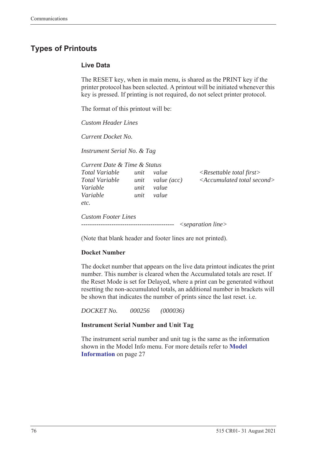# <span id="page-85-1"></span>**Types of Printouts**

#### <span id="page-85-0"></span>**Live Data**

The RESET key, when in main menu, is shared as the PRINT key if the printer protocol has been selected. A printout will be initiated whenever this key is pressed. If printing is not required, do not select printer protocol.

The format of this printout will be:

*Custom Header Lines*

*Current Docket No.* 

*Instrument Serial No. & Tag*

| Current Date & Time & Status                                                   |                              |                                         |                                                                                   |
|--------------------------------------------------------------------------------|------------------------------|-----------------------------------------|-----------------------------------------------------------------------------------|
| <b>Total Variable</b><br><b>Total Variable</b><br>Variable<br>Variable<br>etc. | unit<br>unit<br>unit<br>unit | value<br>value $(ac)$<br>value<br>value | $\langle$ Resettable total first $\rangle$<br>$\leq$ Accumulated total second $>$ |
| <b>Custom Footer Lines</b>                                                     |                              |                                         | $\leq$ separation line $>$                                                        |

(Note that blank header and footer lines are not printed).

#### **Docket Number**

The docket number that appears on the live data printout indicates the print number. This number is cleared when the Accumulated totals are reset. If the Reset Mode is set for Delayed, where a print can be generated without resetting the non-accumulated totals, an additional number in brackets will be shown that indicates the number of prints since the last reset. i.e.

*DOCKET No. 000256 (000036)*

#### **Instrument Serial Number and Unit Tag**

The instrument serial number and unit tag is the same as the information shown in the Model Info menu. For more details refer to **[Model](#page-36-0)  [Information](#page-36-0)** on page 27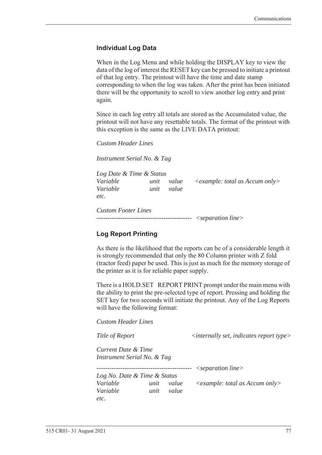#### <span id="page-86-0"></span>**Individual Log Data**

When in the Log Menu and while holding the DISPLAY key to view the data of the log of interest the RESET key can be pressed to initiate a printout of that log entry. The printout will have the time and date stamp corresponding to when the log was taken. After the print has been initiated there will be the opportunity to scroll to view another log entry and print again.

Since in each log entry all totals are stored as the Accumulated value, the printout will not have any resettable totals. The format of the printout with this exception is the same as the LIVE DATA printout:

*Custom Header Lines*

*Instrument Serial No. & Tag*

| Log Date & Time & Status   |      |       |                                        |
|----------------------------|------|-------|----------------------------------------|
| Variable                   | unit | value | $\langle$ example: total as Accum only |
| Variable                   | unit | value |                                        |
| etc.                       |      |       |                                        |
| <b>Custom Footer Lines</b> |      |       |                                        |

*-------------------------------------------- <separation line>*

#### <span id="page-86-1"></span>**Log Report Printing**

As there is the likelihood that the reports can be of a considerable length it is strongly recommended that only the 80 Column printer with Z fold (tractor feed) paper be used. This is just as much for the memory storage of the printer as it is for reliable paper supply.

There is a HOLD.SET REPORT PRINT prompt under the main menu with the ability to print the pre-selected type of report. Pressing and holding the SET key for two seconds will initiate the printout. Any of the Log Reports will have the following format:

*Custom Header Lines*

*Title of Report*  $\langle$  *internally set, indicates report type>* 

*Current Date & Time Instrument Serial No. & Tag*

*-------------------------------------------- <separation line> Log No. Date & Time & Status Variable unit value <example: total as Accum only> Variable unit value etc.*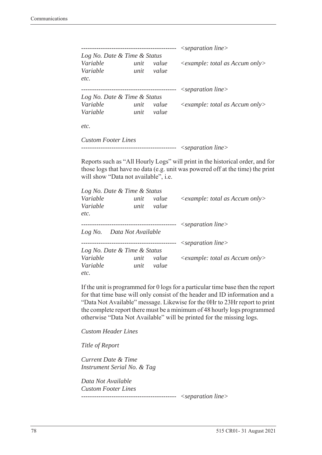|                              |                                     | --------- | $\leq$ separation line $>$              |
|------------------------------|-------------------------------------|-----------|-----------------------------------------|
| Log No. Date & Time & Status |                                     |           |                                         |
| Variable                     | unit                                | value     | $\leq$ example: total as Accum only $>$ |
| Variable                     | unit                                | value     |                                         |
| etc.                         |                                     |           |                                         |
|                              | ----------------------------------- |           | $\leq$ separation line $>$              |
| Log No. Date & Time & Status |                                     |           |                                         |
| Variable                     | unit                                | value     | $\leq$ example: total as Accum only $>$ |
| Variable                     | unit                                | value     |                                         |
| etc.                         |                                     |           |                                         |
| <b>Custom Footer Lines</b>   |                                     |           |                                         |

*-------------------------------------------- <separation line>*

Reports such as "All Hourly Logs" will print in the historical order, and for those logs that have no data (e.g. unit was powered off at the time) the print will show "Data not available", i.e.

| Log No. Date & Time & Status |                                     |       |                                      |
|------------------------------|-------------------------------------|-------|--------------------------------------|
| Variable                     | unit                                | value | $\leq$ example: total as Accum only> |
| Variable                     | unit                                | value |                                      |
| etc.                         |                                     |       |                                      |
|                              | ----------------------------------- |       | $\leq$ separation line $>$           |
| Log No. Data Not Available   |                                     |       |                                      |
|                              |                                     |       | $\leq$ separation line $>$           |
| Log No. Date & Time & Status |                                     |       |                                      |
| Variable                     | unit                                | value | $\leq$ example: total as Accum only> |
| Variable                     | unit                                | value |                                      |
| etc.                         |                                     |       |                                      |

If the unit is programmed for 0 logs for a particular time base then the report for that time base will only consist of the header and ID information and a "Data Not Available" message. Likewise for the 0Hr to 23Hr report to print the complete report there must be a minimum of 48 hourly logs programmed otherwise "Data Not Available" will be printed for the missing logs.

*Custom Header Lines*

*Title of Report*

*Current Date & Time Instrument Serial No. & Tag*

*Data Not Available Custom Footer Lines -------------------------------------------- <separation line>*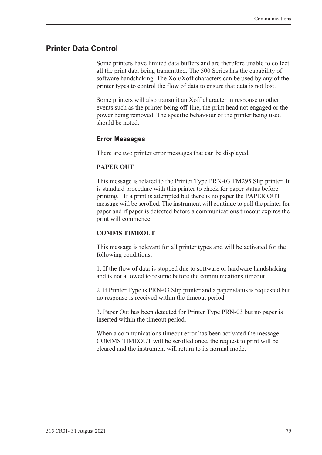# <span id="page-88-0"></span>**Printer Data Control**

Some printers have limited data buffers and are therefore unable to collect all the print data being transmitted. The 500 Series has the capability of software handshaking. The Xon/Xoff characters can be used by any of the printer types to control the flow of data to ensure that data is not lost.

Some printers will also transmit an Xoff character in response to other events such as the printer being off-line, the print head not engaged or the power being removed. The specific behaviour of the printer being used should be noted.

#### <span id="page-88-1"></span>**Error Messages**

There are two printer error messages that can be displayed.

#### **PAPER OUT**

This message is related to the Printer Type PRN-03 TM295 Slip printer. It is standard procedure with this printer to check for paper status before printing. If a print is attempted but there is no paper the PAPER OUT message will be scrolled. The instrument will continue to poll the printer for paper and if paper is detected before a communications timeout expires the print will commence.

#### **COMMS TIMEOUT**

This message is relevant for all printer types and will be activated for the following conditions.

1. If the flow of data is stopped due to software or hardware handshaking and is not allowed to resume before the communications timeout.

2. If Printer Type is PRN-03 Slip printer and a paper status is requested but no response is received within the timeout period.

3. Paper Out has been detected for Printer Type PRN-03 but no paper is inserted within the timeout period.

When a communications timeout error has been activated the message COMMS TIMEOUT will be scrolled once, the request to print will be cleared and the instrument will return to its normal mode.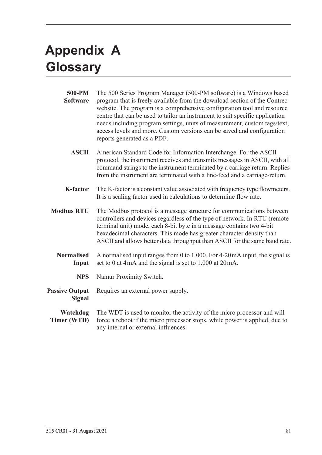# <span id="page-90-1"></span>**Appendix A Glossary**

<span id="page-90-0"></span>

| 500-PM<br><b>Software</b>              | The 500 Series Program Manager (500-PM software) is a Windows based<br>program that is freely available from the download section of the Contrec<br>website. The program is a comprehensive configuration tool and resource<br>centre that can be used to tailor an instrument to suit specific application<br>needs including program settings, units of measurement, custom tags/text,<br>access levels and more. Custom versions can be saved and configuration<br>reports generated as a PDF. |
|----------------------------------------|---------------------------------------------------------------------------------------------------------------------------------------------------------------------------------------------------------------------------------------------------------------------------------------------------------------------------------------------------------------------------------------------------------------------------------------------------------------------------------------------------|
| <b>ASCII</b>                           | American Standard Code for Information Interchange. For the ASCII<br>protocol, the instrument receives and transmits messages in ASCII, with all<br>command strings to the instrument terminated by a carriage return. Replies<br>from the instrument are terminated with a line-feed and a carriage-return.                                                                                                                                                                                      |
| <b>K-factor</b>                        | The K-factor is a constant value associated with frequency type flowmeters.<br>It is a scaling factor used in calculations to determine flow rate.                                                                                                                                                                                                                                                                                                                                                |
| <b>Modbus RTU</b>                      | The Modbus protocol is a message structure for communications between<br>controllers and devices regardless of the type of network. In RTU (remote<br>terminal unit) mode, each 8-bit byte in a message contains two 4-bit<br>hexadecimal characters. This mode has greater character density than<br>ASCII and allows better data throughput than ASCII for the same baud rate.                                                                                                                  |
| <b>Normalised</b><br>Input             | A normalised input ranges from 0 to 1.000. For 4-20 mA input, the signal is<br>set to 0 at 4mA and the signal is set to 1.000 at 20mA.                                                                                                                                                                                                                                                                                                                                                            |
| <b>NPS</b>                             | Namur Proximity Switch.                                                                                                                                                                                                                                                                                                                                                                                                                                                                           |
| <b>Passive Output</b><br><b>Signal</b> | Requires an external power supply.                                                                                                                                                                                                                                                                                                                                                                                                                                                                |
| Watchdog<br>Timer (WTD)                | The WDT is used to monitor the activity of the micro processor and will<br>force a reboot if the micro processor stops, while power is applied, due to<br>any internal or external influences.                                                                                                                                                                                                                                                                                                    |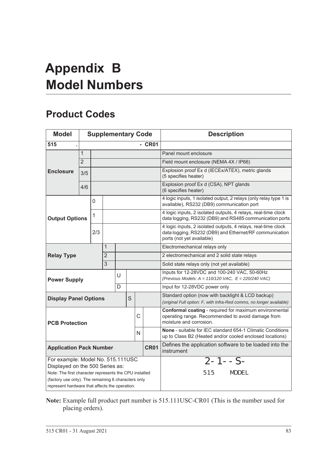# <span id="page-92-1"></span>**Appendix B Model Numbers**

# <span id="page-92-0"></span>**Product Codes**

| <b>Model</b>                                                         |                |             | <b>Supplementary Code</b> |   |                                                                      |                               |                                                                                                                        | <b>Description</b>                                                                                                                                    |  |
|----------------------------------------------------------------------|----------------|-------------|---------------------------|---|----------------------------------------------------------------------|-------------------------------|------------------------------------------------------------------------------------------------------------------------|-------------------------------------------------------------------------------------------------------------------------------------------------------|--|
| 515                                                                  |                |             |                           |   |                                                                      |                               | - CR01                                                                                                                 |                                                                                                                                                       |  |
|                                                                      | 1              |             |                           |   |                                                                      |                               |                                                                                                                        | Panel mount enclosure                                                                                                                                 |  |
|                                                                      | $\overline{2}$ |             |                           |   |                                                                      |                               |                                                                                                                        | Field mount enclosure (NEMA 4X / IP66)                                                                                                                |  |
| <b>Enclosure</b>                                                     | 3/5            |             |                           |   |                                                                      |                               |                                                                                                                        | Explosion proof Ex d (IECEx/ATEX), metric glands<br>(5 specifies heater)                                                                              |  |
|                                                                      | 4/6            |             |                           |   |                                                                      |                               |                                                                                                                        | Explosion proof Ex d (CSA), NPT glands<br>(6 specifies heater)                                                                                        |  |
|                                                                      |                | $\mathbf 0$ |                           |   |                                                                      |                               |                                                                                                                        | 4 logic inputs, 1 isolated output, 2 relays (only relay type 1 is<br>available), RS232 (DB9) communication port                                       |  |
| <b>Output Options</b>                                                |                | 1           |                           |   |                                                                      |                               |                                                                                                                        | 4 logic inputs, 2 isolated outputs, 4 relays, real-time clock<br>data logging, RS232 (DB9) and RS485 communication ports                              |  |
|                                                                      |                | 2/3         |                           |   |                                                                      |                               |                                                                                                                        | 4 logic inputs, 2 isolated outputs, 4 relays, real-time clock<br>data logging, RS232 (DB9) and Ethernet/RF communication<br>ports (not yet available) |  |
| 1                                                                    |                |             |                           |   |                                                                      | Electromechanical relays only |                                                                                                                        |                                                                                                                                                       |  |
| <b>Relay Type</b>                                                    |                |             | $\overline{2}$            |   |                                                                      |                               |                                                                                                                        | 2 electromechanical and 2 solid state relays                                                                                                          |  |
|                                                                      |                |             | $\overline{3}$            |   |                                                                      |                               |                                                                                                                        | Solid state relays only (not yet available)                                                                                                           |  |
| <b>Power Supply</b>                                                  |                |             |                           | U |                                                                      |                               |                                                                                                                        | Inputs for 12-28VDC and 100-240 VAC, 50-60Hz<br>(Previous Models: $A = 110/120$ VAC, $E = 220/240$ VAC)                                               |  |
|                                                                      |                |             |                           | D |                                                                      |                               |                                                                                                                        | Input for 12-28VDC power only                                                                                                                         |  |
| <b>Display Panel Options</b>                                         |                |             |                           |   | S                                                                    |                               |                                                                                                                        | Standard option (now with backlight & LCD backup)<br>(original Full option: F, with Infra-Red comms, no longer available)                             |  |
| <b>PCB Protection</b>                                                |                |             |                           |   |                                                                      | C                             |                                                                                                                        | Conformal coating - required for maximum environmental<br>operating range. Recommended to avoid damage from<br>moisture and corrosion.                |  |
| N                                                                    |                |             |                           |   |                                                                      |                               | None - suitable for IEC standard 654-1 Climatic Conditions<br>up to Class B2 (Heated and/or cooled enclosed locations) |                                                                                                                                                       |  |
| <b>CR01</b><br><b>Application Pack Number</b>                        |                |             |                           |   | Defines the application software to be loaded into the<br>instrument |                               |                                                                                                                        |                                                                                                                                                       |  |
| For example: Model No. 515.111USC<br>Displayed on the 500 Series as: |                |             |                           |   |                                                                      |                               |                                                                                                                        | $2 - 1 - -5 -$                                                                                                                                        |  |
| Note: The first character represents the CPU installed               |                |             |                           |   |                                                                      |                               |                                                                                                                        | 515<br><b>MODEL</b>                                                                                                                                   |  |
| (factory use only). The remaining 6 characters only                  |                |             |                           |   |                                                                      |                               |                                                                                                                        |                                                                                                                                                       |  |
| represent hardware that affects the operation.                       |                |             |                           |   |                                                                      |                               |                                                                                                                        |                                                                                                                                                       |  |

**Note:** Example full product part number is 515.111USC-CR01 (This is the number used for placing orders).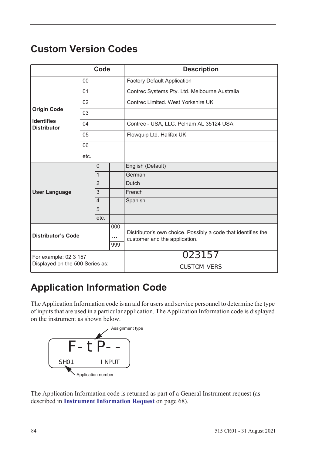# <span id="page-93-1"></span>**Custom Version Codes**

|                                         | Code   |                |                                                                                                | <b>Description</b>                            |
|-----------------------------------------|--------|----------------|------------------------------------------------------------------------------------------------|-----------------------------------------------|
|                                         | $00\,$ |                |                                                                                                | <b>Factory Default Application</b>            |
|                                         | 01     |                |                                                                                                | Contrec Systems Pty. Ltd. Melbourne Australia |
|                                         | 02     |                |                                                                                                | Contrec Limited, West Yorkshire UK            |
| <b>Origin Code</b>                      | 03     |                |                                                                                                |                                               |
| <b>Identifies</b><br><b>Distributor</b> | 04     |                |                                                                                                | Contrec - USA, LLC. Pelham AL 35124 USA       |
|                                         | 05     |                |                                                                                                | Flowquip Ltd. Halifax UK                      |
|                                         | 06     |                |                                                                                                |                                               |
|                                         | etc.   |                |                                                                                                |                                               |
|                                         |        | $\overline{0}$ |                                                                                                | English (Default)                             |
|                                         |        | $\mathbf{1}$   |                                                                                                | German                                        |
|                                         |        | $\overline{2}$ |                                                                                                | Dutch                                         |
| <b>User Language</b>                    |        | 3              |                                                                                                | French                                        |
|                                         |        | $\overline{4}$ |                                                                                                | Spanish                                       |
|                                         |        | $\overline{5}$ |                                                                                                |                                               |
|                                         |        | etc.           |                                                                                                |                                               |
|                                         |        |                | 000                                                                                            |                                               |
| <b>Distributor's Code</b><br>.<br>999   |        |                | Distributor's own choice. Possibly a code that identifies the<br>customer and the application. |                                               |
|                                         |        |                |                                                                                                |                                               |
| For example: 02 3 157                   |        |                | 023157                                                                                         |                                               |
| Displayed on the 500 Series as:         |        |                |                                                                                                | <b>CUSTOM VERS</b>                            |

# **Application Information Code**

The Application Information code is an aid for users and service personnel to determine the type of inputs that are used in a particular application. The Application Information code is displayed on the instrument as shown below.

<span id="page-93-0"></span>

The Application Information code is returned as part of a General Instrument request (as described in **[Instrument Information Request](#page-77-0)** on page 68).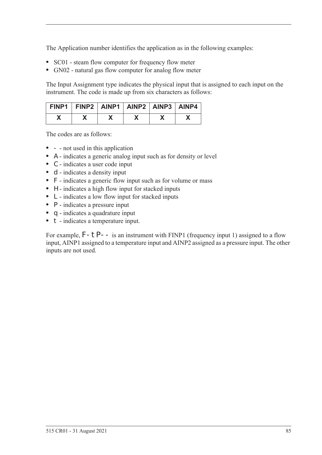The Application number identifies the application as in the following examples:

- **•** SC01 steam flow computer for frequency flow meter
- **•** GN02 natural gas flow computer for analog flow meter

The Input Assignment type indicates the physical input that is assigned to each input on the instrument. The code is made up from six characters as follows:

| FINP1   FINP2   AINP1   AINP2   AINP3   AINP4 |  |  |  |
|-----------------------------------------------|--|--|--|
|                                               |  |  |  |

The codes are as follows:

- - not used in this application
- **•** A indicates a generic analog input such as for density or level
- **•** C indicates a user code input
- d indicates a density input
- F indicates a generic flow input such as for volume or mass
- $\vdash$  indicates a high flow input for stacked inputs
- L indicates a low flow input for stacked inputs
- **•** P indicates a pressure input
- q indicates a quadrature input
- t indicates a temperature input.

For example,  $F - tP - -$  is an instrument with FINP1 (frequency input 1) assigned to a flow input, AINP1 assigned to a temperature input and AINP2 assigned as a pressure input. The other inputs are not used.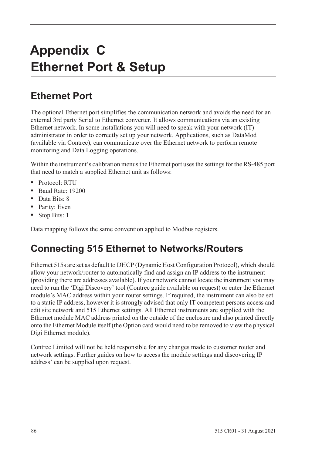# **Appendix C Ethernet Port & Setup**

# **Ethernet Port**

The optional Ethernet port simplifies the communication network and avoids the need for an external 3rd party Serial to Ethernet converter. It allows communications via an existing Ethernet network. In some installations you will need to speak with your network (IT) administrator in order to correctly set up your network. Applications, such as DataMod (available via Contrec), can communicate over the Ethernet network to perform remote monitoring and Data Logging operations.

Within the instrument's calibration menus the Ethernet port uses the settings for the RS-485 port that need to match a supplied Ethernet unit as follows:

- **•** Protocol: RTU
- **•** Baud Rate: 19200
- **•** Data Bits: 8
- **•** Parity: Even
- **•** Stop Bits: 1

Data mapping follows the same convention applied to Modbus registers.

# **Connecting 515 Ethernet to Networks/Routers**

Ethernet 515s are set as default to DHCP (Dynamic Host Configuration Protocol), which should allow your network/router to automatically find and assign an IP address to the instrument (providing there are addresses available). If your network cannot locate the instrument you may need to run the 'Digi Discovery' tool (Contrec guide available on request) or enter the Ethernet module's MAC address within your router settings. If required, the instrument can also be set to a static IP address, however it is strongly advised that only IT competent persons access and edit site network and 515 Ethernet settings. All Ethernet instruments are supplied with the Ethernet module MAC address printed on the outside of the enclosure and also printed directly onto the Ethernet Module itself (the Option card would need to be removed to view the physical Digi Ethernet module).

Contrec Limited will not be held responsible for any changes made to customer router and network settings. Further guides on how to access the module settings and discovering IP address' can be supplied upon request.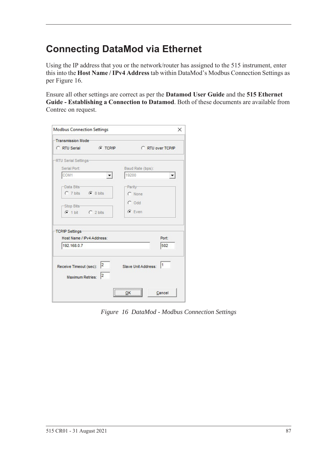# **Connecting DataMod via Ethernet**

Using the IP address that you or the network/router has assigned to the 515 instrument, enter this into the **Host Name / IPv4 Address** tab within DataMod's Modbus Connection Settings as per [Figure 16.](#page-96-0)

Ensure all other settings are correct as per the **Datamod User Guide** and the **515 Ethernet Guide - Establishing a Connection to Datamod**. Both of these documents are available from Contrec on request.

| Transmission Mode-                                  |                 |                     |                      |
|-----------------------------------------------------|-----------------|---------------------|----------------------|
| C RTU Serial                                        | <b>C</b> TCP/IP |                     | C RTU over TCP/IP    |
| -RTU Serial Settings-                               |                 |                     |                      |
| Serial Port:                                        |                 | Baud Rate (bps):    |                      |
| COM <sub>1</sub>                                    |                 | 19200               | $\blacktriangledown$ |
| -Data Bits-<br>C 7 bits C 8 bits                    |                 | -Parity-<br>C None  |                      |
| -Stop Bits-                                         |                 | $C$ Odd             |                      |
| $C$ 1 bit $C$ 2 bits                                |                 | $G$ Even            |                      |
| TCP/IP Settings<br>Host Name / IPv4 Address:        |                 |                     | Port:                |
| 192.168.0.7                                         |                 |                     | 502                  |
| Receive Timeout (sec): 2<br><b>Maximum Retries:</b> | 12              | Slave Unit Address: | 1                    |
|                                                     |                 | ,                   | Cancel               |

<span id="page-96-0"></span>*Figure 16 DataMod - Modbus Connection Settings*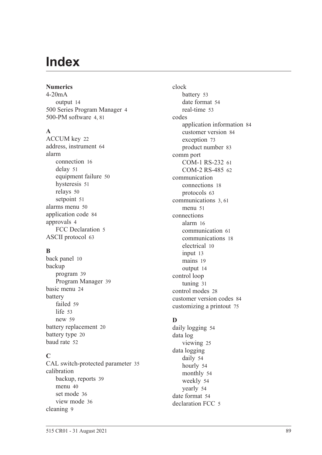# **Index**

#### **Numerics**

4-20mA output [14](#page-23-0) 500 Series Program Manage[r 4](#page-13-0) 500-PM software [4,](#page-13-0) [81](#page-90-0)

### **A**

ACCUM ke[y 22](#page-31-0) address, instrumen[t 64](#page-73-0) alarm connection [16](#page-25-0) dela[y 51](#page-60-1) equipment failur[e 50](#page-59-0) hysteresi[s 51](#page-60-2) relays [50](#page-59-1) setpoin[t 51](#page-60-3) alarms menu [50](#page-59-2) application cod[e 84](#page-93-0) approvals [4](#page-13-1) FCC Declaration [5](#page-14-0) ASCII protoco[l 63](#page-72-0)

# **B**

back panel [10](#page-19-0) backup program [39](#page-48-0) Program Manage[r 39](#page-48-1) basic men[u 24](#page-33-0) battery faile[d 59](#page-68-0) lif[e 53](#page-62-1) ne[w 59](#page-68-0) battery replacemen[t 20](#page-29-0) battery typ[e 20](#page-29-1) baud rat[e 52](#page-61-0)

# **C**

CAL switch-protected parameter [35](#page-44-0) calibration backup, report[s 39](#page-48-0) menu [40](#page-49-0) set mod[e 36](#page-45-0) view mod[e 36](#page-45-1) cleaning [9](#page-18-0)

clock batter[y 53](#page-62-1) date format [54](#page-63-0) real-tim[e 53](#page-62-2) codes application information [84](#page-93-0) customer versio[n 84](#page-93-1) exception [73](#page-82-1) product numbe[r 83](#page-92-0) comm port COM-1 RS-232 [61](#page-70-0) COM-2 RS-485 [62](#page-71-0) communication connection[s 18](#page-27-0) protocols [63](#page-72-1) communication[s 3,](#page-12-0) [61](#page-70-1) menu [51](#page-60-4) connections alar[m 16](#page-25-0) communication [61](#page-70-2) communication[s 18](#page-27-0) electrical [10](#page-19-1) input [13](#page-22-0) mains [19](#page-28-0) output [14](#page-23-1) control loop tuning [31](#page-40-0) control mode[s 28](#page-37-0) customer version codes [84](#page-93-1) customizing a printout [75](#page-84-1)

# **D**

daily logging [54](#page-63-1) data log viewing [25](#page-34-0) data logging daily [54](#page-63-1) hourl[y 54](#page-63-2) monthly [54](#page-63-3) weekly [54](#page-63-4) yearly [54](#page-63-5) date format [54](#page-63-0) declaration FCC [5](#page-14-0)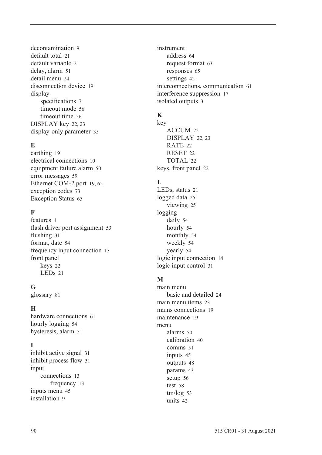decontamination [9](#page-18-0) default tota[l 21](#page-30-0) default variable [21](#page-30-0) delay, alar[m 51](#page-60-1) detail men[u 24](#page-33-0) disconnection device [19](#page-28-1) display specifications [7](#page-16-0) timeout mod[e 56](#page-65-0) timeout time [56](#page-65-1) DISPLAY key [22,](#page-31-1) [23](#page-32-0) display-only parameter [35](#page-44-1)

## **E**

earthin[g 19](#page-28-2) electrical connections [10](#page-19-1) equipment failure alarm [50](#page-59-0) error message[s 59](#page-68-1) Ethernet COM-2 por[t 19,](#page-28-3) [62](#page-71-1) exception codes [73](#page-82-1) Exception Status [65](#page-74-0)

#### **F**

features [1](#page-10-0) flash driver port assignmen[t 53](#page-62-3) flushin[g 31](#page-40-1) format, date [54](#page-63-0) frequency input connection [13](#page-22-1) front panel keys [22](#page-31-2) LEDs [21](#page-30-1)

#### **G**

glossary [81](#page-90-1)

## **H**

hardware connections [61](#page-70-2) hourly logging [54](#page-63-2) hysteresis, alar[m 51](#page-60-2)

## **I**

inhibit active signa[l 31](#page-40-2) inhibit process flo[w 31](#page-40-3) input connection[s 13](#page-22-0) frequency [13](#page-22-1) inputs menu [45](#page-54-0) installatio[n 9](#page-18-1)

instrument address [64](#page-73-0) request forma[t 63](#page-72-2) response[s 65](#page-74-1) setting[s 42](#page-51-0) interconnections, communication [61](#page-70-2) interference suppression [17](#page-26-0) isolated output[s 3](#page-12-1)

# **K**

key ACCUM [22](#page-31-0) DISPLA[Y 22,](#page-31-1) [23](#page-32-0) RATE [22](#page-31-3) RESE[T 22](#page-31-4) TOTAL [22](#page-31-5) keys, front panel [22](#page-31-2)

#### $\mathbf{L}$

LEDs, status [21](#page-30-1) logged dat[a 25](#page-34-0) viewin[g 25](#page-34-1) logging daily [54](#page-63-1) hourly [54](#page-63-2) monthly [54](#page-63-3) weekl[y 54](#page-63-4) yearly [54](#page-63-5) logic input connection [14](#page-23-2) logic input contro[l 31](#page-40-4)

## **M**

main menu basic and detailed [24](#page-33-0) main menu item[s 23](#page-32-1) mains connections [19](#page-28-0) maintenanc[e 19](#page-28-4) menu alarms [50](#page-59-2) calibration [40](#page-49-0) comm[s 51](#page-60-4) inputs [45](#page-54-0) outputs [48](#page-57-0) param[s 43](#page-52-1) setup [56](#page-65-2) tes[t 58](#page-67-0) tm/log [53](#page-62-4) units [42](#page-51-1)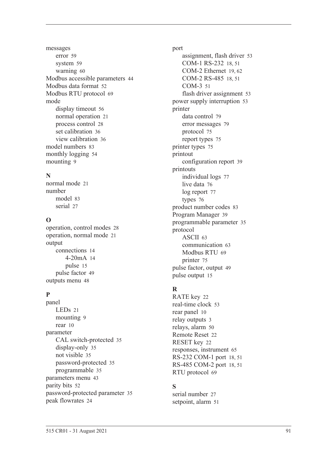messages erro[r 59](#page-68-1) syste[m 59](#page-68-2) warnin[g 60](#page-69-0) Modbus accessible parameters [44](#page-53-0) Modbus data forma[t 52](#page-61-1) Modbus RTU protoco[l 69](#page-78-0) mode display timeou[t 56](#page-65-0) normal operatio[n 21](#page-30-2) process contro[l 28](#page-37-0) set calibration [36](#page-45-0) view calibration [36](#page-45-1) model number[s 83](#page-92-1) monthly logging [54](#page-63-3) mountin[g 9](#page-18-2)

#### **N**

normal mode [21](#page-30-2) number mode[l 83](#page-92-1) seria[l 27](#page-36-1)

### **O**

operation, control modes [28](#page-37-0) operation, normal mod[e 21](#page-30-2) output connection[s 14](#page-23-1) 4-20m[A 14](#page-23-0) puls[e 15](#page-24-0) pulse facto[r 49](#page-58-0) outputs men[u 48](#page-57-0)

## **P**

panel LED[s 21](#page-30-1) mountin[g 9](#page-18-2) rear [10](#page-19-0) parameter CAL switch-protecte[d 35](#page-44-0) display-onl[y 35](#page-44-1) not visibl[e 35](#page-44-2) password-protecte[d 35](#page-44-3) programmabl[e 35](#page-44-4) parameters men[u 43](#page-52-1) parity bit[s 52](#page-61-2) password-protected parameter [35](#page-44-3) peak flowrate[s 24](#page-33-1)

port assignment, flash driver [53](#page-62-3) COM-1 RS-232 [18,](#page-27-1) [51](#page-60-5) COM-2 Ethernet [19,](#page-28-3) [62](#page-71-1) COM-2 RS-485 [18,](#page-27-2) [51](#page-60-6) COM-[3 51](#page-60-7) flash driver assignment [53](#page-62-3) power supply interruption [53](#page-62-1) printer data control [79](#page-88-0) error messages [79](#page-88-1) protocol [75](#page-84-2) report types [75](#page-84-3) printer type[s 75](#page-84-4) printout configuration repor[t 39](#page-48-2) printouts individual logs [77](#page-86-0) live data [76](#page-85-0) log report [77](#page-86-1) type[s 76](#page-85-1) product number codes [83](#page-92-0) Program Manager [39](#page-48-1) programmable parameter [35](#page-44-4) protocol ASCI[I 63](#page-72-0) communication [63](#page-72-1) Modbus RT[U 69](#page-78-0) printer [75](#page-84-2) pulse factor, output [49](#page-58-0) pulse output [15](#page-24-0)

# **R**

RATE key [22](#page-31-3) real-time cloc[k 53](#page-62-2) rear panel [10](#page-19-0) relay output[s 3](#page-12-2) relays, alarm [50](#page-59-1) Remote Reset [22](#page-31-6) RESET key [22](#page-31-4) responses, instrument [65](#page-74-1) RS-232 COM-1 por[t 18,](#page-27-1) [51](#page-60-5) RS-485 COM-2 por[t 18,](#page-27-2) [51](#page-60-6) RTU protocol [69](#page-78-0)

# **S**

serial number [27](#page-36-1) setpoint, alar[m 51](#page-60-3)